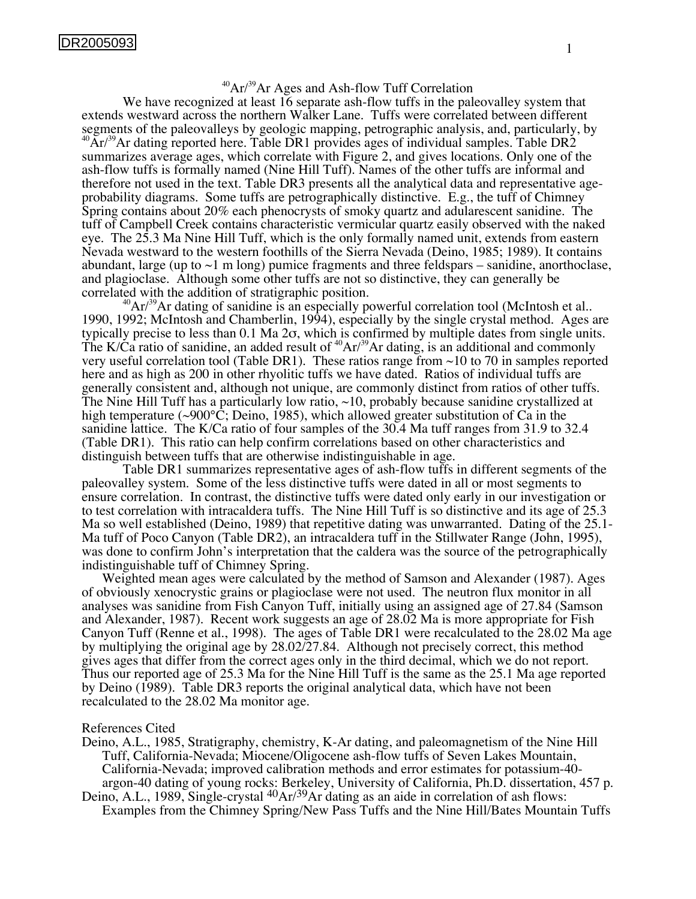## $^{40}Ar/^{39}Ar$  Ages and Ash-flow Tuff Correlation

We have recognized at least 16 separate ash-flow tuffs in the paleovalley system that extends westward across the northern Walker Lane. Tuffs were correlated between different segments of the paleovalleys by geologic mapping, petrographic analysis, and, particularly, by  ${}^{0}\text{Ar}/{}^{39}\text{Ar}$  dating reported here. Table DR1 provides ages of individual samples. Table DR2 summarizes average ages, which correlate with Figure 2, and gives locations. Only one of the ash-flow tuffs is formally named (Nine Hill Tuff). Names of the other tuffs are informal and therefore not used in the text. Table DR3 presents all the analytical data and representative ageprobability diagrams. Some tuffs are petrographically distinctive. E.g., the tuff of Chimney Spring contains about 20% each phenocrysts of smoky quartz and adularescent sanidine. The tuff of Campbell Creek contains characteristic vermicular quartz easily observed with the naked eye. The 25.3 Ma Nine Hill Tuff, which is the only formally named unit, extends from eastern Nevada westward to the western foothills of the Sierra Nevada (Deino, 1985; 1989). It contains abundant, large (up to  $\sim$ 1 m long) pumice fragments and three feldspars – sanidine, anorthoclase, and plagioclase. Although some other tuffs are not so distinctive, they can generally be

 $^{40}Ar/39$ Ar dating of sanidine is an especially powerful correlation tool (McIntosh et al.. 1990, 1992; McIntosh and Chamberlin, 1994), especially by the single crystal method. Ages are typically precise to less than 0.1 Ma 2σ, which is confirmed by multiple dates from single units. The K/Ca ratio of sanidine, an added result of  $^{40}Ar/^{39}Ar$  dating, is an additional and commonly very useful correlation tool (Table DR1). These ratios range from ~10 to 70 in samples reported here and as high as 200 in other rhyolitic tuffs we have dated. Ratios of individual tuffs are generally consistent and, although not unique, are commonly distinct from ratios of other tuffs. The Nine Hill Tuff has a particularly low ratio, ~10, probably because sanidine crystallized at high temperature ( $\sim 900^{\circ}$ C; Deino, 1985), which allowed greater substitution of Ca in the sanidine lattice. The K/Ca ratio of four samples of the 30.4 Ma tuff ranges from 31.9 to 32.4 (Table DR1). This ratio can help confirm correlations based on other characteristics and distinguish between tuffs that are otherwise indistinguishable in age.

Table DR1 summarizes representative ages of ash-flow tuffs in different segments of the paleovalley system. Some of the less distinctive tuffs were dated in all or most segments to ensure correlation. In contrast, the distinctive tuffs were dated only early in our investigation or to test correlation with intracaldera tuffs. The Nine Hill Tuff is so distinctive and its age of 25.3 Ma so well established (Deino, 1989) that repetitive dating was unwarranted. Dating of the 25.1- Ma tuff of Poco Canyon (Table DR2), an intracaldera tuff in the Stillwater Range (John, 1995), was done to confirm John's interpretation that the caldera was the source of the petrographically indistinguishable tuff of Chimney Spring.

Weighted mean ages were calculated by the method of Samson and Alexander (1987). Ages of obviously xenocrystic grains or plagioclase were not used. The neutron flux monitor in all analyses was sanidine from Fish Canyon Tuff, initially using an assigned age of 27.84 (Samson and Alexander, 1987). Recent work suggests an age of 28.02 Ma is more appropriate for Fish Canyon Tuff (Renne et al., 1998). The ages of Table DR1 were recalculated to the 28.02 Ma age by multiplying the original age by 28.02/27.84. Although not precisely correct, this method gives ages that differ from the correct ages only in the third decimal, which we do not report. Thus our reported age of 25.3 Ma for the Nine Hill Tuff is the same as the 25.1 Ma age reported by Deino (1989). Table DR3 reports the original analytical data, which have not been recalculated to the 28.02 Ma monitor age.

## References Cited

- Deino, A.L., 1985, Stratigraphy, chemistry, K-Ar dating, and paleomagnetism of the Nine Hill Tuff, California-Nevada; Miocene/Oligocene ash-flow tuffs of Seven Lakes Mountain, California-Nevada; improved calibration methods and error estimates for potassium-40 argon-40 dating of young rocks: Berkeley, University of California, Ph.D. dissertation, 457 p.
- Deino, A.L., 1989, Single-crystal <sup>40</sup>Ar/<sup>39</sup>Ar dating as an aide in correlation of ash flows: Examples from the Chimney Spring/New Pass Tuffs and the Nine Hill/Bates Mountain Tuffs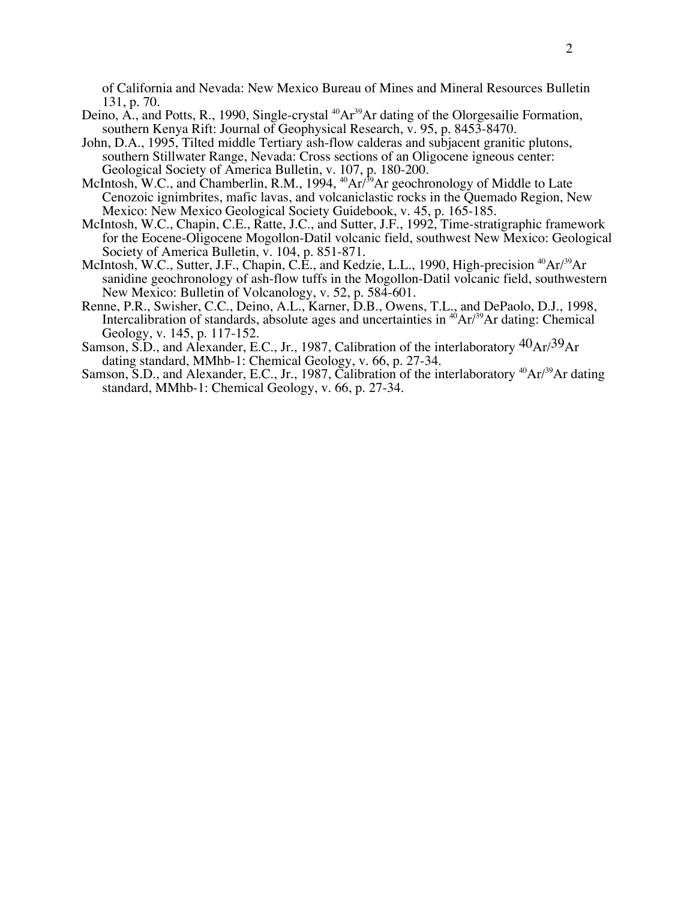of California and Nevada: New Mexico Bureau of Mines and Mineral Resources Bulletin 131, p. 70.

- Deino,  $\overline{A}$ , and Potts, R., 1990, Single-crystal <sup>40</sup>Ar<sup>39</sup>Ar dating of the Olorgesailie Formation, southern Kenya Rift: Journal of Geophysical Research, v. 95, p. 8453-8470.
- John, D.A., 1995, Tilted middle Tertiary ash-flow calderas and subjacent granitic plutons, southern Stillwater Range, Nevada: Cross sections of an Oligocene igneous center: Geological Society of America Bulletin, v. 107, p. 180-200.
- McIntosh, W.C., and Chamberlin, R.M., 1994,  $^{40}Ar^{39}Ar$  geochronology of Middle to Late Cenozoic ignimbrites, mafic lavas, and volcaniclastic rocks in the Quemado Region, New Mexico: New Mexico Geological Society Guidebook, v. 45, p. 165-185.
- McIntosh, W.C., Chapin, C.E., Ratte, J.C., and Sutter, J.F., 1992, Time-stratigraphic framework for the Eocene-Oligocene Mogollon-Datil volcanic field, southwest New Mexico: Geological Society of America Bulletin, v. 104, p. 851-871.
- McIntosh, W.C., Sutter, J.F., Chapin, C.E., and Kedzie, L.L., 1990, High-precision <sup>40</sup>Ar/<sup>39</sup>Ar sanidine geochronology of ash-flow tuffs in the Mogollon-Datil volcanic field, southwestern New Mexico: Bulletin of Volcanology, v. 52, p. 584-601.
- Renne, P.R., Swisher, C.C., Deino, A.L., Karner, D.B., Owens, T.L., and DePaolo, D.J., 1998, Intercalibration of standards, absolute ages and uncertainties in  $^{40}Ar/^{39}Ar$  dating: Chemical Geology, v. 145, p. 117-152.
- Samson, S.D., and Alexander, E.C., Jr., 1987, Calibration of the interlaboratory  ${}^{40}Ar/{}^{39}Ar$ dating standard, MMhb-1: Chemical Geology, v. 66, p. 27-34.
- Samson, S.D., and Alexander, E.C., Jr., 1987, Calibration of the interlaboratory <sup>40</sup>Ar/<sup>39</sup>Ar dating standard, MMhb-1: Chemical Geology, v. 66, p. 27-34.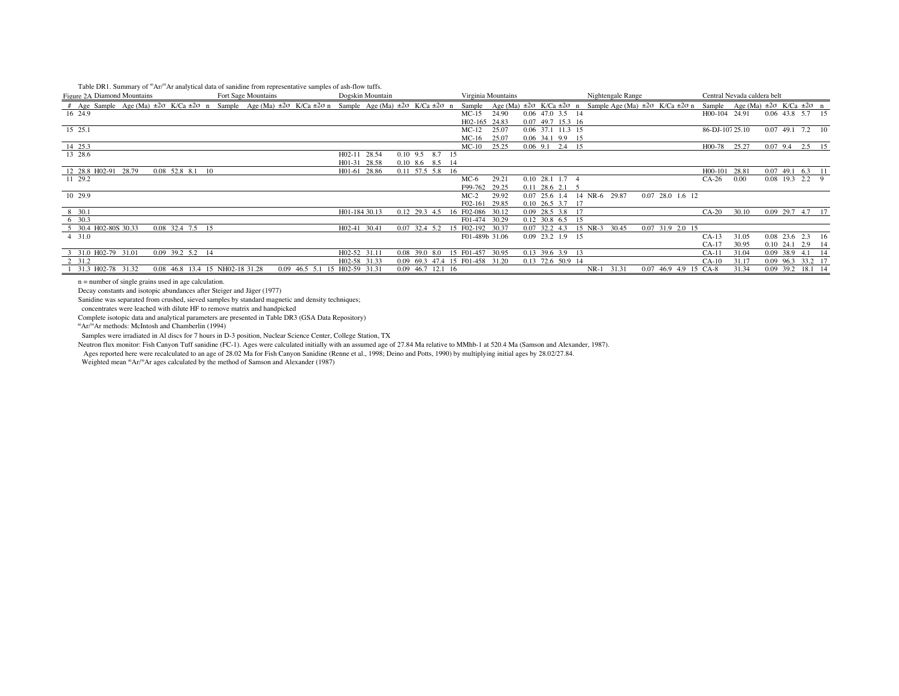| Table DR1. Summary of ${}^{\text{\tiny{40}}}Ar^{\text{\tiny{20}}}Ar$ analytical data of sanidine from representative samples of ash-flow tuffs. |  |  |  |
|-------------------------------------------------------------------------------------------------------------------------------------------------|--|--|--|
|                                                                                                                                                 |  |  |  |

| Tuble Dittle building for the the unit field data of building from representative buildings of upit flow turns<br>Figure 2A Diamond Mountains                  |                                 | Fort Sage Mountains |                               |               | Dogskin Mountain |                 |                                 |            |                  | Virginia Mountains |                    |                                                                                                | Nightengale Range |                       | Central Nevada caldera belt                        |          |                    |                   |  |
|----------------------------------------------------------------------------------------------------------------------------------------------------------------|---------------------------------|---------------------|-------------------------------|---------------|------------------|-----------------|---------------------------------|------------|------------------|--------------------|--------------------|------------------------------------------------------------------------------------------------|-------------------|-----------------------|----------------------------------------------------|----------|--------------------|-------------------|--|
| # Age Sample Age (Ma) $\pm 2\sigma$ K/Ca $\pm 2\sigma$ n Sample Age (Ma) $\pm 2\sigma$ K/Ca $\pm 2\sigma$ n Sample Age (Ma) $\pm 2\sigma$ K/Ca $\pm 2\sigma$ n |                                 |                     |                               |               |                  |                 |                                 |            | Sample           |                    |                    | Age (Ma) $\pm 2\sigma$ K/Ca $\pm 2\sigma$ n Sample Age (Ma) $\pm 2\sigma$ K/Ca $\pm 2\sigma$ n |                   |                       | Sample Age (Ma) $\pm 2\sigma$ K/Ca $\pm 2\sigma$ n |          |                    |                   |  |
| 16 24.9                                                                                                                                                        |                                 |                     |                               |               |                  |                 |                                 |            | $MC-15$          | 24.90              | 0.06 47.0 3.5 14   |                                                                                                |                   |                       | H00-104 24.91                                      |          | 0.06 43.8 5.7 15   |                   |  |
|                                                                                                                                                                |                                 |                     |                               |               |                  |                 |                                 |            | H02-165 24.83    |                    | 0.07 49.7 15.3 16  |                                                                                                |                   |                       |                                                    |          |                    |                   |  |
| 15 25.1                                                                                                                                                        |                                 |                     |                               |               |                  |                 |                                 |            | $MC-12$          | 25.07              | 0.06 37.1 11.3 15  |                                                                                                |                   |                       | 86-DJ-10725.10                                     |          | $0.07$ 49.1 7.2 10 |                   |  |
|                                                                                                                                                                |                                 |                     |                               |               |                  |                 |                                 |            | $MC-16$          | 25.07              | 0.06 34.1 9.9 15   |                                                                                                |                   |                       |                                                    |          |                    |                   |  |
| 14 25.3                                                                                                                                                        |                                 |                     |                               |               |                  |                 |                                 |            | $MC-10$          | 25.25              | $0.06$ 9.1 2.4 15  |                                                                                                |                   |                       | H00-78 25.27                                       |          | $0.07$ 9.4         | 2.5 15            |  |
| 13 28.6                                                                                                                                                        |                                 |                     |                               | H02-11 28.54  |                  |                 | $0.10$ 9.5 8.7 15               |            |                  |                    |                    |                                                                                                |                   |                       |                                                    |          |                    |                   |  |
|                                                                                                                                                                |                                 |                     |                               | H01-31 28.58  |                  |                 | 0.10 8.6 8.5 14                 |            |                  |                    |                    |                                                                                                |                   |                       |                                                    |          |                    |                   |  |
| 12 28.8 H02-91 28.79                                                                                                                                           | 0.08 52.8 8.1 10                |                     |                               | H01-61 28.86  |                  |                 | 0.11 57.5 5.8 16                |            |                  |                    |                    |                                                                                                |                   |                       | H00-101 28.81                                      |          | $0.07$ 49.1        | 6.3 11            |  |
| 11 29.2                                                                                                                                                        |                                 |                     |                               |               |                  |                 |                                 |            | MC-6             | 29.21              | $0.10$ 28.1 1.7 4  |                                                                                                |                   |                       | $CA-26$                                            | $0.00\,$ | 0.08 19.3 2.2 9    |                   |  |
|                                                                                                                                                                |                                 |                     |                               |               |                  |                 |                                 |            | F99-762          | 29.25              | 0.11 28.6 2.1      |                                                                                                |                   |                       |                                                    |          |                    |                   |  |
| 10 29.9                                                                                                                                                        |                                 |                     |                               |               |                  |                 |                                 |            | $MC-2$           | 29.92              | $0.07$ 25.6 1.4    | 14 NR-6 29.87                                                                                  |                   | $0.07$ 28.0 1.6 12    |                                                    |          |                    |                   |  |
|                                                                                                                                                                |                                 |                     |                               |               |                  |                 |                                 |            | F02-161          | 29.85              | 0.10 26.5 3.7 17   |                                                                                                |                   |                       |                                                    |          |                    |                   |  |
| 8 30.1                                                                                                                                                         |                                 |                     |                               | H01-184 30.13 |                  | 0.12 29.3 4.5   |                                 |            | 16 F02-086 30.12 |                    | 0.09 28.5 3.8 17   |                                                                                                |                   |                       | $CA-20$                                            | 30.10    | 0.09 29.7 4.7 17   |                   |  |
| 6 30.3                                                                                                                                                         |                                 |                     |                               |               |                  |                 |                                 |            | F01-474 30.29    |                    | 0.12 30.8 6.5 15   |                                                                                                |                   |                       |                                                    |          |                    |                   |  |
| 5 30.4 H02-80S 30.33                                                                                                                                           | 0.08 32.4 7.5 15                |                     |                               | H02-41 30.41  |                  | $0.07$ 32.4 5.2 |                                 |            | F02-192 30.37    |                    | $0.07$ 32.2 4.3    | 15 NR-3                                                                                        | 30.45             | 0.07 31.9 2.0 15      |                                                    |          |                    |                   |  |
| 4 31.0                                                                                                                                                         |                                 |                     |                               |               |                  |                 |                                 |            | F01-489b 31.06   |                    | $0.09$ 23.2 1.9 15 |                                                                                                |                   |                       | $CA-13$                                            | 31.05    | $0.08$ 23.6 2.3 16 |                   |  |
|                                                                                                                                                                |                                 |                     |                               |               |                  |                 |                                 |            |                  |                    |                    |                                                                                                |                   |                       | $CA-17$                                            | 30.95    | 0.10 24.1 2.9 14   |                   |  |
| 3 31.0 H02-79 31.01                                                                                                                                            | 0.09 39.2 5.2 14                |                     |                               | H02-52 31.11  |                  | 0.08            | 39.0 8.0                        | 15 F01-457 |                  | 30.95              | $0.13$ 39.6 3.9 13 |                                                                                                |                   |                       | $CA-11$                                            | 31.04    | 0.09 38.9 4.1 14   |                   |  |
| 2 31.2                                                                                                                                                         |                                 |                     |                               | H02-58 31.33  |                  |                 | 0.09 69.3 47.4 15 F01-458 31.20 |            |                  |                    | 0.13 72.6 50.9 14  |                                                                                                |                   |                       | $CA-10$                                            | 31.17    |                    | 0.09 96.3 33.2 17 |  |
| 31.3 H02-78 31.32                                                                                                                                              | 0.08 46.8 13.4 15 NH02-18 31.28 |                     | 0.09 46.5 5.1 15 H02-59 31.31 |               |                  | 0.09            | 46.7 12.1 16                    |            |                  |                    |                    | $NR-1$                                                                                         | 31.31             | 0.07 46.9 4.9 15 CA-8 |                                                    | 31.34    |                    | 0.09 39.2 18.1 14 |  |

n = number of single grains used in age calculation.

Decay constants and isotopic abundances after Steiger and Jäger (1977)

Sanidine was separated from crushed, sieved samples by standard magnetic and density techniques;

concentrates were leached with dilute HF to remove matrix and handpicked

Complete isotopic data and analytical parameters are presented in Table DR3 (GSA Data Repository)

40Ar/39Ar methods: McIntosh and Chamberlin (1994)

Samples were irradiated in Al discs for 7 hours in D-3 position, Nuclear Science Center, College Station, TX

Neutron flux monitor: Fish Canyon Tuff sanidine (FC-1). Ages were calculated initially with an assumed age of 27.84 Ma relative to MMhb-1 at 520.4 Ma (Samson and Alexander, 1987).

Ages reported here were recalculated to an age of 28.02 Ma for Fish Canyon Sanidine (Renne et al., 1998; Deino and Potts, 1990) by multiplying initial ages by 28.02/27.84.

Weighted mean <sup>40</sup>Ar/<sup>09</sup>Ar ages calculated by the method of Samson and Alexander (1987)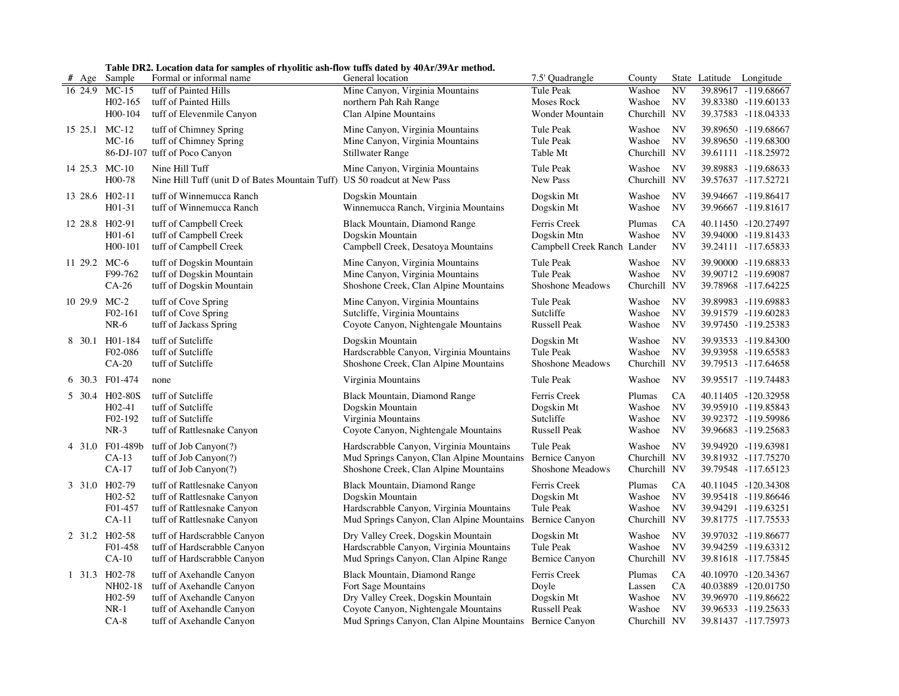| Table DR2. Location data for samples of rhypolitic ash-flow tuffs dated by 40Ar/39Ar method |  |
|---------------------------------------------------------------------------------------------|--|
|                                                                                             |  |

|                |                     | Table DR2. Location data for samples of rhyolitic ash-flow tuffs dated by 40Ar/39Ar method. |                                                          |                             |              |           |                          |                     |
|----------------|---------------------|---------------------------------------------------------------------------------------------|----------------------------------------------------------|-----------------------------|--------------|-----------|--------------------------|---------------------|
| # Age          | Sample              | Formal or informal name                                                                     | General location                                         | 7.5' Quadrangle             | County       |           | State Latitude Longitude |                     |
| 16 24.9        | $MC-15$             | tuff of Painted Hills                                                                       | Mine Canyon, Virginia Mountains                          | Tule Peak                   | Washoe       | <b>NV</b> |                          | 39.89617 -119.68667 |
|                | $H02-165$           | tuff of Painted Hills                                                                       | northern Pah Rah Range                                   | Moses Rock                  | Washoe       | <b>NV</b> |                          | 39.83380 -119.60133 |
|                | H00-104             | tuff of Elevenmile Canyon                                                                   | Clan Alpine Mountains                                    | Wonder Mountain             | Churchill NV |           |                          | 39.37583 -118.04333 |
| 15 25.1        | $MC-12$             | tuff of Chimney Spring                                                                      | Mine Canyon, Virginia Mountains                          | Tule Peak                   | Washoe       | <b>NV</b> |                          | 39.89650 -119.68667 |
|                | $MC-16$             | tuff of Chimney Spring                                                                      | Mine Canyon, Virginia Mountains                          | Tule Peak                   | Washoe       | <b>NV</b> |                          | 39.89650 -119.68300 |
|                |                     | 86-DJ-107 tuff of Poco Canyon                                                               | Stillwater Range                                         | Table Mt                    | Churchill NV |           |                          | 39.61111 -118.25972 |
| 14 25.3 MC-10  |                     | Nine Hill Tuff                                                                              | Mine Canyon, Virginia Mountains                          | Tule Peak                   | Washoe       | <b>NV</b> |                          | 39.89883 -119.68633 |
|                | H00-78              | Nine Hill Tuff (unit D of Bates Mountain Tuff) US 50 roadcut at New Pass                    |                                                          | New Pass                    | Churchill NV |           |                          | 39.57637 -117.52721 |
|                |                     |                                                                                             |                                                          |                             |              |           |                          |                     |
| 13 28.6 H02-11 |                     | tuff of Winnemucca Ranch                                                                    | Dogskin Mountain                                         | Dogskin Mt                  | Washoe       | <b>NV</b> |                          | 39.94667 -119.86417 |
|                | H01-31              | tuff of Winnemucca Ranch                                                                    | Winnemucca Ranch, Virginia Mountains                     | Dogskin Mt                  | Washoe       | <b>NV</b> |                          | 39.96667 -119.81617 |
| 12 28.8 H02-91 |                     | tuff of Campbell Creek                                                                      | Black Mountain, Diamond Range                            | Ferris Creek                | Plumas       | <b>CA</b> |                          | 40.11450 -120.27497 |
|                | $H01-61$            | tuff of Campbell Creek                                                                      | Dogskin Mountain                                         | Dogskin Mtn                 | Washoe       | <b>NV</b> |                          | 39.94000 -119.81433 |
|                | H00-101             | tuff of Campbell Creek                                                                      | Campbell Creek, Desatoya Mountains                       | Campbell Creek Ranch Lander |              | <b>NV</b> |                          | 39.24111 -117.65833 |
| 11 29.2 MC-6   |                     | tuff of Dogskin Mountain                                                                    | Mine Canyon, Virginia Mountains                          | Tule Peak                   | Washoe       | <b>NV</b> |                          | 39.90000 -119.68833 |
|                | F99-762             | tuff of Dogskin Mountain                                                                    | Mine Canyon, Virginia Mountains                          | Tule Peak                   | Washoe       | <b>NV</b> |                          | 39.90712 -119.69087 |
|                | $CA-26$             | tuff of Dogskin Mountain                                                                    | Shoshone Creek, Clan Alpine Mountains                    | Shoshone Meadows            | Churchill NV |           |                          | 39.78968 -117.64225 |
| 10 29.9        | $MC-2$              | tuff of Cove Spring                                                                         | Mine Canyon, Virginia Mountains                          | Tule Peak                   | Washoe       | <b>NV</b> |                          | 39.89983 -119.69883 |
|                | F02-161             | tuff of Cove Spring                                                                         | Sutcliffe, Virginia Mountains                            | Sutcliffe                   | Washoe       | <b>NV</b> |                          | 39.91579 -119.60283 |
|                | $NR-6$              | tuff of Jackass Spring                                                                      | Coyote Canyon, Nightengale Mountains                     | Russell Peak                | Washoe       | <b>NV</b> |                          | 39.97450 -119.25383 |
| 8 30.1         | H01-184             | tuff of Sutcliffe                                                                           | Dogskin Mountain                                         | Dogskin Mt                  | Washoe       | <b>NV</b> |                          | 39.93533 -119.84300 |
|                | F02-086             | tuff of Sutcliffe                                                                           | Hardscrabble Canyon, Virginia Mountains                  | Tule Peak                   | Washoe       | <b>NV</b> |                          | 39.93958 -119.65583 |
|                | $CA-20$             | tuff of Sutcliffe                                                                           | Shoshone Creek, Clan Alpine Mountains                    | Shoshone Meadows            | Churchill NV |           |                          | 39.79513 -117.64658 |
| 6 30.3         | F01-474             | none                                                                                        | Virginia Mountains                                       | Tule Peak                   | Washoe       | <b>NV</b> |                          | 39.95517 -119.74483 |
|                |                     |                                                                                             |                                                          |                             |              |           |                          |                     |
|                | 5 30.4 H02-80S      | tuff of Sutcliffe                                                                           | Black Mountain, Diamond Range                            | Ferris Creek                | Plumas       | CA        |                          | 40.11405 -120.32958 |
|                | $H02-41$            | tuff of Sutcliffe                                                                           | Dogskin Mountain                                         | Dogskin Mt                  | Washoe       | <b>NV</b> |                          | 39.95910 -119.85843 |
|                | F02-192             | tuff of Sutcliffe                                                                           | Virginia Mountains                                       | Sutcliffe                   | Washoe       | <b>NV</b> |                          | 39.92372 -119.59986 |
|                | $NR-3$              | tuff of Rattlesnake Canyon                                                                  | Coyote Canyon, Nightengale Mountains                     | <b>Russell Peak</b>         | Washoe       | <b>NV</b> |                          | 39.96683 -119.25683 |
| 4 31.0         | F01-489b            | tuff of Job Canyon $(?)$                                                                    | Hardscrabble Canyon, Virginia Mountains                  | Tule Peak                   | Washoe       | <b>NV</b> |                          | 39.94920 -119.63981 |
|                | $CA-13$             | tuff of Job Canyon(?)                                                                       | Mud Springs Canyon, Clan Alpine Mountains                | <b>Bernice Canyon</b>       | Churchill NV |           |                          | 39.81932 -117.75270 |
|                | $CA-17$             | tuff of Job Canyon(?)                                                                       | Shoshone Creek, Clan Alpine Mountains                    | Shoshone Meadows            | Churchill NV |           |                          | 39.79548 -117.65123 |
| 3 31.0         | H02-79              | tuff of Rattlesnake Canyon                                                                  | Black Mountain, Diamond Range                            | Ferris Creek                | Plumas       | <b>CA</b> |                          | 40.11045 -120.34308 |
|                | $H02-52$            | tuff of Rattlesnake Canyon                                                                  | Dogskin Mountain                                         | Dogskin Mt                  | Washoe       | <b>NV</b> |                          | 39.95418 -119.86646 |
|                | F01-457             | tuff of Rattlesnake Canyon                                                                  | Hardscrabble Canyon, Virginia Mountains                  | Tule Peak                   | Washoe       | NV        |                          | 39.94291 -119.63251 |
|                | $CA-11$             | tuff of Rattlesnake Canyon                                                                  | Mud Springs Canyon, Clan Alpine Mountains                | <b>Bernice Canyon</b>       | Churchill NV |           |                          | 39.81775 -117.75533 |
| 2 31.2 H02-58  |                     | tuff of Hardscrabble Canyon                                                                 | Dry Valley Creek, Dogskin Mountain                       | Dogskin Mt                  | Washoe       | <b>NV</b> |                          | 39.97032 -119.86677 |
|                | F01-458             | tuff of Hardscrabble Canyon                                                                 | Hardscrabble Canyon, Virginia Mountains                  | Tule Peak                   | Washoe       | <b>NV</b> |                          | 39.94259 -119.63312 |
|                | $CA-10$             | tuff of Hardscrabble Canyon                                                                 | Mud Springs Canyon, Clan Alpine Range                    | <b>Bernice Canyon</b>       | Churchill NV |           |                          | 39.81618 -117.75845 |
| 1 31.3         | H <sub>02-78</sub>  | tuff of Axehandle Canyon                                                                    | Black Mountain, Diamond Range                            | Ferris Creek                | Plumas       | CA        |                          | 40.10970 -120.34367 |
|                | NH02-18             | tuff of Axehandle Canyon                                                                    | Fort Sage Mountains                                      | Doyle                       | Lassen       | <b>CA</b> |                          | 40.03889 -120.01750 |
|                | H <sub>02</sub> -59 | tuff of Axehandle Canyon                                                                    | Dry Valley Creek, Dogskin Mountain                       | Dogskin Mt                  | Washoe       | <b>NV</b> |                          | 39.96970 -119.86622 |
|                | $NR-1$              | tuff of Axehandle Canyon                                                                    | Coyote Canyon, Nightengale Mountains                     | <b>Russell Peak</b>         | Washoe       | <b>NV</b> |                          | 39.96533 -119.25633 |
|                | $CA-8$              | tuff of Axehandle Canyon                                                                    | Mud Springs Canyon, Clan Alpine Mountains Bernice Canyon |                             | Churchill NV |           |                          | 39.81437 -117.75973 |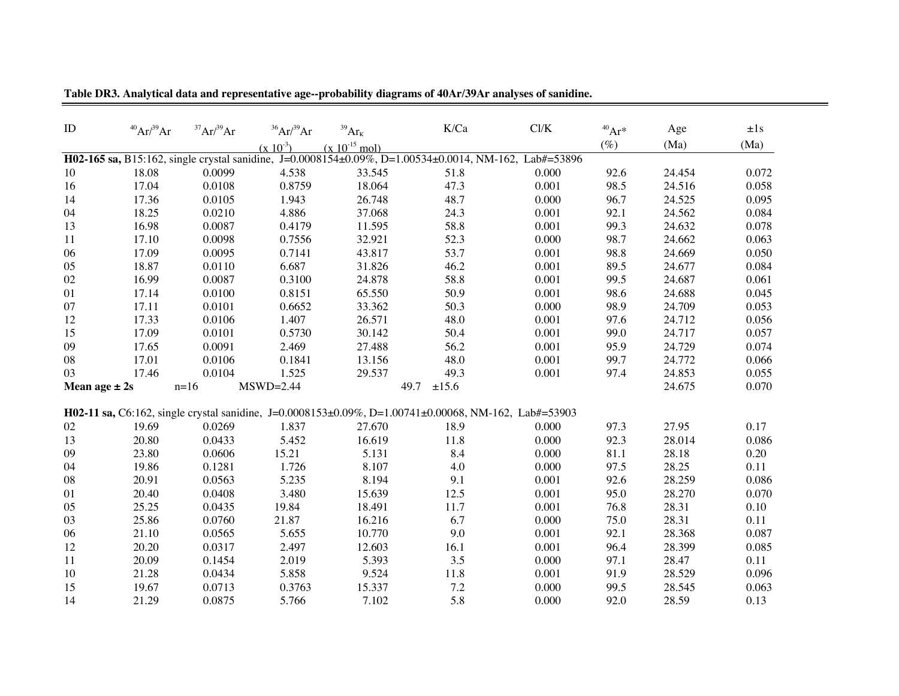| ID                | $^{40}Ar/^{39}Ar$ | $^{37}Ar/^{39}Ar$ | $36$ Ar $/39$ Ar | $^{39}\mathrm{Ar}_{\mathrm{K}}$                                                                              | K/Ca  | Cl/K  | $^{40}Ar*$ | Age    | $\pm 1s$ |
|-------------------|-------------------|-------------------|------------------|--------------------------------------------------------------------------------------------------------------|-------|-------|------------|--------|----------|
|                   |                   |                   | $(x 10^{-3})$    | $(x 10^{-15}$ mol)                                                                                           |       |       | $(\%)$     | (Ma)   | (Ma)     |
|                   |                   |                   |                  | H02-165 sa, B15:162, single crystal sanidine, J=0.0008154±0.09%, D=1.00534±0.0014, NM-162, Lab#=53896        |       |       |            |        |          |
| 10                | 18.08             | 0.0099            | 4.538            | 33.545                                                                                                       | 51.8  | 0.000 | 92.6       | 24.454 | 0.072    |
| 16                | 17.04             | 0.0108            | 0.8759           | 18.064                                                                                                       | 47.3  | 0.001 | 98.5       | 24.516 | 0.058    |
| 14                | 17.36             | 0.0105            | 1.943            | 26.748                                                                                                       | 48.7  | 0.000 | 96.7       | 24.525 | 0.095    |
| 04                | 18.25             | 0.0210            | 4.886            | 37.068                                                                                                       | 24.3  | 0.001 | 92.1       | 24.562 | 0.084    |
| 13                | 16.98             | 0.0087            | 0.4179           | 11.595                                                                                                       | 58.8  | 0.001 | 99.3       | 24.632 | 0.078    |
| 11                | 17.10             | 0.0098            | 0.7556           | 32.921                                                                                                       | 52.3  | 0.000 | 98.7       | 24.662 | 0.063    |
| 06                | 17.09             | 0.0095            | 0.7141           | 43.817                                                                                                       | 53.7  | 0.001 | 98.8       | 24.669 | 0.050    |
| 05                | 18.87             | 0.0110            | 6.687            | 31.826                                                                                                       | 46.2  | 0.001 | 89.5       | 24.677 | 0.084    |
| 02                | 16.99             | 0.0087            | 0.3100           | 24.878                                                                                                       | 58.8  | 0.001 | 99.5       | 24.687 | 0.061    |
| 01                | 17.14             | 0.0100            | 0.8151           | 65.550                                                                                                       | 50.9  | 0.001 | 98.6       | 24.688 | 0.045    |
| 07                | 17.11             | 0.0101            | 0.6652           | 33.362                                                                                                       | 50.3  | 0.000 | 98.9       | 24.709 | 0.053    |
| 12                | 17.33             | 0.0106            | 1.407            | 26.571                                                                                                       | 48.0  | 0.001 | 97.6       | 24.712 | 0.056    |
| 15                | 17.09             | 0.0101            | 0.5730           | 30.142                                                                                                       | 50.4  | 0.001 | 99.0       | 24.717 | 0.057    |
| 09                | 17.65             | 0.0091            | 2.469            | 27.488                                                                                                       | 56.2  | 0.001 | 95.9       | 24.729 | 0.074    |
| 08                | 17.01             | 0.0106            | 0.1841           | 13.156                                                                                                       | 48.0  | 0.001 | 99.7       | 24.772 | 0.066    |
| 03                | 17.46             | 0.0104            | 1.525            | 29.537                                                                                                       | 49.3  | 0.001 | 97.4       | 24.853 | 0.055    |
| Mean age $\pm 2s$ |                   | $n=16$            | $MSWD=2.44$      | 49.7                                                                                                         | ±15.6 |       |            | 24.675 | 0.070    |
|                   |                   |                   |                  | <b>H02-11 sa, C6:162</b> , single crystal sanidine, J=0.0008153±0.09%, D=1.00741±0.00068, NM-162, Lab#=53903 |       |       |            |        |          |
| 02                | 19.69             | 0.0269            | 1.837            | 27.670                                                                                                       | 18.9  | 0.000 | 97.3       | 27.95  | 0.17     |
| 13                | 20.80             | 0.0433            | 5.452            | 16.619                                                                                                       | 11.8  | 0.000 | 92.3       | 28.014 | 0.086    |
| 09                | 23.80             | 0.0606            | 15.21            | 5.131                                                                                                        | 8.4   | 0.000 | 81.1       | 28.18  | 0.20     |
| 04                | 19.86             | 0.1281            | 1.726            | 8.107                                                                                                        | 4.0   | 0.000 | 97.5       | 28.25  | 0.11     |
| 08                | 20.91             | 0.0563            | 5.235            | 8.194                                                                                                        | 9.1   | 0.001 | 92.6       | 28.259 | 0.086    |
| 01                | 20.40             | 0.0408            | 3.480            | 15.639                                                                                                       | 12.5  | 0.001 | 95.0       | 28.270 | 0.070    |
| 05                | 25.25             | 0.0435            | 19.84            | 18.491                                                                                                       | 11.7  | 0.001 | 76.8       | 28.31  | 0.10     |
| 03                | 25.86             | 0.0760            | 21.87            | 16.216                                                                                                       | 6.7   | 0.000 | 75.0       | 28.31  | 0.11     |
| 06                | 21.10             | 0.0565            | 5.655            | 10.770                                                                                                       | 9.0   | 0.001 | 92.1       | 28.368 | 0.087    |
| 12                | 20.20             | 0.0317            | 2.497            | 12.603                                                                                                       | 16.1  | 0.001 | 96.4       | 28.399 | 0.085    |
| 11                | 20.09             | 0.1454            | 2.019            | 5.393                                                                                                        | 3.5   | 0.000 | 97.1       | 28.47  | 0.11     |
| 10                | 21.28             | 0.0434            | 5.858            | 9.524                                                                                                        | 11.8  | 0.001 | 91.9       | 28.529 | 0.096    |
| 15                | 19.67             | 0.0713            | 0.3763           | 15.337                                                                                                       | 7.2   | 0.000 | 99.5       | 28.545 | 0.063    |
| 14                | 21.29             | 0.0875            | 5.766            | 7.102                                                                                                        | 5.8   | 0.000 | 92.0       | 28.59  | 0.13     |

**Table DR3. Analytical data and representative age--probability diagrams of 40Ar/39Ar analyses of sanidine.**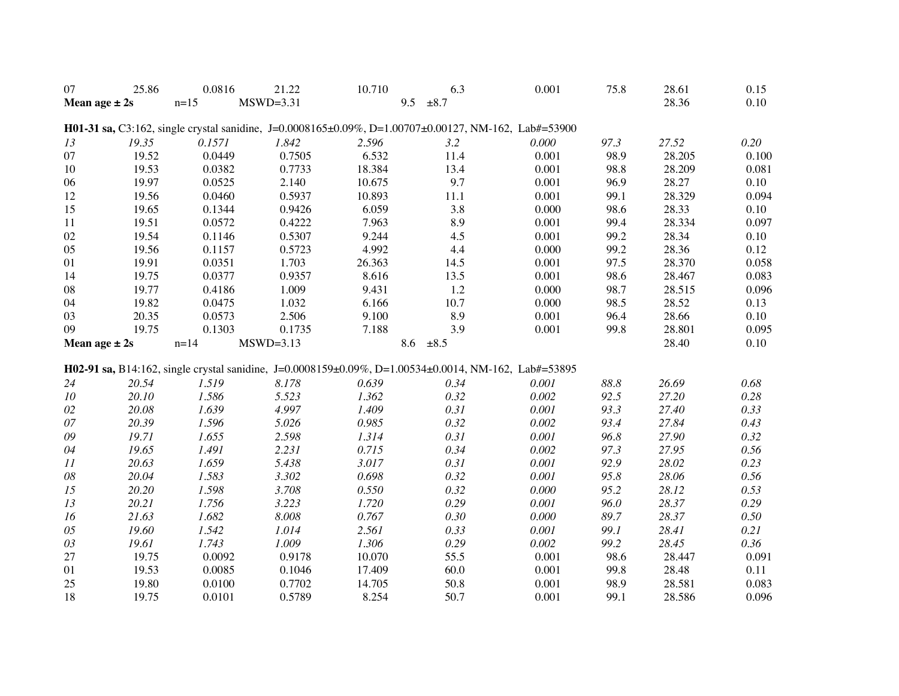| 07                | 25.86             | 0.0816   | 21.22       | 10.710 | 6.3                                                                                                  | 0.001 | 75.8 | 28.61  | 0.15  |
|-------------------|-------------------|----------|-------------|--------|------------------------------------------------------------------------------------------------------|-------|------|--------|-------|
|                   | Mean age $\pm 2s$ | $n=15$   | $MSWD=3.31$ |        | 9.5<br>$\pm 8.7$                                                                                     |       |      | 28.36  | 0.10  |
|                   |                   |          |             |        |                                                                                                      |       |      |        |       |
|                   |                   |          |             |        | H01-31 sa, C3:162, single crystal sanidine, J=0.0008165±0.09%, D=1.00707±0.00127, NM-162, Lab#=53900 |       |      |        |       |
| 13                | 19.35             | 0.1571   | 1.842       | 2.596  | 3.2                                                                                                  | 0.000 | 97.3 | 27.52  | 0.20  |
| 07                | 19.52             | 0.0449   | 0.7505      | 6.532  | 11.4                                                                                                 | 0.001 | 98.9 | 28.205 | 0.100 |
| 10                | 19.53             | 0.0382   | 0.7733      | 18.384 | 13.4                                                                                                 | 0.001 | 98.8 | 28.209 | 0.081 |
| 06                | 19.97             | 0.0525   | 2.140       | 10.675 | 9.7                                                                                                  | 0.001 | 96.9 | 28.27  | 0.10  |
| 12                | 19.56             | 0.0460   | 0.5937      | 10.893 | 11.1                                                                                                 | 0.001 | 99.1 | 28.329 | 0.094 |
| 15                | 19.65             | 0.1344   | 0.9426      | 6.059  | 3.8                                                                                                  | 0.000 | 98.6 | 28.33  | 0.10  |
| 11                | 19.51             | 0.0572   | 0.4222      | 7.963  | 8.9                                                                                                  | 0.001 | 99.4 | 28.334 | 0.097 |
| 02                | 19.54             | 0.1146   | 0.5307      | 9.244  | 4.5                                                                                                  | 0.001 | 99.2 | 28.34  | 0.10  |
| 05                | 19.56             | 0.1157   | 0.5723      | 4.992  | 4.4                                                                                                  | 0.000 | 99.2 | 28.36  | 0.12  |
| 01                | 19.91             | 0.0351   | 1.703       | 26.363 | 14.5                                                                                                 | 0.001 | 97.5 | 28.370 | 0.058 |
| 14                | 19.75             | 0.0377   | 0.9357      | 8.616  | 13.5                                                                                                 | 0.001 | 98.6 | 28.467 | 0.083 |
| 08                | 19.77             | 0.4186   | 1.009       | 9.431  | 1.2                                                                                                  | 0.000 | 98.7 | 28.515 | 0.096 |
| 04                | 19.82             | 0.0475   | 1.032       | 6.166  | 10.7                                                                                                 | 0.000 | 98.5 | 28.52  | 0.13  |
| 03                | 20.35             | 0.0573   | 2.506       | 9.100  | 8.9                                                                                                  | 0.001 | 96.4 | 28.66  | 0.10  |
| 09                | 19.75             | 0.1303   | 0.1735      | 7.188  | 3.9                                                                                                  | 0.001 | 99.8 | 28.801 | 0.095 |
|                   | Mean age $\pm 2s$ | $n = 14$ | $MSWD=3.13$ |        | 8.6<br>$\pm 8.5$                                                                                     |       |      | 28.40  | 0.10  |
|                   |                   |          |             |        |                                                                                                      |       |      |        |       |
|                   |                   |          |             |        | H02-91 sa, B14:162, single crystal sanidine, J=0.0008159±0.09%, D=1.00534±0.0014, NM-162, Lab#=53895 |       |      |        |       |
| 24                | 20.54             | 1.519    | 8.178       | 0.639  | 0.34                                                                                                 | 0.001 | 88.8 | 26.69  | 0.68  |
| ${\it 10}$        | 20.10             | 1.586    | 5.523       | 1.362  | 0.32                                                                                                 | 0.002 | 92.5 | 27.20  | 0.28  |
| $02\,$            | 20.08             | 1.639    | 4.997       | 1.409  | 0.31                                                                                                 | 0.001 | 93.3 | 27.40  | 0.33  |
| 07                | 20.39             | 1.596    | 5.026       | 0.985  | 0.32                                                                                                 | 0.002 | 93.4 | 27.84  | 0.43  |
| 09                | 19.71             | 1.655    | 2.598       | 1.314  | 0.31                                                                                                 | 0.001 | 96.8 | 27.90  | 0.32  |
| 04                | 19.65             | 1.491    | 2.231       | 0.715  | 0.34                                                                                                 | 0.002 | 97.3 | 27.95  | 0.56  |
| $\cal{I} \cal{I}$ | 20.63             | 1.659    | 5.438       | 3.017  | 0.31                                                                                                 | 0.001 | 92.9 | 28.02  | 0.23  |
| $08\,$            | 20.04             | 1.583    | 3.302       | 0.698  | 0.32                                                                                                 | 0.001 | 95.8 | 28.06  | 0.56  |
| 15                | 20.20             | 1.598    | 3.708       | 0.550  | 0.32                                                                                                 | 0.000 | 95.2 | 28.12  | 0.53  |
| 13                | 20.21             | 1.756    | 3.223       | 1.720  | 0.29                                                                                                 | 0.001 | 96.0 | 28.37  | 0.29  |
| 16                | 21.63             | 1.682    | 8.008       | 0.767  | 0.30                                                                                                 | 0.000 | 89.7 | 28.37  | 0.50  |
| $05\,$            | 19.60             | 1.542    | 1.014       | 2.561  | 0.33                                                                                                 | 0.001 | 99.1 | 28.41  | 0.21  |
| 03                | 19.61             | 1.743    | 1.009       | 1.306  | 0.29                                                                                                 | 0.002 | 99.2 | 28.45  | 0.36  |
| 27                | 19.75             | 0.0092   | 0.9178      | 10.070 | 55.5                                                                                                 | 0.001 | 98.6 | 28.447 | 0.091 |
| 01                | 19.53             | 0.0085   | 0.1046      | 17.409 | 60.0                                                                                                 | 0.001 | 99.8 | 28.48  | 0.11  |
| 25                | 19.80             | 0.0100   | 0.7702      | 14.705 | 50.8                                                                                                 | 0.001 | 98.9 | 28.581 | 0.083 |
| 18                | 19.75             | 0.0101   | 0.5789      | 8.254  | 50.7                                                                                                 | 0.001 | 99.1 | 28.586 | 0.096 |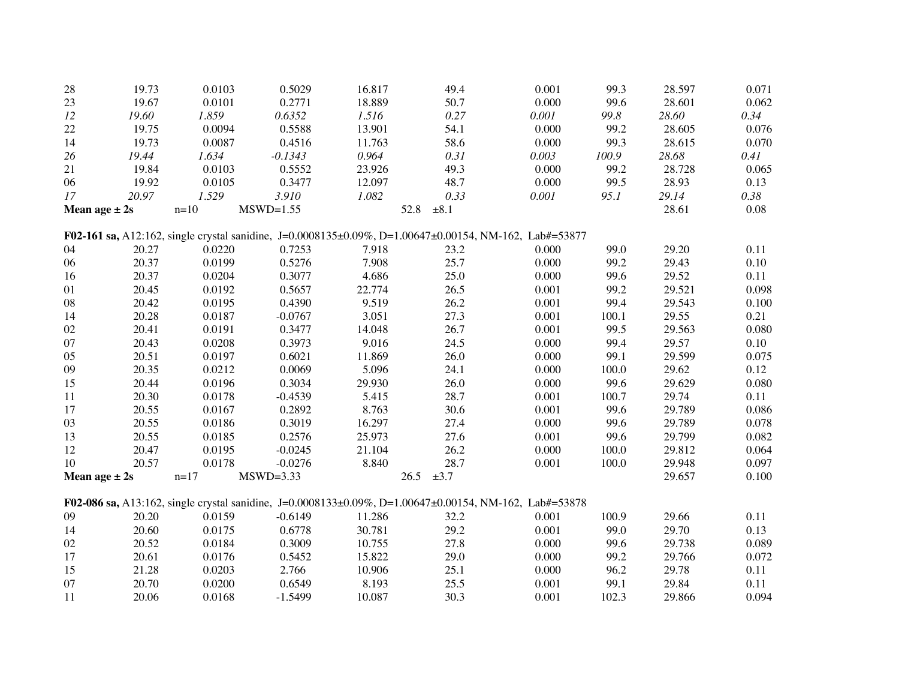| 28                | 19.73          | 0.0103           | 0.5029           | 16.817         | 49.4              | 0.001                                                                                                  | 99.3          | 28.597          | 0.071        |
|-------------------|----------------|------------------|------------------|----------------|-------------------|--------------------------------------------------------------------------------------------------------|---------------|-----------------|--------------|
| 23                | 19.67          | 0.0101           | 0.2771           | 18.889         | 50.7              | 0.000                                                                                                  | 99.6          | 28.601          | 0.062        |
| 12                | 19.60          | 1.859            | 0.6352           | 1.516          | 0.27              | 0.001                                                                                                  | 99.8          | 28.60           | 0.34         |
| 22                | 19.75          | 0.0094           | 0.5588           | 13.901         | 54.1              | 0.000                                                                                                  | 99.2          | 28.605          | 0.076        |
| 14                | 19.73          | 0.0087           | 0.4516           | 11.763         | 58.6              | 0.000                                                                                                  | 99.3          | 28.615          | 0.070        |
| 26                | 19.44          | 1.634            | $-0.1343$        | 0.964          | 0.31              | 0.003                                                                                                  | 100.9         | 28.68           | 0.41         |
| 21                | 19.84          | 0.0103           | 0.5552           | 23.926         | 49.3              | 0.000                                                                                                  | 99.2          | 28.728          | 0.065        |
| 06                | 19.92          | 0.0105           | 0.3477           | 12.097         | 48.7              | 0.000                                                                                                  | 99.5          | 28.93           | 0.13         |
| 17                | 20.97          | 1.529            | 3.910            | 1.082          | 0.33              | 0.001                                                                                                  | 95.1          | 29.14           | 0.38         |
| Mean age $\pm 2s$ |                | $n=10$           | $MSWD=1.55$      |                | 52.8<br>$\pm 8.1$ |                                                                                                        |               | 28.61           | $0.08\,$     |
|                   |                |                  |                  |                |                   | F02-161 sa, A12:162, single crystal sanidine, J=0.0008135±0.09%, D=1.00647±0.00154, NM-162, Lab#=53877 |               |                 |              |
|                   |                |                  |                  |                |                   |                                                                                                        | 99.0          | 29.20           |              |
| 04<br>06          | 20.27<br>20.37 | 0.0220<br>0.0199 | 0.7253<br>0.5276 | 7.918<br>7.908 | 23.2<br>25.7      | 0.000<br>0.000                                                                                         | 99.2          | 29.43           | 0.11<br>0.10 |
|                   | 20.37          | 0.0204           | 0.3077           | 4.686          | 25.0              | 0.000                                                                                                  | 99.6          | 29.52           | 0.11         |
| 16                | 20.45          |                  | 0.5657           | 22.774         | 26.5              |                                                                                                        | 99.2          | 29.521          |              |
| 01                | 20.42          | 0.0192           | 0.4390           | 9.519          | 26.2              | 0.001                                                                                                  |               |                 | 0.098        |
| ${\bf 08}$        |                | 0.0195<br>0.0187 | $-0.0767$        |                | 27.3              | 0.001<br>0.001                                                                                         | 99.4<br>100.1 | 29.543<br>29.55 | 0.100        |
| 14                | 20.28          |                  |                  | 3.051          |                   |                                                                                                        |               |                 | 0.21         |
| 02                | 20.41          | 0.0191           | 0.3477           | 14.048         | 26.7              | 0.001                                                                                                  | 99.5          | 29.563          | 0.080        |
| 07                | 20.43          | 0.0208           | 0.3973           | 9.016          | 24.5              | 0.000                                                                                                  | 99.4          | 29.57           | 0.10         |
| 05                | 20.51          | 0.0197           | 0.6021           | 11.869         | 26.0              | 0.000                                                                                                  | 99.1          | 29.599          | 0.075        |
| 09                | 20.35          | 0.0212           | 0.0069           | 5.096          | 24.1              | 0.000                                                                                                  | 100.0         | 29.62           | 0.12         |
| 15                | 20.44          | 0.0196           | 0.3034           | 29.930         | 26.0              | 0.000                                                                                                  | 99.6          | 29.629          | 0.080        |
| 11                | 20.30          | 0.0178           | $-0.4539$        | 5.415          | 28.7              | 0.001                                                                                                  | 100.7         | 29.74           | 0.11         |
| 17                | 20.55          | 0.0167           | 0.2892           | 8.763          | 30.6              | 0.001                                                                                                  | 99.6          | 29.789          | 0.086        |
| 03                | 20.55          | 0.0186           | 0.3019           | 16.297         | 27.4              | 0.000                                                                                                  | 99.6          | 29.789          | 0.078        |
| 13                | 20.55          | 0.0185           | 0.2576           | 25.973         | 27.6              | 0.001                                                                                                  | 99.6          | 29.799          | 0.082        |
| 12                | 20.47          | 0.0195           | $-0.0245$        | 21.104         | 26.2              | 0.000                                                                                                  | 100.0         | 29.812          | 0.064        |
| 10                | 20.57          | 0.0178           | $-0.0276$        | 8.840          | 28.7              | 0.001                                                                                                  | 100.0         | 29.948          | 0.097        |
| Mean age $\pm 2s$ |                | $n=17$           | $MSWD=3.33$      |                | 26.5<br>$\pm 3.7$ |                                                                                                        |               | 29.657          | 0.100        |
|                   |                |                  |                  |                |                   | F02-086 sa, A13:162, single crystal sanidine, J=0.0008133±0.09%, D=1.00647±0.00154, NM-162, Lab#=53878 |               |                 |              |
| 09                | 20.20          | 0.0159           | $-0.6149$        | 11.286         | 32.2              | 0.001                                                                                                  | 100.9         | 29.66           | 0.11         |
| 14                | 20.60          | 0.0175           | 0.6778           | 30.781         | 29.2              | 0.001                                                                                                  | 99.0          | 29.70           | 0.13         |
| 02                | 20.52          | 0.0184           | 0.3009           | 10.755         | 27.8              | 0.000                                                                                                  | 99.6          | 29.738          | 0.089        |
| 17                | 20.61          | 0.0176           | 0.5452           | 15.822         | 29.0              | 0.000                                                                                                  | 99.2          | 29.766          | 0.072        |
| 15                | 21.28          | 0.0203           | 2.766            | 10.906         | 25.1              | 0.000                                                                                                  | 96.2          | 29.78           | 0.11         |
| 07                | 20.70          | 0.0200           | 0.6549           | 8.193          | 25.5              | 0.001                                                                                                  | 99.1          | 29.84           | 0.11         |
| 11                | 20.06          | 0.0168           | $-1.5499$        | 10.087         | 30.3              | 0.001                                                                                                  | 102.3         | 29.866          | 0.094        |
|                   |                |                  |                  |                |                   |                                                                                                        |               |                 |              |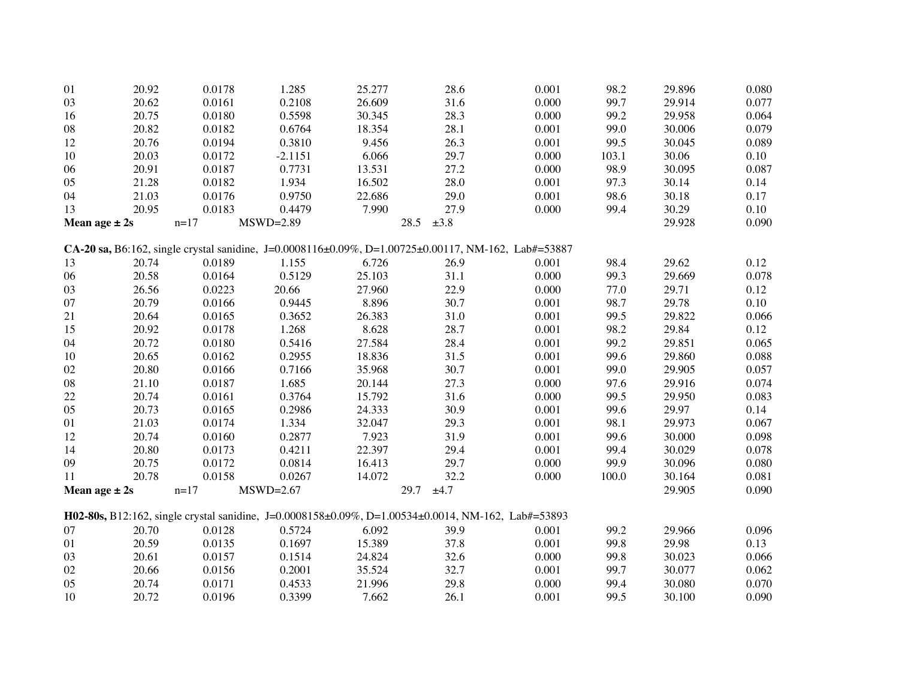| 01                | 20.92 | 0.0178 | 1.285       | 25.277 | 28.6                                                                                                | 0.001 | 98.2  | 29.896 | 0.080 |
|-------------------|-------|--------|-------------|--------|-----------------------------------------------------------------------------------------------------|-------|-------|--------|-------|
| 03                | 20.62 | 0.0161 | 0.2108      | 26.609 | 31.6                                                                                                | 0.000 | 99.7  | 29.914 | 0.077 |
| 16                | 20.75 | 0.0180 | 0.5598      | 30.345 | 28.3                                                                                                | 0.000 | 99.2  | 29.958 | 0.064 |
| ${\bf 08}$        | 20.82 | 0.0182 | 0.6764      | 18.354 | 28.1                                                                                                | 0.001 | 99.0  | 30.006 | 0.079 |
| 12                | 20.76 | 0.0194 | 0.3810      | 9.456  | 26.3                                                                                                | 0.001 | 99.5  | 30.045 | 0.089 |
| 10                | 20.03 | 0.0172 | $-2.1151$   | 6.066  | 29.7                                                                                                | 0.000 | 103.1 | 30.06  | 0.10  |
| 06                | 20.91 | 0.0187 | 0.7731      | 13.531 | 27.2                                                                                                | 0.000 | 98.9  | 30.095 | 0.087 |
| 05                | 21.28 | 0.0182 | 1.934       | 16.502 | 28.0                                                                                                | 0.001 | 97.3  | 30.14  | 0.14  |
| 04                | 21.03 | 0.0176 | 0.9750      | 22.686 | 29.0                                                                                                | 0.001 | 98.6  | 30.18  | 0.17  |
| 13                | 20.95 | 0.0183 | 0.4479      | 7.990  | 27.9                                                                                                | 0.000 | 99.4  | 30.29  | 0.10  |
| Mean age $\pm 2s$ |       | $n=17$ | $MSWD=2.89$ | 28.5   | $\pm 3.8$                                                                                           |       |       | 29.928 | 0.090 |
|                   |       |        |             |        | CA-20 sa, B6:162, single crystal sanidine, J=0.0008116±0.09%, D=1.00725±0.00117, NM-162, Lab#=53887 |       |       |        |       |
| 13                | 20.74 | 0.0189 | 1.155       | 6.726  | 26.9                                                                                                | 0.001 | 98.4  | 29.62  | 0.12  |
| 06                | 20.58 | 0.0164 | 0.5129      | 25.103 | 31.1                                                                                                | 0.000 | 99.3  | 29.669 | 0.078 |
| 03                | 26.56 | 0.0223 | 20.66       | 27.960 | 22.9                                                                                                | 0.000 | 77.0  | 29.71  | 0.12  |
| 07                | 20.79 | 0.0166 | 0.9445      | 8.896  | 30.7                                                                                                | 0.001 | 98.7  | 29.78  | 0.10  |
| 21                | 20.64 | 0.0165 | 0.3652      | 26.383 | 31.0                                                                                                | 0.001 | 99.5  | 29.822 | 0.066 |
| 15                | 20.92 | 0.0178 | 1.268       | 8.628  | 28.7                                                                                                | 0.001 | 98.2  | 29.84  | 0.12  |
| 04                | 20.72 | 0.0180 | 0.5416      | 27.584 | 28.4                                                                                                | 0.001 | 99.2  | 29.851 | 0.065 |
| 10                | 20.65 | 0.0162 | 0.2955      | 18.836 | 31.5                                                                                                | 0.001 | 99.6  | 29.860 | 0.088 |
| 02                | 20.80 | 0.0166 | 0.7166      | 35.968 | 30.7                                                                                                | 0.001 | 99.0  | 29.905 | 0.057 |
| ${\bf 08}$        | 21.10 | 0.0187 | 1.685       | 20.144 | 27.3                                                                                                | 0.000 | 97.6  | 29.916 | 0.074 |
| 22                | 20.74 | 0.0161 | 0.3764      | 15.792 | 31.6                                                                                                | 0.000 | 99.5  | 29.950 | 0.083 |
| 05                | 20.73 | 0.0165 | 0.2986      | 24.333 | 30.9                                                                                                | 0.001 | 99.6  | 29.97  | 0.14  |
| 01                | 21.03 | 0.0174 | 1.334       | 32.047 | 29.3                                                                                                | 0.001 | 98.1  | 29.973 | 0.067 |
| 12                | 20.74 | 0.0160 | 0.2877      | 7.923  | 31.9                                                                                                | 0.001 | 99.6  | 30.000 | 0.098 |
| 14                | 20.80 | 0.0173 | 0.4211      | 22.397 | 29.4                                                                                                | 0.001 | 99.4  | 30.029 | 0.078 |
| 09                | 20.75 | 0.0172 | 0.0814      | 16.413 | 29.7                                                                                                | 0.000 | 99.9  | 30.096 | 0.080 |
| 11                | 20.78 | 0.0158 | 0.0267      | 14.072 | 32.2                                                                                                | 0.000 | 100.0 | 30.164 | 0.081 |
| Mean age $\pm 2s$ |       | $n=17$ | $MSWD=2.67$ | 29.7   | ±4.7                                                                                                |       |       | 29.905 | 0.090 |
|                   |       |        |             |        | H02-80s, B12:162, single crystal sanidine, J=0.0008158±0.09%, D=1.00534±0.0014, NM-162, Lab#=53893  |       |       |        |       |
| 07                | 20.70 | 0.0128 | 0.5724      | 6.092  | 39.9                                                                                                | 0.001 | 99.2  | 29.966 | 0.096 |
| 01                | 20.59 | 0.0135 | 0.1697      | 15.389 | 37.8                                                                                                | 0.001 | 99.8  | 29.98  | 0.13  |
| 03                | 20.61 | 0.0157 | 0.1514      | 24.824 | 32.6                                                                                                | 0.000 | 99.8  | 30.023 | 0.066 |
| 02                | 20.66 | 0.0156 | 0.2001      | 35.524 | 32.7                                                                                                | 0.001 | 99.7  | 30.077 | 0.062 |
| 05                | 20.74 | 0.0171 | 0.4533      | 21.996 | 29.8                                                                                                | 0.000 | 99.4  | 30.080 | 0.070 |
| 10                | 20.72 | 0.0196 | 0.3399      | 7.662  | 26.1                                                                                                | 0.001 | 99.5  | 30.100 | 0.090 |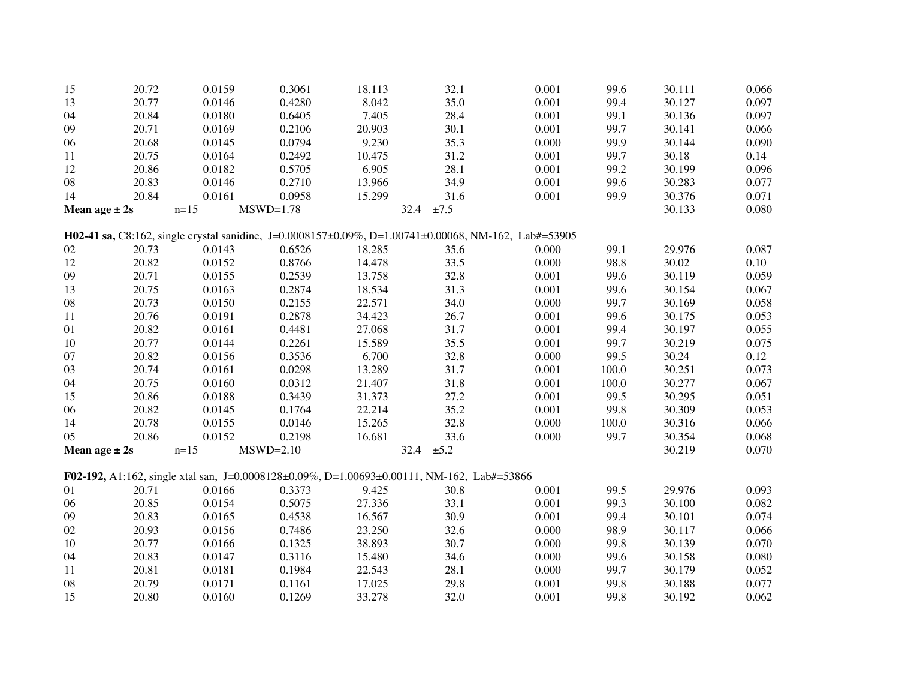| 15                | 20.72 | 0.0159                                                                                               | 0.3061      | 18.113 | 32.1 | 0.001 | 99.6  | 30.111 | 0.066 |
|-------------------|-------|------------------------------------------------------------------------------------------------------|-------------|--------|------|-------|-------|--------|-------|
| 13                | 20.77 | 0.0146                                                                                               | 0.4280      | 8.042  | 35.0 | 0.001 | 99.4  | 30.127 | 0.097 |
| 04                | 20.84 | 0.0180                                                                                               | 0.6405      | 7.405  | 28.4 | 0.001 | 99.1  | 30.136 | 0.097 |
| 09                | 20.71 | 0.0169                                                                                               | 0.2106      | 20.903 | 30.1 | 0.001 | 99.7  | 30.141 | 0.066 |
| 06                | 20.68 | 0.0145                                                                                               | 0.0794      | 9.230  | 35.3 | 0.000 | 99.9  | 30.144 | 0.090 |
| 11                | 20.75 | 0.0164                                                                                               | 0.2492      | 10.475 | 31.2 | 0.001 | 99.7  | 30.18  | 0.14  |
| 12                | 20.86 | 0.0182                                                                                               | 0.5705      | 6.905  | 28.1 | 0.001 | 99.2  | 30.199 | 0.096 |
| ${\bf 08}$        | 20.83 | 0.0146                                                                                               | 0.2710      | 13.966 | 34.9 | 0.001 | 99.6  | 30.283 | 0.077 |
| 14                | 20.84 | 0.0161                                                                                               | 0.0958      | 15.299 | 31.6 | 0.001 | 99.9  | 30.376 | 0.071 |
| Mean age $\pm 2s$ |       | $n=15$                                                                                               | $MSWD=1.78$ | 32.4   | ±7.5 |       |       | 30.133 | 0.080 |
|                   |       |                                                                                                      |             |        |      |       |       |        |       |
|                   |       | H02-41 sa, C8:162, single crystal sanidine, J=0.0008157±0.09%, D=1.00741±0.00068, NM-162, Lab#=53905 |             |        |      |       |       |        |       |
| 02                | 20.73 | 0.0143                                                                                               | 0.6526      | 18.285 | 35.6 | 0.000 | 99.1  | 29.976 | 0.087 |
| 12                | 20.82 | 0.0152                                                                                               | 0.8766      | 14.478 | 33.5 | 0.000 | 98.8  | 30.02  | 0.10  |
| 09                | 20.71 | 0.0155                                                                                               | 0.2539      | 13.758 | 32.8 | 0.001 | 99.6  | 30.119 | 0.059 |
| 13                | 20.75 | 0.0163                                                                                               | 0.2874      | 18.534 | 31.3 | 0.001 | 99.6  | 30.154 | 0.067 |
| ${\bf 08}$        | 20.73 | 0.0150                                                                                               | 0.2155      | 22.571 | 34.0 | 0.000 | 99.7  | 30.169 | 0.058 |
| 11                | 20.76 | 0.0191                                                                                               | 0.2878      | 34.423 | 26.7 | 0.001 | 99.6  | 30.175 | 0.053 |
| 01                | 20.82 | 0.0161                                                                                               | 0.4481      | 27.068 | 31.7 | 0.001 | 99.4  | 30.197 | 0.055 |
| 10                | 20.77 | 0.0144                                                                                               | 0.2261      | 15.589 | 35.5 | 0.001 | 99.7  | 30.219 | 0.075 |
| 07                | 20.82 | 0.0156                                                                                               | 0.3536      | 6.700  | 32.8 | 0.000 | 99.5  | 30.24  | 0.12  |
| 03                | 20.74 | 0.0161                                                                                               | 0.0298      | 13.289 | 31.7 | 0.001 | 100.0 | 30.251 | 0.073 |
| 04                | 20.75 | 0.0160                                                                                               | 0.0312      | 21.407 | 31.8 | 0.001 | 100.0 | 30.277 | 0.067 |
| 15                | 20.86 | 0.0188                                                                                               | 0.3439      | 31.373 | 27.2 | 0.001 | 99.5  | 30.295 | 0.051 |
| 06                | 20.82 | 0.0145                                                                                               | 0.1764      | 22.214 | 35.2 | 0.001 | 99.8  | 30.309 | 0.053 |
| 14                | 20.78 | 0.0155                                                                                               | 0.0146      | 15.265 | 32.8 | 0.000 | 100.0 | 30.316 | 0.066 |
| 05                | 20.86 | 0.0152                                                                                               | 0.2198      | 16.681 | 33.6 | 0.000 | 99.7  | 30.354 | 0.068 |
| Mean age $\pm 2s$ |       | $n=15$                                                                                               | $MSWD=2.10$ | 32.4   | ±5.2 |       |       | 30.219 | 0.070 |
|                   |       |                                                                                                      |             |        |      |       |       |        |       |
|                   |       | F02-192, A1:162, single xtal san, J=0.0008128±0.09%, D=1.00693±0.00111, NM-162, Lab#=53866           |             |        |      |       |       |        |       |
| 01                | 20.71 | 0.0166                                                                                               | 0.3373      | 9.425  | 30.8 | 0.001 | 99.5  | 29.976 | 0.093 |
| 06                | 20.85 | 0.0154                                                                                               | 0.5075      | 27.336 | 33.1 | 0.001 | 99.3  | 30.100 | 0.082 |
| 09                | 20.83 | 0.0165                                                                                               | 0.4538      | 16.567 | 30.9 | 0.001 | 99.4  | 30.101 | 0.074 |
| 02                | 20.93 | 0.0156                                                                                               | 0.7486      | 23.250 | 32.6 | 0.000 | 98.9  | 30.117 | 0.066 |
| 10                | 20.77 | 0.0166                                                                                               | 0.1325      | 38.893 | 30.7 | 0.000 | 99.8  | 30.139 | 0.070 |
| 04                | 20.83 | 0.0147                                                                                               | 0.3116      | 15.480 | 34.6 | 0.000 | 99.6  | 30.158 | 0.080 |
| 11                | 20.81 | 0.0181                                                                                               | 0.1984      | 22.543 | 28.1 | 0.000 | 99.7  | 30.179 | 0.052 |
| 08                | 20.79 | 0.0171                                                                                               | 0.1161      | 17.025 | 29.8 | 0.001 | 99.8  | 30.188 | 0.077 |
| 15                | 20.80 | 0.0160                                                                                               | 0.1269      | 33.278 | 32.0 | 0.001 | 99.8  | 30.192 | 0.062 |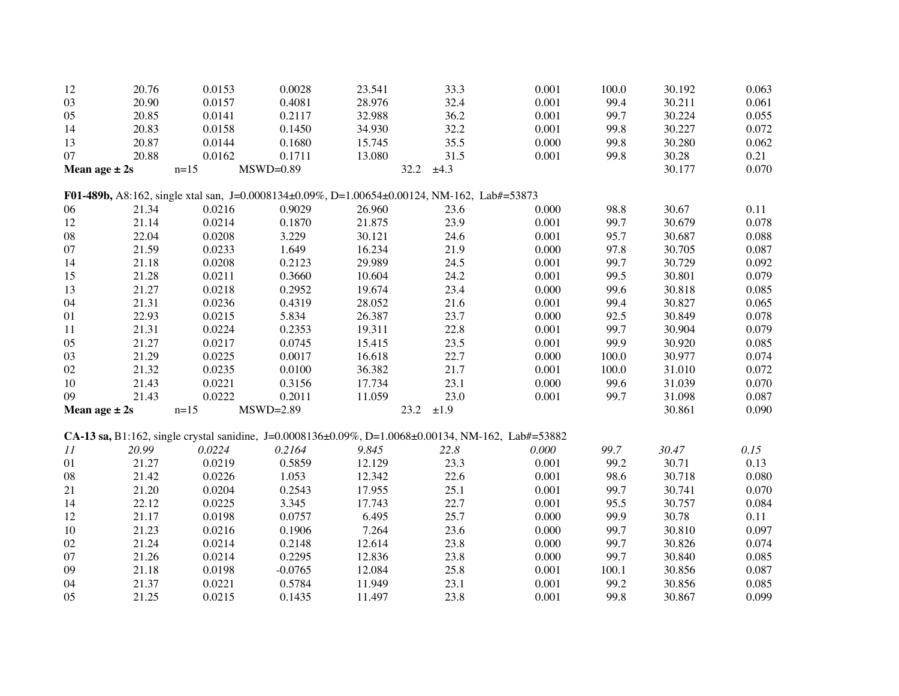| 12 | 20.76             | 0.0153 | 0.0028                                                                                                     | 23.541 | 33.3         | 0.001 | 100.0 | 30.192 | 0.063 |
|----|-------------------|--------|------------------------------------------------------------------------------------------------------------|--------|--------------|-------|-------|--------|-------|
| 03 | 20.90             | 0.0157 | 0.4081                                                                                                     | 28.976 | 32.4         | 0.001 | 99.4  | 30.211 | 0.061 |
| 05 | 20.85             | 0.0141 | 0.2117                                                                                                     | 32.988 | 36.2         | 0.001 | 99.7  | 30.224 | 0.055 |
| 14 | 20.83             | 0.0158 | 0.1450                                                                                                     | 34.930 | 32.2         | 0.001 | 99.8  | 30.227 | 0.072 |
| 13 | 20.87             | 0.0144 | 0.1680                                                                                                     | 15.745 | 35.5         | 0.000 | 99.8  | 30.280 | 0.062 |
| 07 | 20.88             | 0.0162 | 0.1711                                                                                                     | 13.080 | 31.5         | 0.001 | 99.8  | 30.28  | 0.21  |
|    | Mean age $\pm 2s$ | $n=15$ | $MSWD=0.89$                                                                                                | 32.2   | ±4.3         |       |       | 30.177 | 0.070 |
|    |                   |        | F01-489b, A8:162, single xtal san, J=0.0008134±0.09%, D=1.00654±0.00124, NM-162, Lab#=53873                |        |              |       |       |        |       |
| 06 | 21.34             | 0.0216 | 0.9029                                                                                                     | 26.960 | 23.6         | 0.000 | 98.8  | 30.67  | 0.11  |
| 12 | 21.14             | 0.0214 | 0.1870                                                                                                     | 21.875 | 23.9         | 0.001 | 99.7  | 30.679 | 0.078 |
| 08 | 22.04             | 0.0208 | 3.229                                                                                                      | 30.121 | 24.6         | 0.001 | 95.7  | 30.687 | 0.088 |
| 07 | 21.59             | 0.0233 | 1.649                                                                                                      | 16.234 | 21.9         | 0.000 | 97.8  | 30.705 | 0.087 |
| 14 | 21.18             | 0.0208 | 0.2123                                                                                                     | 29.989 | 24.5         | 0.001 | 99.7  | 30.729 | 0.092 |
| 15 | 21.28             | 0.0211 | 0.3660                                                                                                     | 10.604 | 24.2         | 0.001 | 99.5  | 30.801 | 0.079 |
| 13 | 21.27             | 0.0218 | 0.2952                                                                                                     | 19.674 | 23.4         | 0.000 | 99.6  | 30.818 | 0.085 |
| 04 | 21.31             | 0.0236 | 0.4319                                                                                                     | 28.052 | 21.6         | 0.001 | 99.4  | 30.827 | 0.065 |
| 01 | 22.93             | 0.0215 | 5.834                                                                                                      | 26.387 | 23.7         | 0.000 | 92.5  | 30.849 | 0.078 |
| 11 | 21.31             | 0.0224 | 0.2353                                                                                                     | 19.311 | 22.8         | 0.001 | 99.7  | 30.904 | 0.079 |
| 05 | 21.27             | 0.0217 | 0.0745                                                                                                     | 15.415 | 23.5         | 0.001 | 99.9  | 30.920 | 0.085 |
| 03 | 21.29             | 0.0225 | 0.0017                                                                                                     | 16.618 | 22.7         | 0.000 | 100.0 | 30.977 | 0.074 |
| 02 | 21.32             | 0.0235 | 0.0100                                                                                                     | 36.382 | 21.7         | 0.001 | 100.0 | 31.010 | 0.072 |
| 10 | 21.43             | 0.0221 | 0.3156                                                                                                     | 17.734 | 23.1         | 0.000 | 99.6  | 31.039 | 0.070 |
| 09 | 21.43             | 0.0222 | 0.2011                                                                                                     | 11.059 | 23.0         | 0.001 | 99.7  | 31.098 | 0.087 |
|    | Mean age $\pm 2s$ | $n=15$ | $MSWD=2.89$                                                                                                |        | 23.2<br>±1.9 |       |       | 30.861 | 0.090 |
|    |                   |        | <b>CA-13 sa, B</b> 1:162, single crystal sanidine, J=0.0008136±0.09%, D=1.0068±0.00134, NM-162, Lab#=53882 |        |              |       |       |        |       |
| 11 | 20.99             | 0.0224 | 0.2164                                                                                                     | 9.845  | 22.8         | 0.000 | 99.7  | 30.47  | 0.15  |
| 01 | 21.27             | 0.0219 | 0.5859                                                                                                     | 12.129 | 23.3         | 0.001 | 99.2  | 30.71  | 0.13  |
| 08 | 21.42             | 0.0226 | 1.053                                                                                                      | 12.342 | 22.6         | 0.001 | 98.6  | 30.718 | 0.080 |
| 21 | 21.20             | 0.0204 | 0.2543                                                                                                     | 17.955 | 25.1         | 0.001 | 99.7  | 30.741 | 0.070 |
| 14 | 22.12             | 0.0225 | 3.345                                                                                                      | 17.743 | 22.7         | 0.001 | 95.5  | 30.757 | 0.084 |
| 12 | 21.17             | 0.0198 | 0.0757                                                                                                     | 6.495  | 25.7         | 0.000 | 99.9  | 30.78  | 0.11  |
| 10 | 21.23             | 0.0216 | 0.1906                                                                                                     | 7.264  | 23.6         | 0.000 | 99.7  | 30.810 | 0.097 |
| 02 | 21.24             | 0.0214 | 0.2148                                                                                                     | 12.614 | 23.8         | 0.000 | 99.7  | 30.826 | 0.074 |
| 07 | 21.26             | 0.0214 | 0.2295                                                                                                     | 12.836 | 23.8         | 0.000 | 99.7  | 30.840 | 0.085 |
| 09 | 21.18             | 0.0198 | $-0.0765$                                                                                                  | 12.084 | 25.8         | 0.001 | 100.1 | 30.856 | 0.087 |
| 04 | 21.37             | 0.0221 | 0.5784                                                                                                     | 11.949 | 23.1         | 0.001 | 99.2  | 30.856 | 0.085 |
| 05 | 21.25             | 0.0215 | 0.1435                                                                                                     | 11.497 | 23.8         | 0.001 | 99.8  | 30.867 | 0.099 |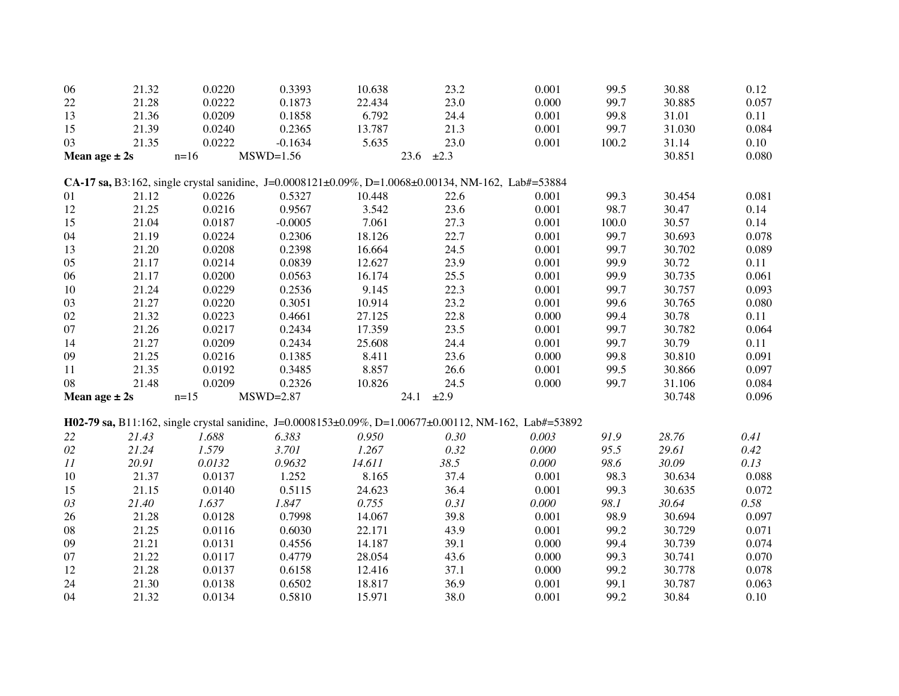| 06     | 21.32             | 0.0220                                                                                             | 0.3393      | 10.638 | 23.2         | 0.001                                                                                                 | 99.5  | 30.88  | 0.12  |
|--------|-------------------|----------------------------------------------------------------------------------------------------|-------------|--------|--------------|-------------------------------------------------------------------------------------------------------|-------|--------|-------|
| 22     | 21.28             | 0.0222                                                                                             | 0.1873      | 22.434 | 23.0         | 0.000                                                                                                 | 99.7  | 30.885 | 0.057 |
| 13     | 21.36             | 0.0209                                                                                             | 0.1858      | 6.792  | 24.4         | 0.001                                                                                                 | 99.8  | 31.01  | 0.11  |
| 15     | 21.39             | 0.0240                                                                                             | 0.2365      | 13.787 | 21.3         | 0.001                                                                                                 | 99.7  | 31.030 | 0.084 |
| 03     | 21.35             | 0.0222                                                                                             | $-0.1634$   | 5.635  | 23.0         | 0.001                                                                                                 | 100.2 | 31.14  | 0.10  |
|        | Mean age $\pm 2s$ | $n=16$                                                                                             | $MSWD=1.56$ | 23.6   | $\pm 2.3$    |                                                                                                       |       | 30.851 | 0.080 |
|        |                   | CA-17 sa, B3:162, single crystal sanidine, J=0.0008121±0.09%, D=1.0068±0.00134, NM-162, Lab#=53884 |             |        |              |                                                                                                       |       |        |       |
| 01     | 21.12             | 0.0226                                                                                             | 0.5327      | 10.448 | 22.6         | 0.001                                                                                                 | 99.3  | 30.454 | 0.081 |
| 12     | 21.25             | 0.0216                                                                                             | 0.9567      | 3.542  | 23.6         | 0.001                                                                                                 | 98.7  | 30.47  | 0.14  |
| 15     | 21.04             | 0.0187                                                                                             | $-0.0005$   | 7.061  | 27.3         | 0.001                                                                                                 | 100.0 | 30.57  | 0.14  |
| 04     | 21.19             | 0.0224                                                                                             | 0.2306      | 18.126 | 22.7         | 0.001                                                                                                 | 99.7  | 30.693 | 0.078 |
| 13     | 21.20             | 0.0208                                                                                             | 0.2398      | 16.664 | 24.5         | 0.001                                                                                                 | 99.7  | 30.702 | 0.089 |
| 05     | 21.17             | 0.0214                                                                                             | 0.0839      | 12.627 | 23.9         | 0.001                                                                                                 | 99.9  | 30.72  | 0.11  |
| 06     | 21.17             | 0.0200                                                                                             | 0.0563      | 16.174 | 25.5         | 0.001                                                                                                 | 99.9  | 30.735 | 0.061 |
| 10     | 21.24             | 0.0229                                                                                             | 0.2536      | 9.145  | 22.3         | 0.001                                                                                                 | 99.7  | 30.757 | 0.093 |
| 03     | 21.27             | 0.0220                                                                                             | 0.3051      | 10.914 | 23.2         | 0.001                                                                                                 | 99.6  | 30.765 | 0.080 |
| $02\,$ | 21.32             | 0.0223                                                                                             | 0.4661      | 27.125 | 22.8         | 0.000                                                                                                 | 99.4  | 30.78  | 0.11  |
| 07     | 21.26             | 0.0217                                                                                             | 0.2434      | 17.359 | 23.5         | 0.001                                                                                                 | 99.7  | 30.782 | 0.064 |
| 14     | 21.27             | 0.0209                                                                                             | 0.2434      | 25.608 | 24.4         | 0.001                                                                                                 | 99.7  | 30.79  | 0.11  |
| 09     | 21.25             | 0.0216                                                                                             | 0.1385      | 8.411  | 23.6         | 0.000                                                                                                 | 99.8  | 30.810 | 0.091 |
| 11     | 21.35             | 0.0192                                                                                             | 0.3485      | 8.857  | 26.6         | 0.001                                                                                                 | 99.5  | 30.866 | 0.097 |
| 08     | 21.48             | 0.0209                                                                                             | 0.2326      | 10.826 | 24.5         | 0.000                                                                                                 | 99.7  | 31.106 | 0.084 |
|        | Mean age $\pm 2s$ | $n=15$                                                                                             | $MSWD=2.87$ |        | 24.1<br>±2.9 |                                                                                                       |       | 30.748 | 0.096 |
|        |                   |                                                                                                    |             |        |              | H02-79 sa, B11:162, single crystal sanidine, J=0.0008153±0.09%, D=1.00677±0.00112, NM-162, Lab#=53892 |       |        |       |
| 22     | 21.43             | 1.688                                                                                              | 6.383       | 0.950  | 0.30         | 0.003                                                                                                 | 91.9  | 28.76  | 0.41  |
| $02\,$ | 21.24             | 1.579                                                                                              | 3.701       | 1.267  | 0.32         | 0.000                                                                                                 | 95.5  | 29.61  | 0.42  |
| 11     | 20.91             | 0.0132                                                                                             | 0.9632      | 14.611 | 38.5         | 0.000                                                                                                 | 98.6  | 30.09  | 0.13  |
| 10     | 21.37             | 0.0137                                                                                             | 1.252       | 8.165  | 37.4         | 0.001                                                                                                 | 98.3  | 30.634 | 0.088 |
| 15     | 21.15             | 0.0140                                                                                             | 0.5115      | 24.623 | 36.4         | 0.001                                                                                                 | 99.3  | 30.635 | 0.072 |
| 03     | 21.40             | 1.637                                                                                              | 1.847       | 0.755  | 0.31         | 0.000                                                                                                 | 98.1  | 30.64  | 0.58  |
| 26     | 21.28             | 0.0128                                                                                             | 0.7998      | 14.067 | 39.8         | 0.001                                                                                                 | 98.9  | 30.694 | 0.097 |
| 08     | 21.25             | 0.0116                                                                                             | 0.6030      | 22.171 | 43.9         | 0.001                                                                                                 | 99.2  | 30.729 | 0.071 |
| 09     | 21.21             | 0.0131                                                                                             | 0.4556      | 14.187 | 39.1         | 0.000                                                                                                 | 99.4  | 30.739 | 0.074 |
| 07     | 21.22             | 0.0117                                                                                             | 0.4779      | 28.054 | 43.6         | 0.000                                                                                                 | 99.3  | 30.741 | 0.070 |
| 12     | 21.28             | 0.0137                                                                                             | 0.6158      | 12.416 | 37.1         | 0.000                                                                                                 | 99.2  | 30.778 | 0.078 |
| 24     | 21.30             | 0.0138                                                                                             | 0.6502      | 18.817 | 36.9         | 0.001                                                                                                 | 99.1  | 30.787 | 0.063 |
| 04     | 21.32             | 0.0134                                                                                             | 0.5810      | 15.971 | 38.0         | 0.001                                                                                                 | 99.2  | 30.84  | 0.10  |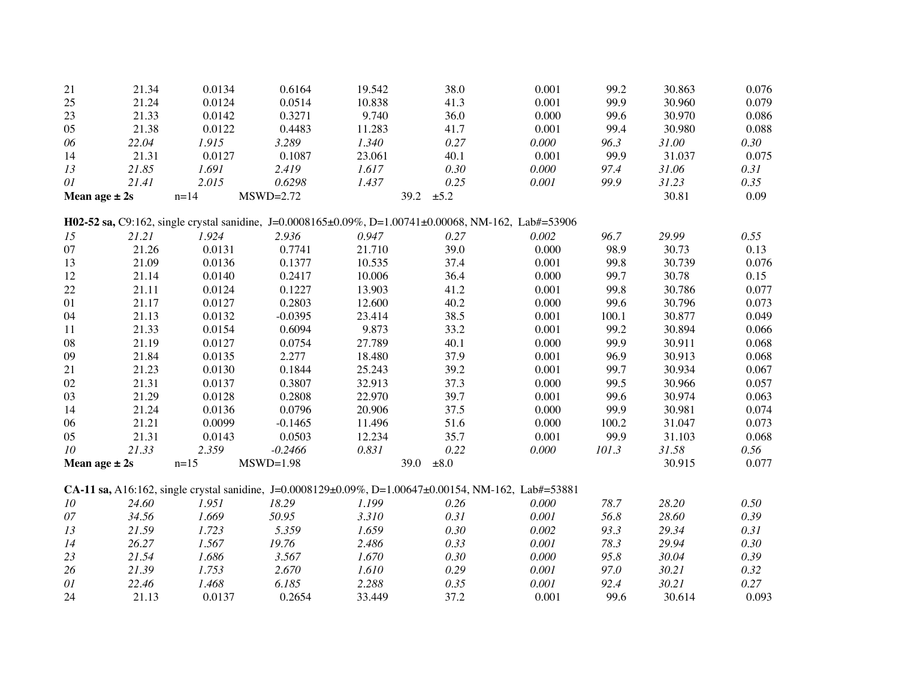| 21         | 21.34             | 0.0134   | 0.6164                                                                                                       | 19.542 | 38.0              | 0.001 | 99.2  | 30.863 | 0.076 |
|------------|-------------------|----------|--------------------------------------------------------------------------------------------------------------|--------|-------------------|-------|-------|--------|-------|
| 25         | 21.24             | 0.0124   | 0.0514                                                                                                       | 10.838 | 41.3              | 0.001 | 99.9  | 30.960 | 0.079 |
| 23         | 21.33             | 0.0142   | 0.3271                                                                                                       | 9.740  | 36.0              | 0.000 | 99.6  | 30.970 | 0.086 |
| 05         | 21.38             | 0.0122   | 0.4483                                                                                                       | 11.283 | 41.7              | 0.001 | 99.4  | 30.980 | 0.088 |
| 06         | 22.04             | 1.915    | 3.289                                                                                                        | 1.340  | 0.27              | 0.000 | 96.3  | 31.00  | 0.30  |
| 14         | 21.31             | 0.0127   | 0.1087                                                                                                       | 23.061 | 40.1              | 0.001 | 99.9  | 31.037 | 0.075 |
| 13         | 21.85             | 1.691    | 2.419                                                                                                        | 1.617  | 0.30              | 0.000 | 97.4  | 31.06  | 0.31  |
| 01         | 21.41             | 2.015    | 0.6298                                                                                                       | 1.437  | 0.25              | 0.001 | 99.9  | 31.23  | 0.35  |
|            | Mean age $\pm 2s$ | $n = 14$ | $MSWD=2.72$                                                                                                  |        | 39.2<br>$\pm 5.2$ |       |       | 30.81  | 0.09  |
|            |                   |          | <b>H02-52 sa, C9:162</b> , single crystal sanidine, J=0.0008165±0.09%, D=1.00741±0.00068, NM-162, Lab#=53906 |        |                   |       |       |        |       |
| 15         | 21.21             | 1.924    | 2.936                                                                                                        | 0.947  | 0.27              | 0.002 | 96.7  | 29.99  | 0.55  |
| 07         | 21.26             | 0.0131   | 0.7741                                                                                                       | 21.710 | 39.0              | 0.000 | 98.9  | 30.73  | 0.13  |
| 13         | 21.09             | 0.0136   | 0.1377                                                                                                       | 10.535 | 37.4              | 0.001 | 99.8  | 30.739 | 0.076 |
| 12         | 21.14             | 0.0140   | 0.2417                                                                                                       | 10.006 | 36.4              | 0.000 | 99.7  | 30.78  | 0.15  |
| 22         | 21.11             | 0.0124   | 0.1227                                                                                                       | 13.903 | 41.2              | 0.001 | 99.8  | 30.786 | 0.077 |
| 01         | 21.17             | 0.0127   | 0.2803                                                                                                       | 12.600 | 40.2              | 0.000 | 99.6  | 30.796 | 0.073 |
| 04         | 21.13             | 0.0132   | $-0.0395$                                                                                                    | 23.414 | 38.5              | 0.001 | 100.1 | 30.877 | 0.049 |
| 11         | 21.33             | 0.0154   | 0.6094                                                                                                       | 9.873  | 33.2              | 0.001 | 99.2  | 30.894 | 0.066 |
| 08         | 21.19             | 0.0127   | 0.0754                                                                                                       | 27.789 | 40.1              | 0.000 | 99.9  | 30.911 | 0.068 |
| 09         | 21.84             | 0.0135   | 2.277                                                                                                        | 18.480 | 37.9              | 0.001 | 96.9  | 30.913 | 0.068 |
| 21         | 21.23             | 0.0130   | 0.1844                                                                                                       | 25.243 | 39.2              | 0.001 | 99.7  | 30.934 | 0.067 |
| 02         | 21.31             | 0.0137   | 0.3807                                                                                                       | 32.913 | 37.3              | 0.000 | 99.5  | 30.966 | 0.057 |
| 03         | 21.29             | 0.0128   | 0.2808                                                                                                       | 22.970 | 39.7              | 0.001 | 99.6  | 30.974 | 0.063 |
| 14         | 21.24             | 0.0136   | 0.0796                                                                                                       | 20.906 | 37.5              | 0.000 | 99.9  | 30.981 | 0.074 |
| 06         | 21.21             | 0.0099   | $-0.1465$                                                                                                    | 11.496 | 51.6              | 0.000 | 100.2 | 31.047 | 0.073 |
| 05         | 21.31             | 0.0143   | 0.0503                                                                                                       | 12.234 | 35.7              | 0.001 | 99.9  | 31.103 | 0.068 |
| $10\,$     | 21.33             | 2.359    | $-0.2466$                                                                                                    | 0.831  | 0.22              | 0.000 | 101.3 | 31.58  | 0.56  |
|            | Mean age $\pm 2s$ | $n=15$   | $MSWD=1.98$                                                                                                  |        | $\pm 8.0$<br>39.0 |       |       | 30.915 | 0.077 |
|            |                   |          |                                                                                                              |        |                   |       |       |        |       |
|            |                   |          | CA-11 sa, A16:162, single crystal sanidine, J=0.0008129±0.09%, D=1.00647±0.00154, NM-162, Lab#=53881         |        |                   |       |       |        |       |
| ${\it 10}$ | 24.60             | 1.951    | 18.29                                                                                                        | 1.199  | 0.26              | 0.000 | 78.7  | 28.20  | 0.50  |
| 07         | 34.56             | 1.669    | 50.95                                                                                                        | 3.310  | 0.31              | 0.001 | 56.8  | 28.60  | 0.39  |
| 13         | 21.59             | 1.723    | 5.359                                                                                                        | 1.659  | 0.30              | 0.002 | 93.3  | 29.34  | 0.31  |
| 14         | 26.27             | 1.567    | 19.76                                                                                                        | 2.486  | 0.33              | 0.001 | 78.3  | 29.94  | 0.30  |
| 23         | 21.54             | 1.686    | 3.567                                                                                                        | 1.670  | 0.30              | 0.000 | 95.8  | 30.04  | 0.39  |
| $26\,$     | 21.39             | 1.753    | 2.670                                                                                                        | 1.610  | 0.29              | 0.001 | 97.0  | 30.21  | 0.32  |
| $0 \\ l$   | 22.46             | 1.468    | 6.185                                                                                                        | 2.288  | 0.35              | 0.001 | 92.4  | 30.21  | 0.27  |
| 24         | 21.13             | 0.0137   | 0.2654                                                                                                       | 33.449 | 37.2              | 0.001 | 99.6  | 30.614 | 0.093 |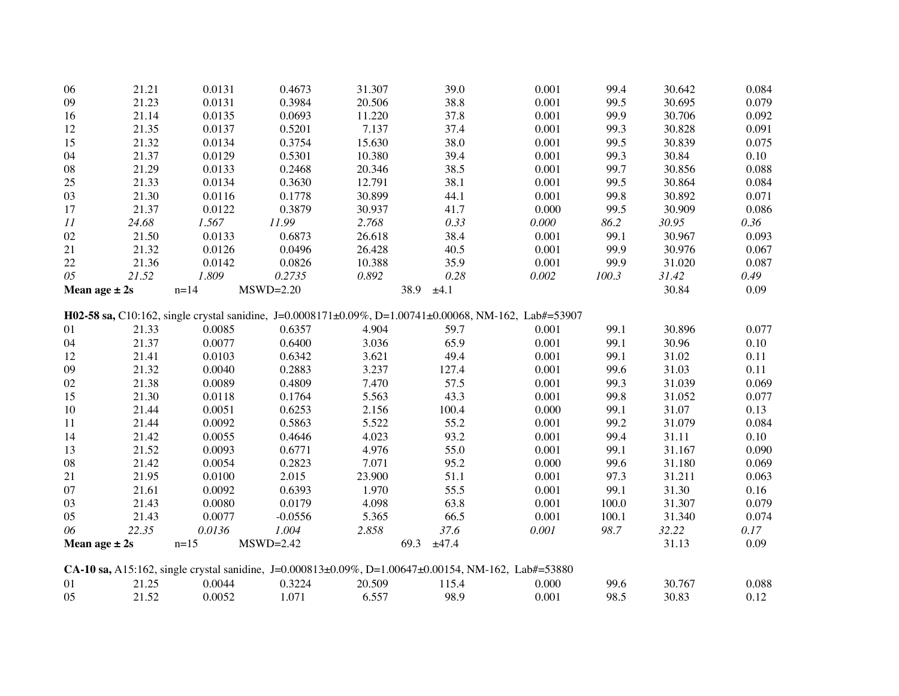| 06             | 21.21             | 0.0131   | 0.4673      | 31.307 | 39.0                                                                                                       | 0.001 | 99.4  | 30.642 | 0.084 |
|----------------|-------------------|----------|-------------|--------|------------------------------------------------------------------------------------------------------------|-------|-------|--------|-------|
| 09             | 21.23             | 0.0131   | 0.3984      | 20.506 | 38.8                                                                                                       | 0.001 | 99.5  | 30.695 | 0.079 |
| 16             | 21.14             | 0.0135   | 0.0693      | 11.220 | 37.8                                                                                                       | 0.001 | 99.9  | 30.706 | 0.092 |
| 12             | 21.35             | 0.0137   | 0.5201      | 7.137  | 37.4                                                                                                       | 0.001 | 99.3  | 30.828 | 0.091 |
| 15             | 21.32             | 0.0134   | 0.3754      | 15.630 | 38.0                                                                                                       | 0.001 | 99.5  | 30.839 | 0.075 |
| 04             | 21.37             | 0.0129   | 0.5301      | 10.380 | 39.4                                                                                                       | 0.001 | 99.3  | 30.84  | 0.10  |
| ${\bf 08}$     | 21.29             | 0.0133   | 0.2468      | 20.346 | 38.5                                                                                                       | 0.001 | 99.7  | 30.856 | 0.088 |
| $25\,$         | 21.33             | 0.0134   | 0.3630      | 12.791 | 38.1                                                                                                       | 0.001 | 99.5  | 30.864 | 0.084 |
| 03             | 21.30             | 0.0116   | 0.1778      | 30.899 | 44.1                                                                                                       | 0.001 | 99.8  | 30.892 | 0.071 |
| 17             | 21.37             | 0.0122   | 0.3879      | 30.937 | 41.7                                                                                                       | 0.000 | 99.5  | 30.909 | 0.086 |
| 11             | 24.68             | 1.567    | 11.99       | 2.768  | 0.33                                                                                                       | 0.000 | 86.2  | 30.95  | 0.36  |
| 02             | 21.50             | 0.0133   | 0.6873      | 26.618 | 38.4                                                                                                       | 0.001 | 99.1  | 30.967 | 0.093 |
| 21             | 21.32             | 0.0126   | 0.0496      | 26.428 | 40.5                                                                                                       | 0.001 | 99.9  | 30.976 | 0.067 |
| $22\,$         | 21.36             | 0.0142   | 0.0826      | 10.388 | 35.9                                                                                                       | 0.001 | 99.9  | 31.020 | 0.087 |
| 05             | 21.52             | 1.809    | 0.2735      | 0.892  | 0.28                                                                                                       | 0.002 | 100.3 | 31.42  | 0.49  |
|                | Mean age $\pm 2s$ | $n = 14$ | $MSWD=2.20$ |        | 38.9<br>±4.1                                                                                               |       |       | 30.84  | 0.09  |
|                |                   |          |             |        |                                                                                                            |       |       |        |       |
|                |                   |          |             |        | H02-58 sa, C10:162, single crystal sanidine, J=0.0008171±0.09%, D=1.00741±0.00068, NM-162, Lab#=53907      |       |       |        |       |
| 01             | 21.33             | 0.0085   | 0.6357      | 4.904  | 59.7                                                                                                       | 0.001 | 99.1  | 30.896 | 0.077 |
| 04             | 21.37             | 0.0077   | 0.6400      | 3.036  | 65.9                                                                                                       | 0.001 | 99.1  | 30.96  | 0.10  |
| 12             | 21.41             | 0.0103   | 0.6342      | 3.621  | 49.4                                                                                                       | 0.001 | 99.1  | 31.02  | 0.11  |
| 09             | 21.32             | 0.0040   | 0.2883      | 3.237  | 127.4                                                                                                      | 0.001 | 99.6  | 31.03  | 0.11  |
| 02             | 21.38             | 0.0089   | 0.4809      | 7.470  | 57.5                                                                                                       | 0.001 | 99.3  | 31.039 | 0.069 |
| 15             | 21.30             | 0.0118   | 0.1764      | 5.563  | 43.3                                                                                                       | 0.001 | 99.8  | 31.052 | 0.077 |
| 10             | 21.44             | 0.0051   | 0.6253      | 2.156  | 100.4                                                                                                      | 0.000 | 99.1  | 31.07  | 0.13  |
| 11             | 21.44             | 0.0092   | 0.5863      | 5.522  | 55.2                                                                                                       | 0.001 | 99.2  | 31.079 | 0.084 |
| 14             | 21.42             | 0.0055   | 0.4646      | 4.023  | 93.2                                                                                                       | 0.001 | 99.4  | 31.11  | 0.10  |
| 13             | 21.52             | 0.0093   | 0.6771      | 4.976  | 55.0                                                                                                       | 0.001 | 99.1  | 31.167 | 0.090 |
| ${\bf 08}$     | 21.42             | 0.0054   | 0.2823      | 7.071  | 95.2                                                                                                       | 0.000 | 99.6  | 31.180 | 0.069 |
| 21             | 21.95             | 0.0100   | 2.015       | 23.900 | 51.1                                                                                                       | 0.001 | 97.3  | 31.211 | 0.063 |
| 07             | 21.61             | 0.0092   | 0.6393      | 1.970  | 55.5                                                                                                       | 0.001 | 99.1  | 31.30  | 0.16  |
| 03             | 21.43             | 0.0080   | 0.0179      | 4.098  | 63.8                                                                                                       | 0.001 | 100.0 | 31.307 | 0.079 |
| 05             | 21.43             | 0.0077   | $-0.0556$   | 5.365  | 66.5                                                                                                       | 0.001 | 100.1 | 31.340 | 0.074 |
| 06             | 22.35             | 0.0136   | 1.004       | 2.858  | 37.6                                                                                                       | 0.001 | 98.7  | 32.22  | 0.17  |
|                | Mean age $\pm 2s$ | $n=15$   | $MSWD=2.42$ |        | 69.3<br>±47.4                                                                                              |       |       | 31.13  | 0.09  |
|                |                   |          |             |        | <b>CA-10 sa,</b> A15:162, single crystal sanidine, J=0.000813±0.09%, D=1.00647±0.00154, NM-162, Lab#=53880 |       |       |        |       |
| 01             | 21.25             | 0.0044   | 0.3224      | 20.509 | 115.4                                                                                                      | 0.000 | 99.6  | 30.767 | 0.088 |
| 0 <sub>5</sub> | 21.52             | 0.0052   | 1.071       | 6.557  | 98.9                                                                                                       | 0.001 | 98.5  | 30.83  | 0.12  |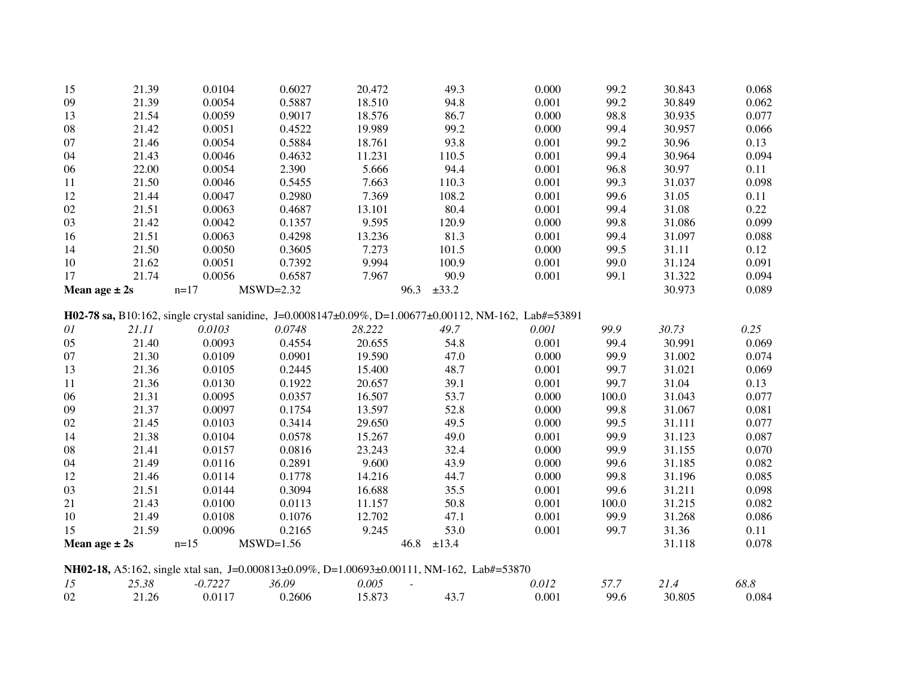| 15                | 21.39 | 0.0104    | 0.6027      | 20.472 | 49.3                                                                                                  | 0.000 | 99.2  | 30.843 | 0.068 |
|-------------------|-------|-----------|-------------|--------|-------------------------------------------------------------------------------------------------------|-------|-------|--------|-------|
| 09                | 21.39 | 0.0054    | 0.5887      | 18.510 | 94.8                                                                                                  | 0.001 | 99.2  | 30.849 | 0.062 |
| 13                | 21.54 | 0.0059    | 0.9017      | 18.576 | 86.7                                                                                                  | 0.000 | 98.8  | 30.935 | 0.077 |
| 08                | 21.42 | 0.0051    | 0.4522      | 19.989 | 99.2                                                                                                  | 0.000 | 99.4  | 30.957 | 0.066 |
| 07                | 21.46 | 0.0054    | 0.5884      | 18.761 | 93.8                                                                                                  | 0.001 | 99.2  | 30.96  | 0.13  |
| 04                | 21.43 | 0.0046    | 0.4632      | 11.231 | 110.5                                                                                                 | 0.001 | 99.4  | 30.964 | 0.094 |
| 06                | 22.00 | 0.0054    | 2.390       | 5.666  | 94.4                                                                                                  | 0.001 | 96.8  | 30.97  | 0.11  |
| 11                | 21.50 | 0.0046    | 0.5455      | 7.663  | 110.3                                                                                                 | 0.001 | 99.3  | 31.037 | 0.098 |
| 12                | 21.44 | 0.0047    | 0.2980      | 7.369  | 108.2                                                                                                 | 0.001 | 99.6  | 31.05  | 0.11  |
| 02                | 21.51 | 0.0063    | 0.4687      | 13.101 | 80.4                                                                                                  | 0.001 | 99.4  | 31.08  | 0.22  |
| 03                | 21.42 | 0.0042    | 0.1357      | 9.595  | 120.9                                                                                                 | 0.000 | 99.8  | 31.086 | 0.099 |
| 16                | 21.51 | 0.0063    | 0.4298      | 13.236 | 81.3                                                                                                  | 0.001 | 99.4  | 31.097 | 0.088 |
| 14                | 21.50 | 0.0050    | 0.3605      | 7.273  | 101.5                                                                                                 | 0.000 | 99.5  | 31.11  | 0.12  |
| 10                | 21.62 | 0.0051    | 0.7392      | 9.994  | 100.9                                                                                                 | 0.001 | 99.0  | 31.124 | 0.091 |
| 17                | 21.74 | 0.0056    | 0.6587      | 7.967  | 90.9                                                                                                  | 0.001 | 99.1  | 31.322 | 0.094 |
| Mean age $\pm 2s$ |       | $n=17$    | $MSWD=2.32$ |        | $\pm 33.2$<br>96.3                                                                                    |       |       | 30.973 | 0.089 |
|                   |       |           |             |        |                                                                                                       |       |       |        |       |
|                   |       |           |             |        | H02-78 sa, B10:162, single crystal sanidine, J=0.0008147±0.09%, D=1.00677±0.00112, NM-162, Lab#=53891 |       |       |        |       |
| 01                | 21.11 | 0.0103    | 0.0748      | 28.222 | 49.7                                                                                                  | 0.001 | 99.9  | 30.73  | 0.25  |
| 05                | 21.40 | 0.0093    | 0.4554      | 20.655 | 54.8                                                                                                  | 0.001 | 99.4  | 30.991 | 0.069 |
| 07                | 21.30 | 0.0109    | 0.0901      | 19.590 | 47.0                                                                                                  | 0.000 | 99.9  | 31.002 | 0.074 |
| 13                | 21.36 | 0.0105    | 0.2445      | 15.400 | 48.7                                                                                                  | 0.001 | 99.7  | 31.021 | 0.069 |
| 11                | 21.36 | 0.0130    | 0.1922      | 20.657 | 39.1                                                                                                  | 0.001 | 99.7  | 31.04  | 0.13  |
| 06                | 21.31 | 0.0095    | 0.0357      | 16.507 | 53.7                                                                                                  | 0.000 | 100.0 | 31.043 | 0.077 |
| 09                | 21.37 | 0.0097    | 0.1754      | 13.597 | 52.8                                                                                                  | 0.000 | 99.8  | 31.067 | 0.081 |
| 02                | 21.45 | 0.0103    | 0.3414      | 29.650 | 49.5                                                                                                  | 0.000 | 99.5  | 31.111 | 0.077 |
| 14                | 21.38 | 0.0104    | 0.0578      | 15.267 | 49.0                                                                                                  | 0.001 | 99.9  | 31.123 | 0.087 |
| 08                | 21.41 | 0.0157    | 0.0816      | 23.243 | 32.4                                                                                                  | 0.000 | 99.9  | 31.155 | 0.070 |
| 04                | 21.49 | 0.0116    | 0.2891      | 9.600  | 43.9                                                                                                  | 0.000 | 99.6  | 31.185 | 0.082 |
| 12                | 21.46 | 0.0114    | 0.1778      | 14.216 | 44.7                                                                                                  | 0.000 | 99.8  | 31.196 | 0.085 |
| 03                | 21.51 | 0.0144    | 0.3094      | 16.688 | 35.5                                                                                                  | 0.001 | 99.6  | 31.211 | 0.098 |
| 21                | 21.43 | 0.0100    | 0.0113      | 11.157 | 50.8                                                                                                  | 0.001 | 100.0 | 31.215 | 0.082 |
| 10                | 21.49 | 0.0108    | 0.1076      | 12.702 | 47.1                                                                                                  | 0.001 | 99.9  | 31.268 | 0.086 |
| 15                | 21.59 | 0.0096    | 0.2165      | 9.245  | 53.0                                                                                                  | 0.001 | 99.7  | 31.36  | 0.11  |
| Mean age $\pm 2s$ |       | $n=15$    | $MSWD=1.56$ |        | 46.8<br>±13.4                                                                                         |       |       | 31.118 | 0.078 |
|                   |       |           |             |        | NH02-18, A5:162, single xtal san, J=0.000813±0.09%, D=1.00693±0.00111, NM-162, Lab#=53870             |       |       |        |       |
| 15                | 25.38 | $-0.7227$ | 36.09       | 0.005  |                                                                                                       | 0.012 | 57.7  | 21.4   | 68.8  |
| 02                | 21.26 | 0.0117    | 0.2606      | 15.873 |                                                                                                       | 0.001 | 99.6  | 30.805 | 0.084 |
|                   |       |           |             |        | 43.7                                                                                                  |       |       |        |       |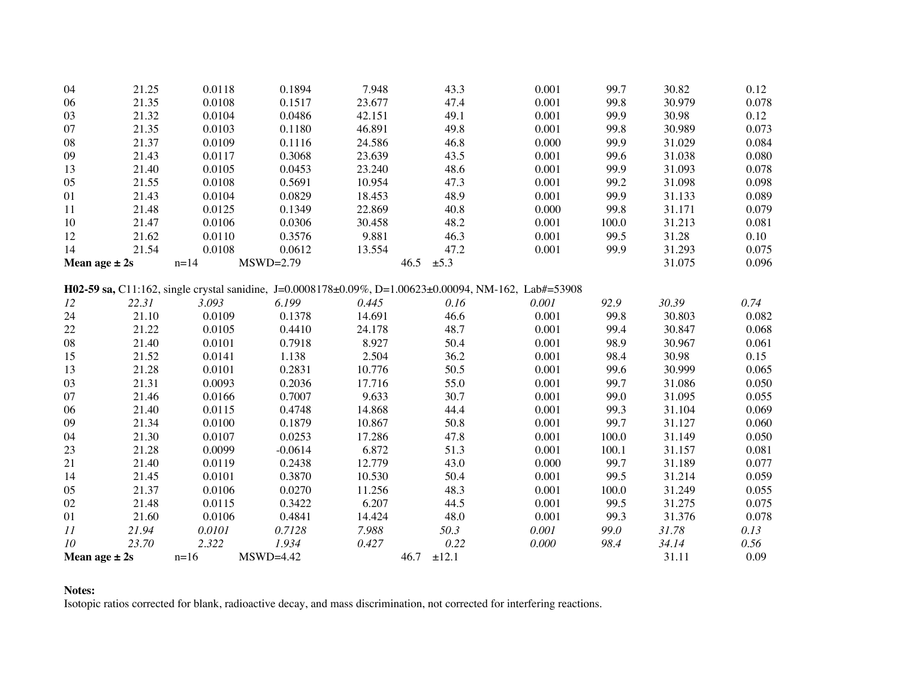| 04         | 21.25             | 0.0118   | 0.1894      | 7.948  | 43.3                                                                                                  | 0.001 | 99.7  | 30.82  | 0.12  |
|------------|-------------------|----------|-------------|--------|-------------------------------------------------------------------------------------------------------|-------|-------|--------|-------|
| 06         | 21.35             | 0.0108   | 0.1517      | 23.677 | 47.4                                                                                                  | 0.001 | 99.8  | 30.979 | 0.078 |
| 03         | 21.32             | 0.0104   | 0.0486      | 42.151 | 49.1                                                                                                  | 0.001 | 99.9  | 30.98  | 0.12  |
| 07         | 21.35             | 0.0103   | 0.1180      | 46.891 | 49.8                                                                                                  | 0.001 | 99.8  | 30.989 | 0.073 |
| 08         | 21.37             | 0.0109   | 0.1116      | 24.586 | 46.8                                                                                                  | 0.000 | 99.9  | 31.029 | 0.084 |
| 09         | 21.43             | 0.0117   | 0.3068      | 23.639 | 43.5                                                                                                  | 0.001 | 99.6  | 31.038 | 0.080 |
| 13         | 21.40             | 0.0105   | 0.0453      | 23.240 | 48.6                                                                                                  | 0.001 | 99.9  | 31.093 | 0.078 |
| 05         | 21.55             | 0.0108   | 0.5691      | 10.954 | 47.3                                                                                                  | 0.001 | 99.2  | 31.098 | 0.098 |
| 01         | 21.43             | 0.0104   | 0.0829      | 18.453 | 48.9                                                                                                  | 0.001 | 99.9  | 31.133 | 0.089 |
| 11         | 21.48             | 0.0125   | 0.1349      | 22.869 | 40.8                                                                                                  | 0.000 | 99.8  | 31.171 | 0.079 |
| 10         | 21.47             | 0.0106   | 0.0306      | 30.458 | 48.2                                                                                                  | 0.001 | 100.0 | 31.213 | 0.081 |
| 12         | 21.62             | 0.0110   | 0.3576      | 9.881  | 46.3                                                                                                  | 0.001 | 99.5  | 31.28  | 0.10  |
| 14         | 21.54             | 0.0108   | 0.0612      | 13.554 | 47.2                                                                                                  | 0.001 | 99.9  | 31.293 | 0.075 |
|            | Mean age $\pm 2s$ | $n = 14$ | $MSWD=2.79$ |        | 46.5<br>$\pm 5.3$                                                                                     |       |       | 31.075 | 0.096 |
|            |                   |          |             |        |                                                                                                       |       |       |        |       |
|            |                   |          |             |        | H02-59 sa, C11:162, single crystal sanidine, J=0.0008178±0.09%, D=1.00623±0.00094, NM-162, Lab#=53908 |       |       |        |       |
| 12         | 22.31             | 3.093    | 6.199       | 0.445  | 0.16                                                                                                  | 0.001 | 92.9  | 30.39  | 0.74  |
| 24         | 21.10             | 0.0109   | 0.1378      | 14.691 | 46.6                                                                                                  | 0.001 | 99.8  | 30.803 | 0.082 |
| 22         | 21.22             | 0.0105   | 0.4410      | 24.178 | 48.7                                                                                                  | 0.001 | 99.4  | 30.847 | 0.068 |
| ${\bf 08}$ | 21.40             | 0.0101   | 0.7918      | 8.927  | 50.4                                                                                                  | 0.001 | 98.9  | 30.967 | 0.061 |
| 15         | 21.52             | 0.0141   | 1.138       | 2.504  | 36.2                                                                                                  | 0.001 | 98.4  | 30.98  | 0.15  |
| 13         | 21.28             | 0.0101   | 0.2831      | 10.776 | 50.5                                                                                                  | 0.001 | 99.6  | 30.999 | 0.065 |
| 03         | 21.31             | 0.0093   | 0.2036      | 17.716 | 55.0                                                                                                  | 0.001 | 99.7  | 31.086 | 0.050 |
| 07         | 21.46             | 0.0166   | 0.7007      | 9.633  | 30.7                                                                                                  | 0.001 | 99.0  | 31.095 | 0.055 |
| 06         | 21.40             | 0.0115   | 0.4748      | 14.868 | 44.4                                                                                                  | 0.001 | 99.3  | 31.104 | 0.069 |
| 09         | 21.34             | 0.0100   | 0.1879      | 10.867 | 50.8                                                                                                  | 0.001 | 99.7  | 31.127 | 0.060 |
| 04         | 21.30             | 0.0107   | 0.0253      | 17.286 | 47.8                                                                                                  | 0.001 | 100.0 | 31.149 | 0.050 |
| 23         | 21.28             | 0.0099   | $-0.0614$   | 6.872  | 51.3                                                                                                  | 0.001 | 100.1 | 31.157 | 0.081 |
| 21         | 21.40             | 0.0119   | 0.2438      | 12.779 | 43.0                                                                                                  | 0.000 | 99.7  | 31.189 | 0.077 |
| 14         | 21.45             | 0.0101   | 0.3870      | 10.530 | 50.4                                                                                                  | 0.001 | 99.5  | 31.214 | 0.059 |
| 05         | 21.37             | 0.0106   | 0.0270      | 11.256 | 48.3                                                                                                  | 0.001 | 100.0 | 31.249 | 0.055 |
| 02         | 21.48             | 0.0115   | 0.3422      | 6.207  | 44.5                                                                                                  | 0.001 | 99.5  | 31.275 | 0.075 |
| 01         | 21.60             | 0.0106   | 0.4841      | 14.424 | 48.0                                                                                                  | 0.001 | 99.3  | 31.376 | 0.078 |
| 11         | 21.94             | 0.0101   | 0.7128      | 7.988  | 50.3                                                                                                  | 0.001 | 99.0  | 31.78  | 0.13  |
| 10         | 23.70             | 2.322    | 1.934       | 0.427  | 0.22                                                                                                  | 0.000 | 98.4  | 34.14  | 0.56  |
|            | Mean age $\pm 2s$ | $n=16$   | $MSWD=4.42$ |        | 46.7<br>±12.1                                                                                         |       |       | 31.11  | 0.09  |

## Notes:

Isotopic ratios corrected for blank, radioactive decay, and mass discrimination, not corrected for interfering reactions.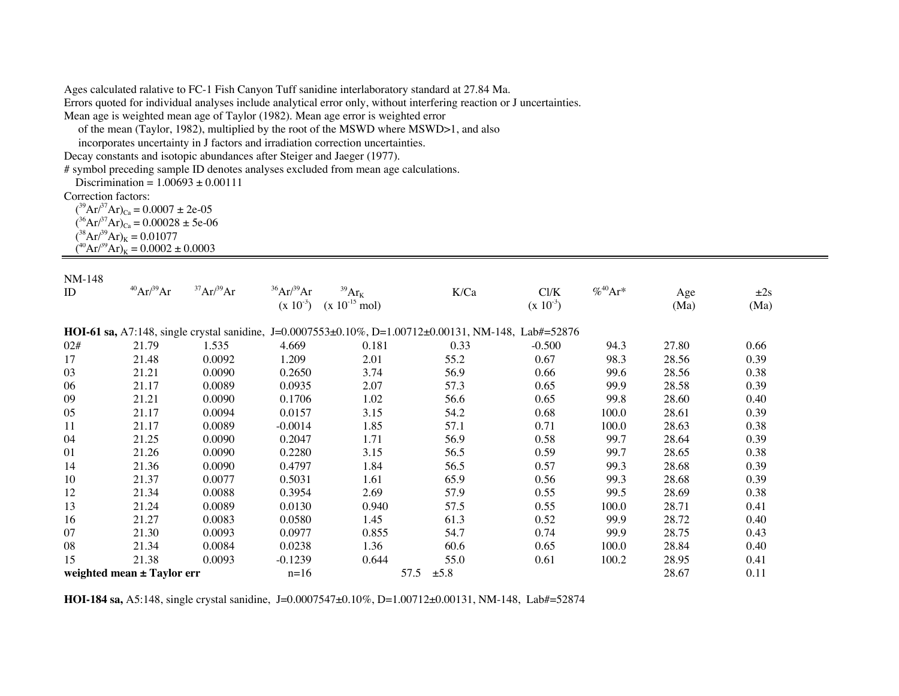Ages calculated ralative to FC-1 Fish Canyon Tuff sanidine interlaboratory standard at 27.84 Ma.

Errors quoted for individual analyses include analytical error only, without interfering reaction or J uncertainties.

Mean age is weighted mean age of Taylor (1982). Mean age error is weighted error

of the mean (Taylor, 1982), multiplied by the root of the MSWD where MSWD>1, and also

incorporates uncertainty in J factors and irradiation correction uncertainties.

Decay constants and isotopic abundances after Steiger and Jaeger (1977).

# symbol preceding sample ID denotes analyses excluded from mean age calculations.

Discrimination =  $1.00693 \pm 0.00111$ 

Correction factors:

 $({}^{39}Ar/{}^{37}Ar)_{Ca} = 0.0007 \pm 2e-05$  $({}^{36}Ar/{}^{37}Ar)_{Ca} = 0.00028 \pm 5e-06$  $({}^{38}Ar/{}^{39}Ar)_K = 0.01077$  $\hat{A}^{40}Ar^{39}Ar$ <sub>K</sub> = 0.0002 ± 0.0003

## NM-148

| ID  | $^{40}Ar/^{39}Ar$              | 37Ar/39Ar | $^{36}Ar/^{39}Ar$<br>$(x 10^{-3})$ | $^{39}Ar_K$<br>$(x 10^{-15}$ mol) | K/Ca                                                                                                 | Cl/K<br>$(x 10^{-3})$ | $% ^{40}Ar*$ | Age<br>(Ma) | $\pm 2s$<br>(Ma) |
|-----|--------------------------------|-----------|------------------------------------|-----------------------------------|------------------------------------------------------------------------------------------------------|-----------------------|--------------|-------------|------------------|
|     |                                |           |                                    |                                   | HOI-61 sa, A7:148, single crystal sanidine, J=0.0007553±0.10%, D=1.00712±0.00131, NM-148, Lab#=52876 |                       |              |             |                  |
| 02# | 21.79                          | 1.535     | 4.669                              | 0.181                             | 0.33                                                                                                 | $-0.500$              | 94.3         | 27.80       | 0.66             |
| 17  | 21.48                          | 0.0092    | 1.209                              | 2.01                              | 55.2                                                                                                 | 0.67                  | 98.3         | 28.56       | 0.39             |
| 03  | 21.21                          | 0.0090    | 0.2650                             | 3.74                              | 56.9                                                                                                 | 0.66                  | 99.6         | 28.56       | 0.38             |
| 06  | 21.17                          | 0.0089    | 0.0935                             | 2.07                              | 57.3                                                                                                 | 0.65                  | 99.9         | 28.58       | 0.39             |
| 09  | 21.21                          | 0.0090    | 0.1706                             | 1.02                              | 56.6                                                                                                 | 0.65                  | 99.8         | 28.60       | 0.40             |
| 05  | 21.17                          | 0.0094    | 0.0157                             | 3.15                              | 54.2                                                                                                 | 0.68                  | 100.0        | 28.61       | 0.39             |
| 11  | 21.17                          | 0.0089    | $-0.0014$                          | 1.85                              | 57.1                                                                                                 | 0.71                  | 100.0        | 28.63       | 0.38             |
| 04  | 21.25                          | 0.0090    | 0.2047                             | 1.71                              | 56.9                                                                                                 | 0.58                  | 99.7         | 28.64       | 0.39             |
| 01  | 21.26                          | 0.0090    | 0.2280                             | 3.15                              | 56.5                                                                                                 | 0.59                  | 99.7         | 28.65       | 0.38             |
| 14  | 21.36                          | 0.0090    | 0.4797                             | 1.84                              | 56.5                                                                                                 | 0.57                  | 99.3         | 28.68       | 0.39             |
| 10  | 21.37                          | 0.0077    | 0.5031                             | 1.61                              | 65.9                                                                                                 | 0.56                  | 99.3         | 28.68       | 0.39             |
| 12  | 21.34                          | 0.0088    | 0.3954                             | 2.69                              | 57.9                                                                                                 | 0.55                  | 99.5         | 28.69       | 0.38             |
| 13  | 21.24                          | 0.0089    | 0.0130                             | 0.940                             | 57.5                                                                                                 | 0.55                  | 100.0        | 28.71       | 0.41             |
| 16  | 21.27                          | 0.0083    | 0.0580                             | 1.45                              | 61.3                                                                                                 | 0.52                  | 99.9         | 28.72       | 0.40             |
| 07  | 21.30                          | 0.0093    | 0.0977                             | 0.855                             | 54.7                                                                                                 | 0.74                  | 99.9         | 28.75       | 0.43             |
| 08  | 21.34                          | 0.0084    | 0.0238                             | 1.36                              | 60.6                                                                                                 | 0.65                  | 100.0        | 28.84       | 0.40             |
| 15  | 21.38                          | 0.0093    | $-0.1239$                          | 0.644                             | 55.0                                                                                                 | 0.61                  | 100.2        | 28.95       | 0.41             |
|     | weighted mean $\pm$ Taylor err |           | $n=16$                             |                                   | 57.5<br>$\pm 5.8$                                                                                    |                       |              | 28.67       | 0.11             |

**HOI-184 sa,** A5:148, single crystal sanidine, J=0.0007547±0.10%, D=1.00712±0.00131, NM-148, Lab#=52874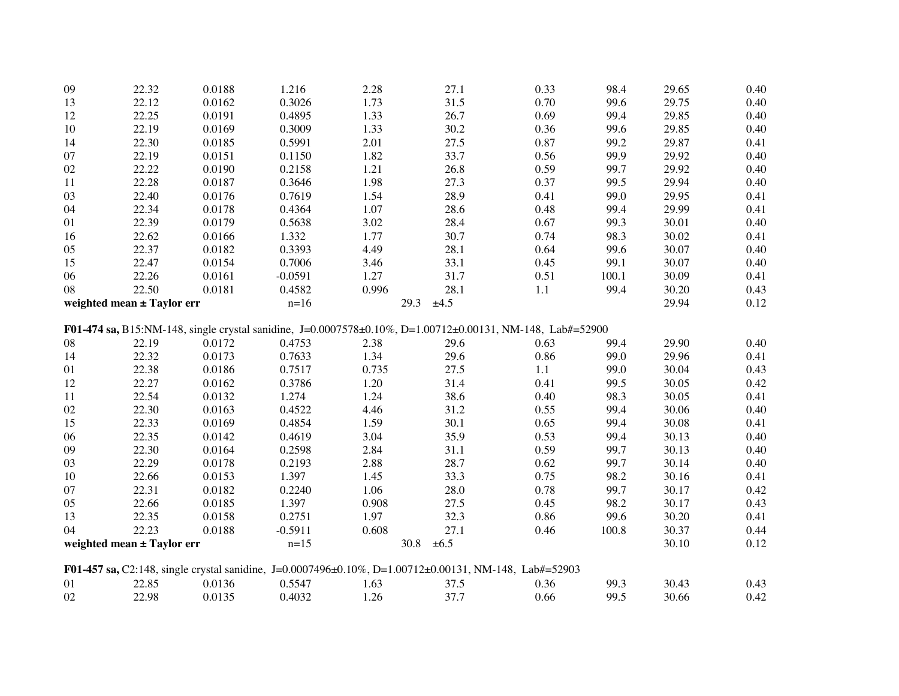| 09 | 22.32                      | 0.0188 | 1.216     | 2.28  | 27.1                                                                                                      | 0.33 | 98.4  | 29.65 | 0.40 |
|----|----------------------------|--------|-----------|-------|-----------------------------------------------------------------------------------------------------------|------|-------|-------|------|
| 13 | 22.12                      | 0.0162 | 0.3026    | 1.73  | 31.5                                                                                                      | 0.70 | 99.6  | 29.75 | 0.40 |
| 12 | 22.25                      | 0.0191 | 0.4895    | 1.33  | 26.7                                                                                                      | 0.69 | 99.4  | 29.85 | 0.40 |
| 10 | 22.19                      | 0.0169 | 0.3009    | 1.33  | 30.2                                                                                                      | 0.36 | 99.6  | 29.85 | 0.40 |
| 14 | 22.30                      | 0.0185 | 0.5991    | 2.01  | 27.5                                                                                                      | 0.87 | 99.2  | 29.87 | 0.41 |
| 07 | 22.19                      | 0.0151 | 0.1150    | 1.82  | 33.7                                                                                                      | 0.56 | 99.9  | 29.92 | 0.40 |
| 02 | 22.22                      | 0.0190 | 0.2158    | 1.21  | 26.8                                                                                                      | 0.59 | 99.7  | 29.92 | 0.40 |
| 11 | 22.28                      | 0.0187 | 0.3646    | 1.98  | 27.3                                                                                                      | 0.37 | 99.5  | 29.94 | 0.40 |
| 03 | 22.40                      | 0.0176 | 0.7619    | 1.54  | 28.9                                                                                                      | 0.41 | 99.0  | 29.95 | 0.41 |
| 04 | 22.34                      | 0.0178 | 0.4364    | 1.07  | 28.6                                                                                                      | 0.48 | 99.4  | 29.99 | 0.41 |
| 01 | 22.39                      | 0.0179 | 0.5638    | 3.02  | 28.4                                                                                                      | 0.67 | 99.3  | 30.01 | 0.40 |
| 16 | 22.62                      | 0.0166 | 1.332     | 1.77  | 30.7                                                                                                      | 0.74 | 98.3  | 30.02 | 0.41 |
| 05 | 22.37                      | 0.0182 | 0.3393    | 4.49  | 28.1                                                                                                      | 0.64 | 99.6  | 30.07 | 0.40 |
| 15 | 22.47                      | 0.0154 | 0.7006    | 3.46  | 33.1                                                                                                      | 0.45 | 99.1  | 30.07 | 0.40 |
| 06 | 22.26                      | 0.0161 | $-0.0591$ | 1.27  | 31.7                                                                                                      | 0.51 | 100.1 | 30.09 | 0.41 |
| 08 | 22.50                      | 0.0181 | 0.4582    | 0.996 | 28.1                                                                                                      | 1.1  | 99.4  | 30.20 | 0.43 |
|    | weighted mean ± Taylor err |        | $n=16$    |       | 29.3<br>±4.5                                                                                              |      |       | 29.94 | 0.12 |
|    |                            |        |           |       | F01-474 sa, B15:NM-148, single crystal sanidine, J=0.0007578±0.10%, D=1.00712±0.00131, NM-148, Lab#=52900 |      |       |       |      |
| 08 | 22.19                      | 0.0172 | 0.4753    | 2.38  | 29.6                                                                                                      | 0.63 | 99.4  | 29.90 | 0.40 |
| 14 | 22.32                      | 0.0173 | 0.7633    | 1.34  | 29.6                                                                                                      | 0.86 | 99.0  | 29.96 | 0.41 |
| 01 | 22.38                      | 0.0186 | 0.7517    | 0.735 | 27.5                                                                                                      | 1.1  | 99.0  | 30.04 | 0.43 |
| 12 | 22.27                      | 0.0162 | 0.3786    | 1.20  | 31.4                                                                                                      | 0.41 | 99.5  | 30.05 | 0.42 |
| 11 | 22.54                      | 0.0132 | 1.274     | 1.24  | 38.6                                                                                                      | 0.40 | 98.3  | 30.05 | 0.41 |
| 02 | 22.30                      | 0.0163 | 0.4522    | 4.46  | 31.2                                                                                                      | 0.55 | 99.4  | 30.06 | 0.40 |
| 15 | 22.33                      | 0.0169 | 0.4854    | 1.59  | 30.1                                                                                                      | 0.65 | 99.4  | 30.08 | 0.41 |
| 06 | 22.35                      | 0.0142 | 0.4619    | 3.04  | 35.9                                                                                                      | 0.53 | 99.4  | 30.13 | 0.40 |
| 09 | 22.30                      | 0.0164 | 0.2598    | 2.84  | 31.1                                                                                                      | 0.59 | 99.7  | 30.13 | 0.40 |
| 03 | 22.29                      | 0.0178 | 0.2193    | 2.88  | 28.7                                                                                                      | 0.62 | 99.7  | 30.14 | 0.40 |
| 10 | 22.66                      | 0.0153 | 1.397     | 1.45  | 33.3                                                                                                      | 0.75 | 98.2  | 30.16 | 0.41 |
| 07 | 22.31                      | 0.0182 | 0.2240    | 1.06  | 28.0                                                                                                      | 0.78 | 99.7  | 30.17 | 0.42 |
| 05 | 22.66                      | 0.0185 | 1.397     | 0.908 | 27.5                                                                                                      | 0.45 | 98.2  | 30.17 | 0.43 |
| 13 | 22.35                      | 0.0158 | 0.2751    | 1.97  | 32.3                                                                                                      | 0.86 | 99.6  | 30.20 | 0.41 |
| 04 | 22.23                      | 0.0188 | $-0.5911$ | 0.608 | 27.1                                                                                                      | 0.46 | 100.8 | 30.37 | 0.44 |
|    | weighted mean ± Taylor err |        | $n=15$    |       | 30.8<br>$\pm 6.5$                                                                                         |      |       | 30.10 | 0.12 |
|    |                            |        |           |       |                                                                                                           |      |       |       |      |
|    |                            |        |           |       | F01-457 sa, C2:148, single crystal sanidine, J=0.0007496±0.10%, D=1.00712±0.00131, NM-148, Lab#=52903     |      |       |       |      |
| 01 | 22.85                      | 0.0136 | 0.5547    | 1.63  | 37.5                                                                                                      | 0.36 | 99.3  | 30.43 | 0.43 |
| 02 | 22.98                      | 0.0135 | 0.4032    | 1.26  | 37.7                                                                                                      | 0.66 | 99.5  | 30.66 | 0.42 |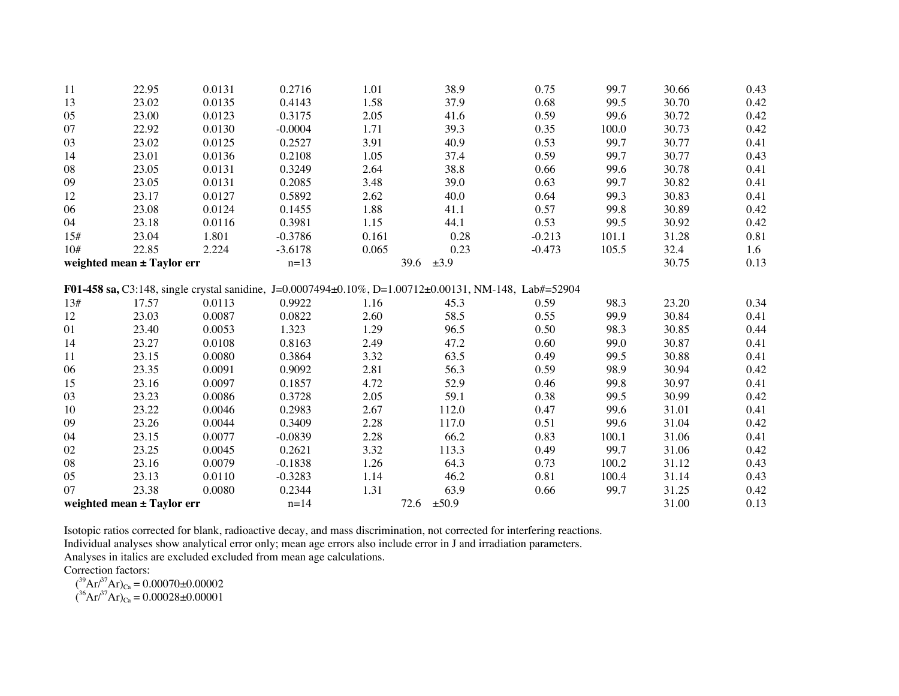| 11  | 22.95                      | 0.0131 | 0.2716    | 1.01  | 38.9                                                                                                  | 0.75     | 99.7  | 30.66 | 0.43 |
|-----|----------------------------|--------|-----------|-------|-------------------------------------------------------------------------------------------------------|----------|-------|-------|------|
| 13  | 23.02                      | 0.0135 | 0.4143    | 1.58  | 37.9                                                                                                  | 0.68     | 99.5  | 30.70 | 0.42 |
| 05  | 23.00                      | 0.0123 | 0.3175    | 2.05  | 41.6                                                                                                  | 0.59     | 99.6  | 30.72 | 0.42 |
| 07  | 22.92                      | 0.0130 | $-0.0004$ | 1.71  | 39.3                                                                                                  | 0.35     | 100.0 | 30.73 | 0.42 |
| 03  | 23.02                      | 0.0125 | 0.2527    | 3.91  | 40.9                                                                                                  | 0.53     | 99.7  | 30.77 | 0.41 |
| 14  | 23.01                      | 0.0136 | 0.2108    | 1.05  | 37.4                                                                                                  | 0.59     | 99.7  | 30.77 | 0.43 |
| 08  | 23.05                      | 0.0131 | 0.3249    | 2.64  | 38.8                                                                                                  | 0.66     | 99.6  | 30.78 | 0.41 |
| 09  | 23.05                      | 0.0131 | 0.2085    | 3.48  | 39.0                                                                                                  | 0.63     | 99.7  | 30.82 | 0.41 |
| 12  | 23.17                      | 0.0127 | 0.5892    | 2.62  | 40.0                                                                                                  | 0.64     | 99.3  | 30.83 | 0.41 |
| 06  | 23.08                      | 0.0124 | 0.1455    | 1.88  | 41.1                                                                                                  | 0.57     | 99.8  | 30.89 | 0.42 |
| 04  | 23.18                      | 0.0116 | 0.3981    | 1.15  | 44.1                                                                                                  | 0.53     | 99.5  | 30.92 | 0.42 |
| 15# | 23.04                      | 1.801  | $-0.3786$ | 0.161 | 0.28                                                                                                  | $-0.213$ | 101.1 | 31.28 | 0.81 |
| 10# | 22.85                      | 2.224  | $-3.6178$ | 0.065 | 0.23                                                                                                  | $-0.473$ | 105.5 | 32.4  | 1.6  |
|     | weighted mean ± Taylor err |        | $n=13$    |       | 39.6<br>$\pm 3.9$                                                                                     |          |       | 30.75 | 0.13 |
|     |                            |        |           |       | F01-458 sa, C3:148, single crystal sanidine, J=0.0007494±0.10%, D=1.00712±0.00131, NM-148, Lab#=52904 |          |       |       |      |
| 13# | 17.57                      | 0.0113 | 0.9922    | 1.16  | 45.3                                                                                                  | 0.59     | 98.3  | 23.20 | 0.34 |
| 12  | 23.03                      | 0.0087 | 0.0822    | 2.60  | 58.5                                                                                                  | 0.55     | 99.9  | 30.84 | 0.41 |
| 01  | 23.40                      | 0.0053 | 1.323     | 1.29  | 96.5                                                                                                  | 0.50     | 98.3  | 30.85 | 0.44 |
| 14  | 23.27                      | 0.0108 | 0.8163    | 2.49  | 47.2                                                                                                  | 0.60     | 99.0  | 30.87 | 0.41 |
| 11  | 23.15                      | 0.0080 | 0.3864    | 3.32  | 63.5                                                                                                  | 0.49     | 99.5  | 30.88 | 0.41 |
| 06  | 23.35                      | 0.0091 | 0.9092    | 2.81  | 56.3                                                                                                  | 0.59     | 98.9  | 30.94 | 0.42 |
| 15  | 23.16                      | 0.0097 | 0.1857    | 4.72  | 52.9                                                                                                  | 0.46     | 99.8  | 30.97 | 0.41 |
| 03  | 23.23                      | 0.0086 | 0.3728    | 2.05  | 59.1                                                                                                  | 0.38     | 99.5  | 30.99 | 0.42 |
| 10  | 23.22                      | 0.0046 | 0.2983    | 2.67  | 112.0                                                                                                 | 0.47     | 99.6  | 31.01 | 0.41 |
| 09  | 23.26                      | 0.0044 | 0.3409    | 2.28  | 117.0                                                                                                 | 0.51     | 99.6  | 31.04 | 0.42 |
| 04  | 23.15                      | 0.0077 | $-0.0839$ | 2.28  | 66.2                                                                                                  | 0.83     | 100.1 | 31.06 | 0.41 |
| 02  | 23.25                      | 0.0045 | 0.2621    | 3.32  | 113.3                                                                                                 | 0.49     | 99.7  | 31.06 | 0.42 |
| 08  | 23.16                      | 0.0079 | $-0.1838$ | 1.26  | 64.3                                                                                                  | 0.73     | 100.2 | 31.12 | 0.43 |
| 05  | 23.13                      | 0.0110 | $-0.3283$ | 1.14  | 46.2                                                                                                  | 0.81     | 100.4 | 31.14 | 0.43 |
| 07  | 23.38                      | 0.0080 | 0.2344    | 1.31  | 63.9                                                                                                  | 0.66     | 99.7  | 31.25 | 0.42 |
|     |                            |        | $n = 14$  |       | 72.6<br>±50.9                                                                                         |          |       | 31.00 | 0.13 |
|     | weighted mean ± Taylor err |        |           |       |                                                                                                       |          |       |       |      |

Isotopic ratios corrected for blank, radioactive decay, and mass discrimination, not corrected for interfering reactions.

Individual analyses show analytical error only; mean age errors also include error in J and irradiation parameters.

Analyses in italics are excluded excluded from mean age calculations.

Correction factors:<br>  $({}^{39}\text{Ar/}^{37}\text{Ar})_{\text{Ca}} = 0.00070 \pm 0.00002$ <br>  $({}^{36}\text{Ar/}^{37}\text{Ar})_{\text{Ca}} = 0.00028 \pm 0.00001$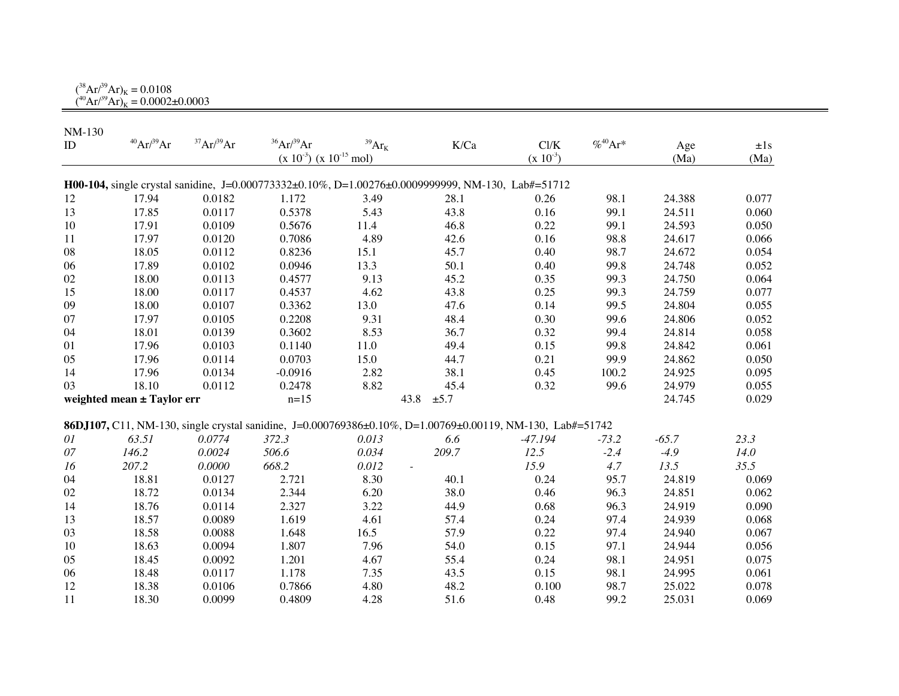$({}^{38}\text{Ar} / {}^{39}\text{Ar})_{\text{K}} = 0.0108$  $(^{40}Ar/^{39}Ar)_K = 0.0002 \pm 0.0003$ 

| NM-130 |                            |           |                                |                                 |                                                                                                           |               |              |         |          |
|--------|----------------------------|-----------|--------------------------------|---------------------------------|-----------------------------------------------------------------------------------------------------------|---------------|--------------|---------|----------|
| ID     | $^{40}Ar/^{39}Ar$          | 37Ar/39Ar | $36$ Ar $/39$ Ar               | $^{39}\mathrm{Ar}_{\mathrm{K}}$ | K/Ca                                                                                                      | Cl/K          | $% ^{40}Ar*$ | Age     | $\pm 1s$ |
|        |                            |           | $(x 10^{-3}) (x 10^{-15}$ mol) |                                 |                                                                                                           | $(x 10^{-3})$ |              | (Ma)    | (Ma)     |
|        |                            |           |                                |                                 |                                                                                                           |               |              |         |          |
|        |                            |           |                                |                                 | H00-104, single crystal sanidine, J=0.000773332±0.10%, D=1.00276±0.0009999999, NM-130, Lab#=51712         |               |              |         |          |
| 12     | 17.94                      | 0.0182    | 1.172                          | 3.49                            | 28.1                                                                                                      | 0.26          | 98.1         | 24.388  | 0.077    |
| 13     | 17.85                      | 0.0117    | 0.5378                         | 5.43                            | 43.8                                                                                                      | 0.16          | 99.1         | 24.511  | 0.060    |
| 10     | 17.91                      | 0.0109    | 0.5676                         | 11.4                            | 46.8                                                                                                      | 0.22          | 99.1         | 24.593  | 0.050    |
| 11     | 17.97                      | 0.0120    | 0.7086                         | 4.89                            | 42.6                                                                                                      | 0.16          | 98.8         | 24.617  | 0.066    |
| 08     | 18.05                      | 0.0112    | 0.8236                         | 15.1                            | 45.7                                                                                                      | 0.40          | 98.7         | 24.672  | 0.054    |
| 06     | 17.89                      | 0.0102    | 0.0946                         | 13.3                            | 50.1                                                                                                      | 0.40          | 99.8         | 24.748  | 0.052    |
| 02     | 18.00                      | 0.0113    | 0.4577                         | 9.13                            | 45.2                                                                                                      | 0.35          | 99.3         | 24.750  | 0.064    |
| 15     | 18.00                      | 0.0117    | 0.4537                         | 4.62                            | 43.8                                                                                                      | 0.25          | 99.3         | 24.759  | 0.077    |
| 09     | 18.00                      | 0.0107    | 0.3362                         | 13.0                            | 47.6                                                                                                      | 0.14          | 99.5         | 24.804  | 0.055    |
| 07     | 17.97                      | 0.0105    | 0.2208                         | 9.31                            | 48.4                                                                                                      | 0.30          | 99.6         | 24.806  | 0.052    |
| 04     | 18.01                      | 0.0139    | 0.3602                         | 8.53                            | 36.7                                                                                                      | 0.32          | 99.4         | 24.814  | 0.058    |
| 01     | 17.96                      | 0.0103    | 0.1140                         | 11.0                            | 49.4                                                                                                      | 0.15          | 99.8         | 24.842  | 0.061    |
| 05     | 17.96                      | 0.0114    | 0.0703                         | 15.0                            | 44.7                                                                                                      | 0.21          | 99.9         | 24.862  | 0.050    |
| 14     | 17.96                      | 0.0134    | $-0.0916$                      | 2.82                            | 38.1                                                                                                      | 0.45          | 100.2        | 24.925  | 0.095    |
| 03     | 18.10                      | 0.0112    | 0.2478                         | 8.82                            | 45.4                                                                                                      | 0.32          | 99.6         | 24.979  | 0.055    |
|        | weighted mean ± Taylor err |           | $n=15$                         |                                 | 43.8<br>±5.7                                                                                              |               |              | 24.745  | 0.029    |
|        |                            |           |                                |                                 |                                                                                                           |               |              |         |          |
|        |                            |           |                                |                                 | 86DJ107, C11, NM-130, single crystal sanidine, J=0.000769386±0.10%, D=1.00769±0.00119, NM-130, Lab#=51742 |               |              |         |          |
| 01     | 63.51                      | 0.0774    | 372.3                          | 0.013                           | 6.6                                                                                                       | $-47.194$     | $-73.2$      | $-65.7$ | 23.3     |
| 07     | 146.2                      | 0.0024    | 506.6                          | 0.034                           | 209.7                                                                                                     | 12.5          | $-2.4$       | $-4.9$  | 14.0     |
| 16     | 207.2                      | 0.0000    | 668.2                          | 0.012                           |                                                                                                           | 15.9          | 4.7          | 13.5    | 35.5     |
| 04     | 18.81                      | 0.0127    | 2.721                          | 8.30                            | 40.1                                                                                                      | 0.24          | 95.7         | 24.819  | 0.069    |
| 02     | 18.72                      | 0.0134    | 2.344                          | 6.20                            | 38.0                                                                                                      | 0.46          | 96.3         | 24.851  | 0.062    |
| 14     | 18.76                      | 0.0114    | 2.327                          | 3.22                            | 44.9                                                                                                      | 0.68          | 96.3         | 24.919  | 0.090    |
| 13     | 18.57                      | 0.0089    | 1.619                          | 4.61                            | 57.4                                                                                                      | 0.24          | 97.4         | 24.939  | 0.068    |
| 03     | 18.58                      | 0.0088    | 1.648                          | 16.5                            | 57.9                                                                                                      | 0.22          | 97.4         | 24.940  | 0.067    |
| 10     | 18.63                      | 0.0094    | 1.807                          | 7.96                            | 54.0                                                                                                      | 0.15          | 97.1         | 24.944  | 0.056    |
| 05     | 18.45                      | 0.0092    | 1.201                          | 4.67                            | 55.4                                                                                                      | 0.24          | 98.1         | 24.951  | 0.075    |
| 06     | 18.48                      | 0.0117    | 1.178                          | 7.35                            | 43.5                                                                                                      | 0.15          | 98.1         | 24.995  | 0.061    |
| 12     | 18.38                      | 0.0106    | 0.7866                         | 4.80                            | 48.2                                                                                                      | 0.100         | 98.7         | 25.022  | 0.078    |
| 11     | 18.30                      | 0.0099    | 0.4809                         | 4.28                            | 51.6                                                                                                      | 0.48          | 99.2         | 25.031  | 0.069    |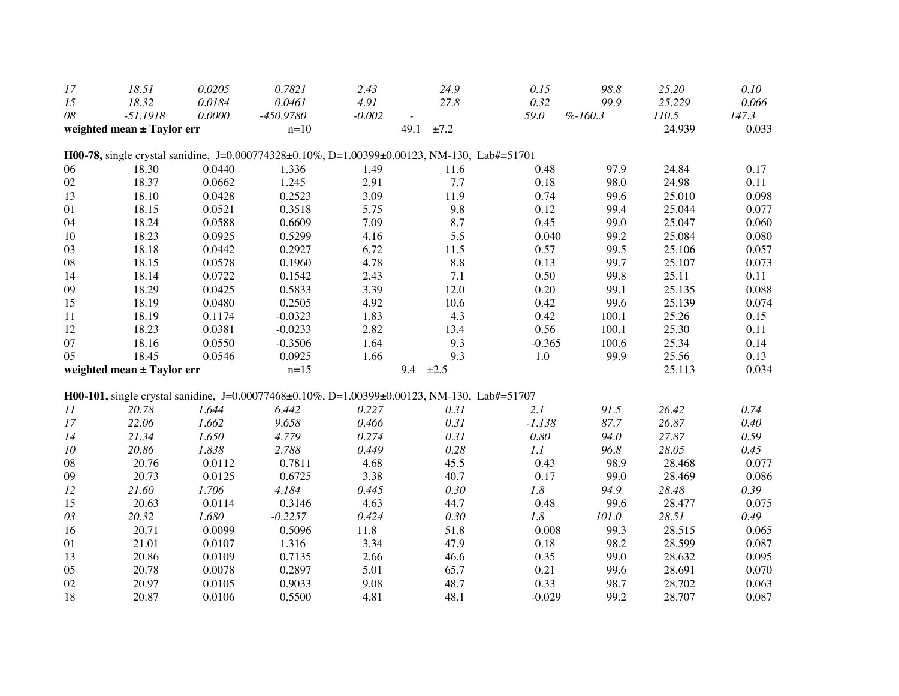| 17 | 18.51                      | 0.0205 | 0.7821                | 2.43     | 24.9                                                                                        | 0.15     | 98.8      | 25.20           | 0.10           |
|----|----------------------------|--------|-----------------------|----------|---------------------------------------------------------------------------------------------|----------|-----------|-----------------|----------------|
| 15 | 18.32                      | 0.0184 | 0.0461                | 4.91     | 27.8                                                                                        | 0.32     | 99.9      | 25.229          | 0.066          |
| 08 | $-51.1918$                 | 0.0000 | $-450.9780$<br>$n=10$ | $-0.002$ | 49.1<br>±7.2                                                                                | 59.0     | $%-160.3$ | 110.5<br>24.939 | 147.3<br>0.033 |
|    | weighted mean ± Taylor err |        |                       |          |                                                                                             |          |           |                 |                |
|    |                            |        |                       |          | H00-78, single crystal sanidine, J=0.000774328±0.10%, D=1.00399±0.00123, NM-130, Lab#=51701 |          |           |                 |                |
| 06 | 18.30                      | 0.0440 | 1.336                 | 1.49     | 11.6                                                                                        | 0.48     | 97.9      | 24.84           | 0.17           |
| 02 | 18.37                      | 0.0662 | 1.245                 | 2.91     | $7.7\,$                                                                                     | 0.18     | 98.0      | 24.98           | 0.11           |
| 13 | 18.10                      | 0.0428 | 0.2523                | 3.09     | 11.9                                                                                        | 0.74     | 99.6      | 25.010          | 0.098          |
| 01 | 18.15                      | 0.0521 | 0.3518                | 5.75     | 9.8                                                                                         | 0.12     | 99.4      | 25.044          | 0.077          |
| 04 | 18.24                      | 0.0588 | 0.6609                | 7.09     | 8.7                                                                                         | 0.45     | 99.0      | 25.047          | 0.060          |
| 10 | 18.23                      | 0.0925 | 0.5299                | 4.16     | 5.5                                                                                         | 0.040    | 99.2      | 25.084          | 0.080          |
| 03 | 18.18                      | 0.0442 | 0.2927                | 6.72     | 11.5                                                                                        | 0.57     | 99.5      | 25.106          | 0.057          |
| 08 | 18.15                      | 0.0578 | 0.1960                | 4.78     | 8.8                                                                                         | 0.13     | 99.7      | 25.107          | 0.073          |
| 14 | 18.14                      | 0.0722 | 0.1542                | 2.43     | 7.1                                                                                         | 0.50     | 99.8      | 25.11           | 0.11           |
| 09 | 18.29                      | 0.0425 | 0.5833                | 3.39     | 12.0                                                                                        | 0.20     | 99.1      | 25.135          | 0.088          |
| 15 | 18.19                      | 0.0480 | 0.2505                | 4.92     | 10.6                                                                                        | 0.42     | 99.6      | 25.139          | 0.074          |
| 11 | 18.19                      | 0.1174 | $-0.0323$             | 1.83     | 4.3                                                                                         | 0.42     | 100.1     | 25.26           | 0.15           |
| 12 | 18.23                      | 0.0381 | $-0.0233$             | 2.82     | 13.4                                                                                        | 0.56     | 100.1     | 25.30           | 0.11           |
| 07 | 18.16                      | 0.0550 | $-0.3506$             | 1.64     | 9.3                                                                                         | $-0.365$ | 100.6     | 25.34           | 0.14           |
| 05 | 18.45                      | 0.0546 | 0.0925                | 1.66     | 9.3                                                                                         | 1.0      | 99.9      | 25.56           | 0.13           |
|    | weighted mean ± Taylor err |        | $n=15$                |          | 9.4<br>$\pm 2.5$                                                                            |          |           | 25.113          | 0.034          |
|    |                            |        |                       |          | H00-101, single crystal sanidine, J=0.00077468±0.10%, D=1.00399±0.00123, NM-130, Lab#=51707 |          |           |                 |                |
| 11 | 20.78                      | 1.644  | 6.442                 | 0.227    | 0.31                                                                                        | 2.1      | 91.5      | 26.42           | 0.74           |
| 17 | 22.06                      | 1.662  | 9.658                 | 0.466    | 0.31                                                                                        | $-1.138$ | 87.7      | 26.87           | $0.40\,$       |
| 14 | 21.34                      | 1.650  | 4.779                 | 0.274    | 0.31                                                                                        | $0.80\,$ | 94.0      | 27.87           | 0.59           |
| 10 | 20.86                      | 1.838  | 2.788                 | 0.449    | 0.28                                                                                        | 1.1      | 96.8      | 28.05           | 0.45           |
| 08 | 20.76                      | 0.0112 | 0.7811                | 4.68     | 45.5                                                                                        | 0.43     | 98.9      | 28.468          | 0.077          |
| 09 | 20.73                      | 0.0125 | 0.6725                | 3.38     | 40.7                                                                                        | 0.17     | 99.0      | 28.469          | 0.086          |
| 12 | 21.60                      | 1.706  | 4.184                 | 0.445    | 0.30                                                                                        | 1.8      | 94.9      | 28.48           | 0.39           |
| 15 | 20.63                      | 0.0114 | 0.3146                | 4.63     | 44.7                                                                                        | 0.48     | 99.6      | 28.477          | 0.075          |
| 03 | 20.32                      | 1.680  | $-0.2257$             | 0.424    | 0.30                                                                                        | $1.8\,$  | 101.0     | 28.51           | 0.49           |
| 16 | 20.71                      | 0.0099 | 0.5096                | 11.8     | 51.8                                                                                        | 0.008    | 99.3      | 28.515          | 0.065          |
| 01 | 21.01                      | 0.0107 | 1.316                 | 3.34     | 47.9                                                                                        | 0.18     | 98.2      | 28.599          | 0.087          |
| 13 | 20.86                      | 0.0109 | 0.7135                | 2.66     | 46.6                                                                                        | 0.35     | 99.0      | 28.632          | 0.095          |
| 05 | 20.78                      | 0.0078 | 0.2897                | 5.01     | 65.7                                                                                        | 0.21     | 99.6      | 28.691          | 0.070          |
| 02 | 20.97                      | 0.0105 | 0.9033                | 9.08     | 48.7                                                                                        | 0.33     | 98.7      | 28.702          | 0.063          |
| 18 | 20.87                      | 0.0106 | 0.5500                | 4.81     | 48.1                                                                                        | $-0.029$ | 99.2      | 28.707          | 0.087          |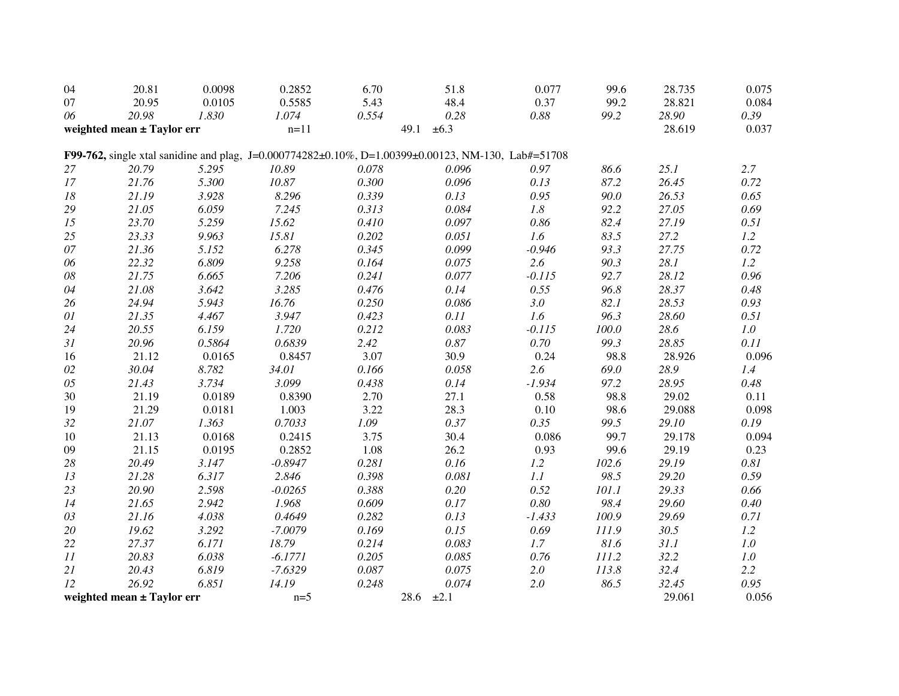| 04     | 20.81                      | 0.0098 | 0.2852    | 6.70  | 51.8                                                                                               | 0.077    | 99.6  | 28.735 | 0.075   |
|--------|----------------------------|--------|-----------|-------|----------------------------------------------------------------------------------------------------|----------|-------|--------|---------|
| 07     | 20.95                      | 0.0105 | 0.5585    | 5.43  | 48.4                                                                                               | 0.37     | 99.2  | 28.821 | 0.084   |
| 06     | 20.98                      | 1.830  | 1.074     | 0.554 | 0.28                                                                                               | $0.88\,$ | 99.2  | 28.90  | 0.39    |
|        | weighted mean ± Taylor err |        | $n=11$    |       | 49.1<br>$\pm 6.3$                                                                                  |          |       | 28.619 | 0.037   |
|        |                            |        |           |       | F99-762, single xtal sanidine and plag, J=0.000774282±0.10%, D=1.00399±0.00123, NM-130, Lab#=51708 |          |       |        |         |
| 27     | 20.79                      | 5.295  | 10.89     | 0.078 | 0.096                                                                                              | 0.97     | 86.6  | 25.1   | 2.7     |
| 17     | 21.76                      | 5.300  | 10.87     | 0.300 | 0.096                                                                                              | 0.13     | 87.2  | 26.45  | 0.72    |
| 18     | 21.19                      | 3.928  | 8.296     | 0.339 | 0.13                                                                                               | 0.95     | 90.0  | 26.53  | 0.65    |
| 29     | 21.05                      | 6.059  | 7.245     | 0.313 | 0.084                                                                                              | 1.8      | 92.2  | 27.05  | 0.69    |
| 15     | 23.70                      | 5.259  | 15.62     | 0.410 | 0.097                                                                                              | 0.86     | 82.4  | 27.19  | 0.51    |
| 25     | 23.33                      | 9.963  | 15.81     | 0.202 | 0.051                                                                                              | 1.6      | 83.5  | 27.2   | 1.2     |
| 07     | 21.36                      | 5.152  | 6.278     | 0.345 | 0.099                                                                                              | $-0.946$ | 93.3  | 27.75  | 0.72    |
| 06     | 22.32                      | 6.809  | 9.258     | 0.164 | 0.075                                                                                              | 2.6      | 90.3  | 28.1   | 1.2     |
| $08\,$ | 21.75                      | 6.665  | 7.206     | 0.241 | 0.077                                                                                              | $-0.115$ | 92.7  | 28.12  | 0.96    |
| 04     | 21.08                      | 3.642  | 3.285     | 0.476 | 0.14                                                                                               | 0.55     | 96.8  | 28.37  | 0.48    |
| 26     | 24.94                      | 5.943  | 16.76     | 0.250 | 0.086                                                                                              | 3.0      | 82.1  | 28.53  | 0.93    |
| 01     | 21.35                      | 4.467  | 3.947     | 0.423 | 0.11                                                                                               | 1.6      | 96.3  | 28.60  | 0.51    |
| 24     | 20.55                      | 6.159  | 1.720     | 0.212 | 0.083                                                                                              | $-0.115$ | 100.0 | 28.6   | 1.0     |
| 31     | 20.96                      | 0.5864 | 0.6839    | 2.42  | 0.87                                                                                               | 0.70     | 99.3  | 28.85  | 0.11    |
| 16     | 21.12                      | 0.0165 | 0.8457    | 3.07  | 30.9                                                                                               | 0.24     | 98.8  | 28.926 | 0.096   |
| 02     | 30.04                      | 8.782  | 34.01     | 0.166 | 0.058                                                                                              | 2.6      | 69.0  | 28.9   | 1.4     |
| 05     | 21.43                      | 3.734  | 3.099     | 0.438 | 0.14                                                                                               | $-1.934$ | 97.2  | 28.95  | 0.48    |
| 30     | 21.19                      | 0.0189 | 0.8390    | 2.70  | 27.1                                                                                               | 0.58     | 98.8  | 29.02  | 0.11    |
| 19     | 21.29                      | 0.0181 | 1.003     | 3.22  | 28.3                                                                                               | 0.10     | 98.6  | 29.088 | 0.098   |
| 32     | 21.07                      | 1.363  | 0.7033    | 1.09  | 0.37                                                                                               | 0.35     | 99.5  | 29.10  | 0.19    |
| 10     | 21.13                      | 0.0168 | 0.2415    | 3.75  | 30.4                                                                                               | 0.086    | 99.7  | 29.178 | 0.094   |
| 09     | 21.15                      | 0.0195 | 0.2852    | 1.08  | 26.2                                                                                               | 0.93     | 99.6  | 29.19  | 0.23    |
| $28\,$ | 20.49                      | 3.147  | $-0.8947$ | 0.281 | 0.16                                                                                               | 1.2      | 102.6 | 29.19  | 0.81    |
| 13     | 21.28                      | 6.317  | 2.846     | 0.398 | 0.081                                                                                              | 1.1      | 98.5  | 29.20  | 0.59    |
| 23     | 20.90                      | 2.598  | $-0.0265$ | 0.388 | $0.20\,$                                                                                           | 0.52     | 101.1 | 29.33  | 0.66    |
| 14     | 21.65                      | 2.942  | 1.968     | 0.609 | 0.17                                                                                               | $0.80\,$ | 98.4  | 29.60  | 0.40    |
| 03     | 21.16                      | 4.038  | 0.4649    | 0.282 | 0.13                                                                                               | $-1.433$ | 100.9 | 29.69  | 0.71    |
| 20     | 19.62                      | 3.292  | $-7.0079$ | 0.169 | 0.15                                                                                               | 0.69     | 111.9 | 30.5   | 1.2     |
| 22     | 27.37                      | 6.171  | 18.79     | 0.214 | 0.083                                                                                              | 1.7      | 81.6  | 31.1   | 1.0     |
| 11     | 20.83                      | 6.038  | $-6.1771$ | 0.205 | 0.085                                                                                              | 0.76     | 111.2 | 32.2   | $1.0\,$ |
| 21     | 20.43                      | 6.819  | $-7.6329$ | 0.087 | 0.075                                                                                              | $2.0\,$  | 113.8 | 32.4   | 2.2     |
| 12     | 26.92                      | 6.851  | 14.19     | 0.248 | 0.074                                                                                              | $2.0\,$  | 86.5  | 32.45  | 0.95    |
|        | weighted mean ± Taylor err |        | $n=5$     |       | 28.6 $\pm 2.1$                                                                                     |          |       | 29.061 | 0.056   |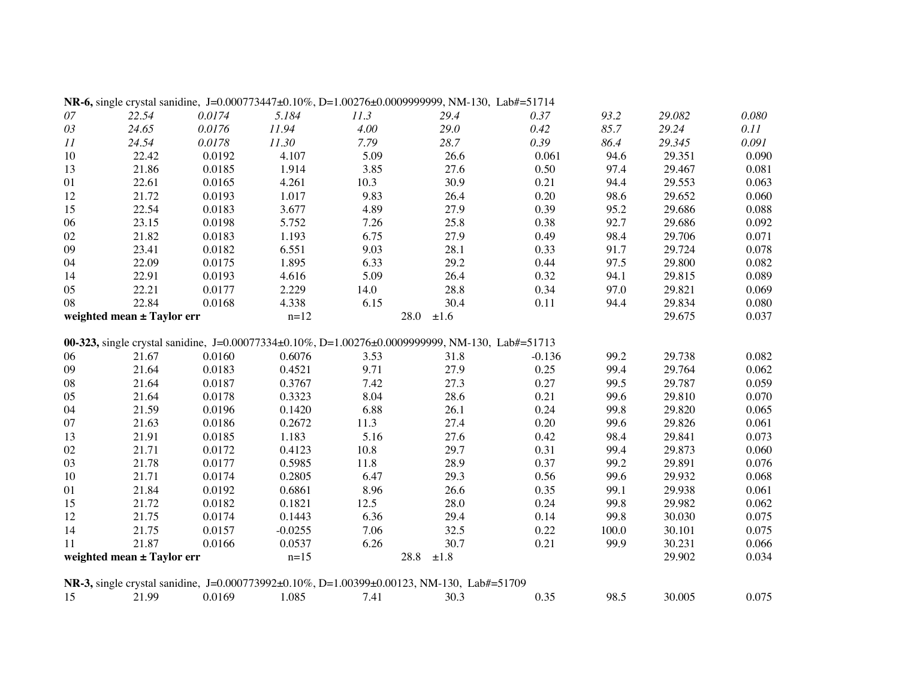|        |                            |        |           |      | <b>NR-6,</b> single crystal sanidine, $J=0.000773447\pm0.10\%$ , $D=1.00276\pm0.0009999999$ , NM-130, Lab#=51714 |          |       |        |       |
|--------|----------------------------|--------|-----------|------|------------------------------------------------------------------------------------------------------------------|----------|-------|--------|-------|
| $07\,$ | 22.54                      | 0.0174 | 5.184     | 11.3 | 29.4                                                                                                             | 0.37     | 93.2  | 29.082 | 0.080 |
| $03\,$ | 24.65                      | 0.0176 | 11.94     | 4.00 | 29.0                                                                                                             | 0.42     | 85.7  | 29.24  | 0.11  |
| 11     | 24.54                      | 0.0178 | 11.30     | 7.79 | 28.7                                                                                                             | 0.39     | 86.4  | 29.345 | 0.091 |
| $10\,$ | 22.42                      | 0.0192 | 4.107     | 5.09 | 26.6                                                                                                             | 0.061    | 94.6  | 29.351 | 0.090 |
| 13     | 21.86                      | 0.0185 | 1.914     | 3.85 | 27.6                                                                                                             | 0.50     | 97.4  | 29.467 | 0.081 |
| 01     | 22.61                      | 0.0165 | 4.261     | 10.3 | 30.9                                                                                                             | 0.21     | 94.4  | 29.553 | 0.063 |
| 12     | 21.72                      | 0.0193 | 1.017     | 9.83 | 26.4                                                                                                             | 0.20     | 98.6  | 29.652 | 0.060 |
| 15     | 22.54                      | 0.0183 | 3.677     | 4.89 | 27.9                                                                                                             | 0.39     | 95.2  | 29.686 | 0.088 |
| 06     | 23.15                      | 0.0198 | 5.752     | 7.26 | 25.8                                                                                                             | 0.38     | 92.7  | 29.686 | 0.092 |
| 02     | 21.82                      | 0.0183 | 1.193     | 6.75 | 27.9                                                                                                             | 0.49     | 98.4  | 29.706 | 0.071 |
| 09     | 23.41                      | 0.0182 | 6.551     | 9.03 | 28.1                                                                                                             | 0.33     | 91.7  | 29.724 | 0.078 |
| 04     | 22.09                      | 0.0175 | 1.895     | 6.33 | 29.2                                                                                                             | 0.44     | 97.5  | 29.800 | 0.082 |
| 14     | 22.91                      | 0.0193 | 4.616     | 5.09 | 26.4                                                                                                             | 0.32     | 94.1  | 29.815 | 0.089 |
| 05     | 22.21                      | 0.0177 | 2.229     | 14.0 | 28.8                                                                                                             | 0.34     | 97.0  | 29.821 | 0.069 |
| 08     | 22.84                      | 0.0168 | 4.338     | 6.15 | 30.4                                                                                                             | 0.11     | 94.4  | 29.834 | 0.080 |
|        | weighted mean ± Taylor err |        | $n=12$    |      | 28.0<br>±1.6                                                                                                     |          |       | 29.675 | 0.037 |
|        |                            |        |           |      | 00-323, single crystal sanidine, J=0.00077334±0.10%, D=1.00276±0.0009999999, NM-130, Lab#=51713                  |          |       |        |       |
| 06     | 21.67                      | 0.0160 | 0.6076    | 3.53 | 31.8                                                                                                             | $-0.136$ | 99.2  | 29.738 | 0.082 |
| 09     | 21.64                      | 0.0183 | 0.4521    | 9.71 | 27.9                                                                                                             | 0.25     | 99.4  | 29.764 | 0.062 |
| 08     | 21.64                      | 0.0187 | 0.3767    | 7.42 | 27.3                                                                                                             | 0.27     | 99.5  | 29.787 | 0.059 |
| 05     | 21.64                      | 0.0178 | 0.3323    | 8.04 | 28.6                                                                                                             | 0.21     | 99.6  | 29.810 | 0.070 |
| 04     | 21.59                      | 0.0196 | 0.1420    | 6.88 | 26.1                                                                                                             | 0.24     | 99.8  | 29.820 | 0.065 |
| 07     | 21.63                      | 0.0186 | 0.2672    | 11.3 | 27.4                                                                                                             | 0.20     | 99.6  | 29.826 | 0.061 |
| 13     | 21.91                      | 0.0185 | 1.183     | 5.16 | 27.6                                                                                                             | 0.42     | 98.4  | 29.841 | 0.073 |
| 02     | 21.71                      | 0.0172 | 0.4123    | 10.8 | 29.7                                                                                                             | 0.31     | 99.4  | 29.873 | 0.060 |
| 03     | 21.78                      | 0.0177 | 0.5985    | 11.8 | 28.9                                                                                                             | 0.37     | 99.2  | 29.891 | 0.076 |
| $10\,$ | 21.71                      | 0.0174 | 0.2805    | 6.47 | 29.3                                                                                                             | 0.56     | 99.6  | 29.932 | 0.068 |
| 01     | 21.84                      | 0.0192 | 0.6861    | 8.96 | 26.6                                                                                                             | 0.35     | 99.1  | 29.938 | 0.061 |
| 15     | 21.72                      | 0.0182 | 0.1821    | 12.5 | 28.0                                                                                                             | 0.24     | 99.8  | 29.982 | 0.062 |
| 12     | 21.75                      | 0.0174 | 0.1443    | 6.36 | 29.4                                                                                                             | 0.14     | 99.8  | 30.030 | 0.075 |
| 14     | 21.75                      | 0.0157 | $-0.0255$ | 7.06 | 32.5                                                                                                             | 0.22     | 100.0 | 30.101 | 0.075 |
| 11     | 21.87                      | 0.0166 | 0.0537    | 6.26 | 30.7                                                                                                             | 0.21     | 99.9  | 30.231 | 0.066 |
|        | weighted mean ± Taylor err |        | $n=15$    |      | 28.8<br>$\pm 1.8$                                                                                                |          |       | 29.902 | 0.034 |
|        |                            |        |           |      | NR-3, single crystal sanidine, J=0.000773992±0.10%, D=1.00399±0.00123, NM-130, Lab#=51709                        |          |       |        |       |
| 15     | 21.99                      | 0.0169 | 1.085     | 7.41 | 30.3                                                                                                             | 0.35     | 98.5  | 30.005 | 0.075 |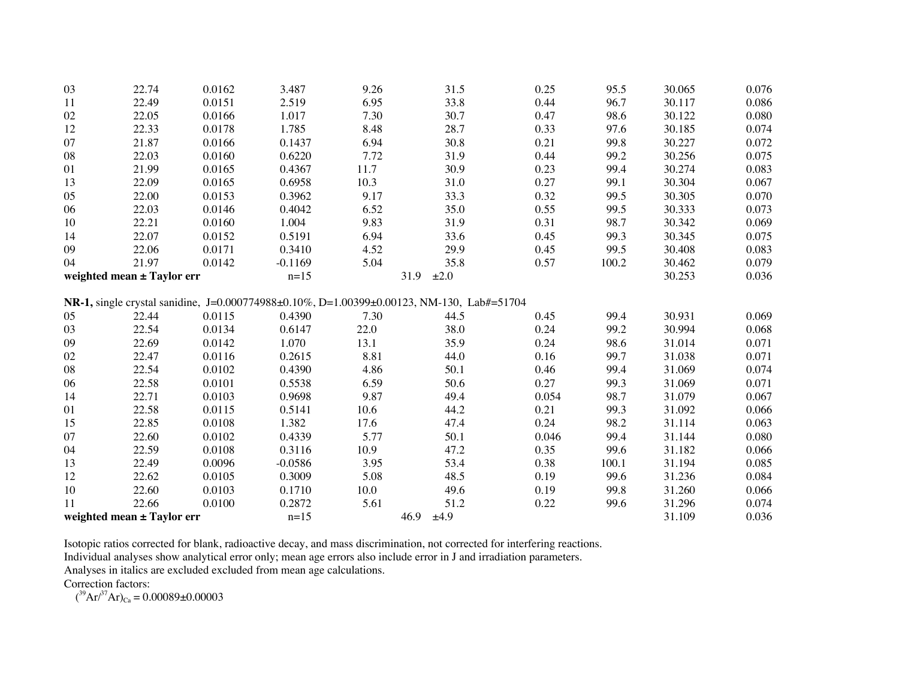| 03 | 22.74                      | 0.0162 | 3.487     | 9.26 | 31.5                                                                                      | 0.25  | 95.5  | 30.065 | 0.076 |
|----|----------------------------|--------|-----------|------|-------------------------------------------------------------------------------------------|-------|-------|--------|-------|
| 11 | 22.49                      | 0.0151 | 2.519     | 6.95 | 33.8                                                                                      | 0.44  | 96.7  | 30.117 | 0.086 |
| 02 | 22.05                      | 0.0166 | 1.017     | 7.30 | 30.7                                                                                      | 0.47  | 98.6  | 30.122 | 0.080 |
| 12 | 22.33                      | 0.0178 | 1.785     | 8.48 | 28.7                                                                                      | 0.33  | 97.6  | 30.185 | 0.074 |
| 07 | 21.87                      | 0.0166 | 0.1437    | 6.94 | 30.8                                                                                      | 0.21  | 99.8  | 30.227 | 0.072 |
| 08 | 22.03                      | 0.0160 | 0.6220    | 7.72 | 31.9                                                                                      | 0.44  | 99.2  | 30.256 | 0.075 |
| 01 | 21.99                      | 0.0165 | 0.4367    | 11.7 | 30.9                                                                                      | 0.23  | 99.4  | 30.274 | 0.083 |
| 13 | 22.09                      | 0.0165 | 0.6958    | 10.3 | 31.0                                                                                      | 0.27  | 99.1  | 30.304 | 0.067 |
| 05 | 22.00                      | 0.0153 | 0.3962    | 9.17 | 33.3                                                                                      | 0.32  | 99.5  | 30.305 | 0.070 |
| 06 | 22.03                      | 0.0146 | 0.4042    | 6.52 | 35.0                                                                                      | 0.55  | 99.5  | 30.333 | 0.073 |
| 10 | 22.21                      | 0.0160 | 1.004     | 9.83 | 31.9                                                                                      | 0.31  | 98.7  | 30.342 | 0.069 |
| 14 | 22.07                      | 0.0152 | 0.5191    | 6.94 | 33.6                                                                                      | 0.45  | 99.3  | 30.345 | 0.075 |
| 09 | 22.06                      | 0.0171 | 0.3410    | 4.52 | 29.9                                                                                      | 0.45  | 99.5  | 30.408 | 0.083 |
| 04 | 21.97                      | 0.0142 | $-0.1169$ | 5.04 | 35.8                                                                                      | 0.57  | 100.2 | 30.462 | 0.079 |
|    | weighted mean ± Taylor err |        | $n=15$    |      | 31.9<br>±2.0                                                                              |       |       | 30.253 | 0.036 |
|    |                            |        |           |      |                                                                                           |       |       |        |       |
|    |                            |        |           |      | NR-1, single crystal sanidine, J=0.000774988±0.10%, D=1.00399±0.00123, NM-130, Lab#=51704 |       |       |        |       |
| 05 | 22.44                      | 0.0115 | 0.4390    | 7.30 | 44.5                                                                                      | 0.45  | 99.4  | 30.931 | 0.069 |
| 03 | 22.54                      | 0.0134 | 0.6147    | 22.0 | 38.0                                                                                      | 0.24  | 99.2  | 30.994 | 0.068 |
| 09 | 22.69                      | 0.0142 | 1.070     | 13.1 | 35.9                                                                                      | 0.24  | 98.6  | 31.014 | 0.071 |
| 02 | 22.47                      | 0.0116 | 0.2615    | 8.81 | 44.0                                                                                      | 0.16  | 99.7  | 31.038 | 0.071 |
| 08 | 22.54                      | 0.0102 | 0.4390    | 4.86 | 50.1                                                                                      | 0.46  | 99.4  | 31.069 | 0.074 |
| 06 | 22.58                      | 0.0101 | 0.5538    | 6.59 | 50.6                                                                                      | 0.27  | 99.3  | 31.069 | 0.071 |
| 14 | 22.71                      | 0.0103 | 0.9698    | 9.87 | 49.4                                                                                      | 0.054 | 98.7  | 31.079 | 0.067 |
| 01 | 22.58                      | 0.0115 | 0.5141    | 10.6 | 44.2                                                                                      | 0.21  | 99.3  | 31.092 | 0.066 |
| 15 | 22.85                      | 0.0108 | 1.382     | 17.6 | 47.4                                                                                      | 0.24  | 98.2  | 31.114 | 0.063 |
| 07 | 22.60                      | 0.0102 | 0.4339    | 5.77 | 50.1                                                                                      | 0.046 | 99.4  | 31.144 | 0.080 |
| 04 | 22.59                      | 0.0108 | 0.3116    | 10.9 | 47.2                                                                                      | 0.35  | 99.6  | 31.182 | 0.066 |
| 13 | 22.49                      | 0.0096 | $-0.0586$ | 3.95 | 53.4                                                                                      | 0.38  | 100.1 | 31.194 | 0.085 |
| 12 | 22.62                      | 0.0105 | 0.3009    | 5.08 | 48.5                                                                                      | 0.19  | 99.6  | 31.236 | 0.084 |
| 10 | 22.60                      | 0.0103 | 0.1710    | 10.0 | 49.6                                                                                      | 0.19  | 99.8  | 31.260 | 0.066 |
| 11 | 22.66                      | 0.0100 | 0.2872    | 5.61 | 51.2                                                                                      | 0.22  | 99.6  | 31.296 | 0.074 |
|    | weighted mean ± Taylor err |        | $n=15$    |      | 46.9<br>±4.9                                                                              |       |       | 31.109 | 0.036 |

Isotopic ratios corrected for blank, radioactive decay, and mass discrimination, not corrected for interfering reactions.

Individual analyses show analytical error only; mean age errors also include error in J and irradiation parameters.

Analyses in italics are excluded excluded from mean age calculations.

Correction factors:

 $({}^{39}Ar/{}^{37}Ar)_{Ca} = 0.00089 \pm 0.00003$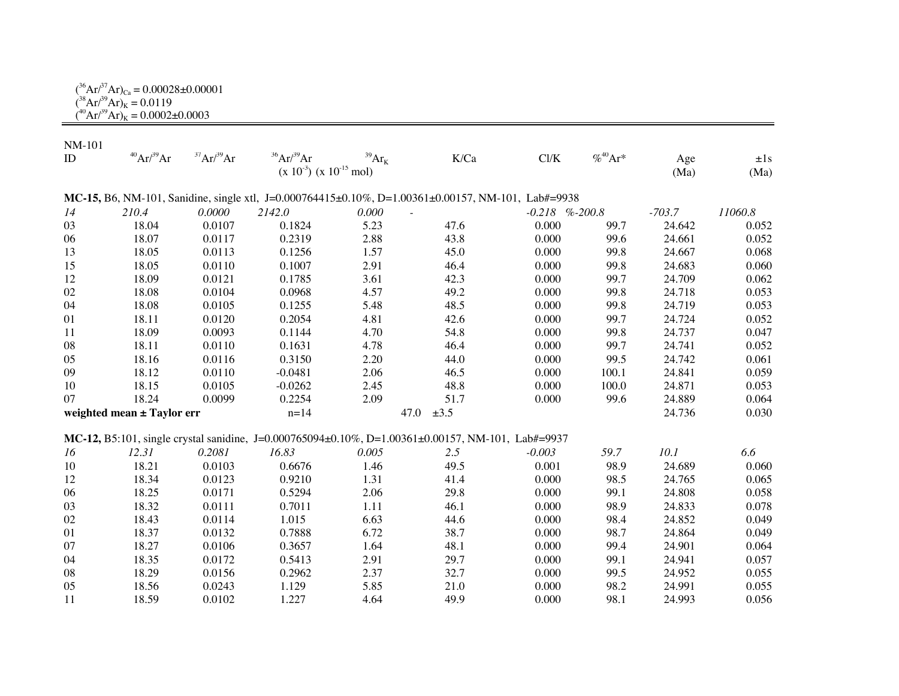| $({}^{36}\text{Ar}/^{37}\text{Ar})_{\text{Ca}} = 0.00028 \pm 0.00001$ |  |
|-----------------------------------------------------------------------|--|
| $({}^{38}Ar/{}^{39}Ar)_K = 0.0119$                                    |  |
| $(^{40}Ar/^{39}Ar)_k = 0.0002 \pm 0.0003$                             |  |

| <b>NM-101</b>              |                   |           |                                |                                 |                                                                                                    |                     |              |          |          |
|----------------------------|-------------------|-----------|--------------------------------|---------------------------------|----------------------------------------------------------------------------------------------------|---------------------|--------------|----------|----------|
| ID                         | $^{40}Ar/^{39}Ar$ | 37Ar/39Ar | $36$ Ar $/39$ Ar               | $^{39}\mathrm{Ar}_{\mathrm{K}}$ | K/Ca                                                                                               | $\mathrm{Cl/K}$     | $% ^{40}Ar*$ | Age      | $\pm 1s$ |
|                            |                   |           | $(x 10^{-3}) (x 10^{-15}$ mol) |                                 |                                                                                                    |                     |              | (Ma)     | (Ma)     |
|                            |                   |           |                                |                                 | MC-15, B6, NM-101, Sanidine, single xtl, J=0.000764415±0.10%, D=1.00361±0.00157, NM-101, Lab#=9938 |                     |              |          |          |
| 14                         | 210.4             | 0.0000    | 2142.0                         | 0.000                           |                                                                                                    | $-0.218$ % $-200.8$ |              | $-703.7$ | 11060.8  |
| 03                         | 18.04             | 0.0107    | 0.1824                         | 5.23                            | 47.6                                                                                               | 0.000               | 99.7         | 24.642   | 0.052    |
| 06                         | 18.07             | 0.0117    | 0.2319                         | 2.88                            | 43.8                                                                                               | 0.000               | 99.6         | 24.661   | 0.052    |
| 13                         | 18.05             | 0.0113    | 0.1256                         | 1.57                            | 45.0                                                                                               | 0.000               | 99.8         | 24.667   | 0.068    |
| 15                         | 18.05             | 0.0110    | 0.1007                         | 2.91                            | 46.4                                                                                               | 0.000               | 99.8         | 24.683   | 0.060    |
| 12                         | 18.09             | 0.0121    | 0.1785                         | 3.61                            | 42.3                                                                                               | 0.000               | 99.7         | 24.709   | 0.062    |
| 02                         | 18.08             | 0.0104    | 0.0968                         | 4.57                            | 49.2                                                                                               | 0.000               | 99.8         | 24.718   | 0.053    |
| 04                         | 18.08             | 0.0105    | 0.1255                         | 5.48                            | 48.5                                                                                               | 0.000               | 99.8         | 24.719   | 0.053    |
| 01                         | 18.11             | 0.0120    | 0.2054                         | 4.81                            | 42.6                                                                                               | 0.000               | 99.7         | 24.724   | 0.052    |
| 11                         | 18.09             | 0.0093    | 0.1144                         | 4.70                            | 54.8                                                                                               | 0.000               | 99.8         | 24.737   | 0.047    |
| 08                         | 18.11             | 0.0110    | 0.1631                         | 4.78                            | 46.4                                                                                               | 0.000               | 99.7         | 24.741   | 0.052    |
| 05                         | 18.16             | 0.0116    | 0.3150                         | 2.20                            | 44.0                                                                                               | 0.000               | 99.5         | 24.742   | 0.061    |
| 09                         | 18.12             | 0.0110    | $-0.0481$                      | 2.06                            | 46.5                                                                                               | 0.000               | 100.1        | 24.841   | 0.059    |
| 10                         | 18.15             | 0.0105    | $-0.0262$                      | 2.45                            | 48.8                                                                                               | 0.000               | 100.0        | 24.871   | 0.053    |
| 07                         | 18.24             | 0.0099    | 0.2254                         | 2.09                            | 51.7                                                                                               | 0.000               | 99.6         | 24.889   | 0.064    |
| weighted mean ± Taylor err |                   | $n=14$    |                                | $\pm 3.5$<br>47.0               |                                                                                                    |                     | 24.736       | 0.030    |          |
|                            |                   |           |                                |                                 |                                                                                                    |                     |              |          |          |
|                            |                   |           |                                |                                 | MC-12, B5:101, single crystal sanidine, J=0.000765094±0.10%, D=1.00361±0.00157, NM-101, Lab#=9937  |                     |              |          |          |
| 16                         | 12.31             | 0.2081    | 16.83                          | 0.005                           | 2.5                                                                                                | $-0.003$            | 59.7         | 10.1     | 6.6      |
| 10                         | 18.21             | 0.0103    | 0.6676                         | 1.46                            | 49.5                                                                                               | 0.001               | 98.9         | 24.689   | 0.060    |
| 12                         | 18.34             | 0.0123    | 0.9210                         | 1.31                            | 41.4                                                                                               | 0.000               | 98.5         | 24.765   | 0.065    |
| 06                         | 18.25             | 0.0171    | 0.5294                         | 2.06                            | 29.8                                                                                               | 0.000               | 99.1         | 24.808   | 0.058    |
| 03                         | 18.32             | 0.0111    | 0.7011                         | 1.11                            | 46.1                                                                                               | 0.000               | 98.9         | 24.833   | 0.078    |
| 02                         | 18.43             | 0.0114    | 1.015                          | 6.63                            | 44.6                                                                                               | 0.000               | 98.4         | 24.852   | 0.049    |
| 01                         | 18.37             | 0.0132    | 0.7888                         | 6.72                            | 38.7                                                                                               | 0.000               | 98.7         | 24.864   | 0.049    |
| 07                         | 18.27             | 0.0106    | 0.3657                         | 1.64                            | 48.1                                                                                               | 0.000               | 99.4         | 24.901   | 0.064    |
| 04                         | 18.35             | 0.0172    | 0.5413                         | 2.91                            | 29.7                                                                                               | 0.000               | 99.1         | 24.941   | 0.057    |
| 08                         | 18.29             | 0.0156    | 0.2962                         | 2.37                            | 32.7                                                                                               | 0.000               | 99.5         | 24.952   | 0.055    |
| 05                         | 18.56             | 0.0243    | 1.129                          | 5.85                            | 21.0                                                                                               | 0.000               | 98.2         | 24.991   | 0.055    |
| 11                         | 18.59             | 0.0102    | 1.227                          | 4.64                            | 49.9                                                                                               | 0.000               | 98.1         | 24.993   | 0.056    |

 $\equiv$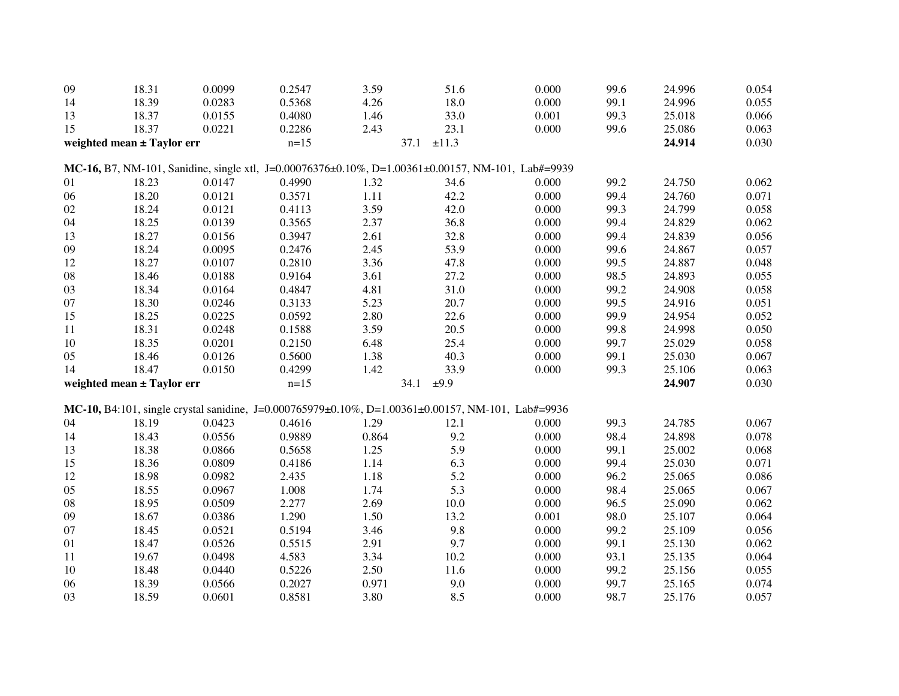| 09                         | 18.31 | 0.0099 | 0.2547                       | 3.59         | 51.6                                                                                              | 0.000 | 99.6   | 24.996 | 0.054 |
|----------------------------|-------|--------|------------------------------|--------------|---------------------------------------------------------------------------------------------------|-------|--------|--------|-------|
| 14                         | 18.39 | 0.0283 | 0.5368                       | 4.26         | 18.0                                                                                              | 0.000 | 99.1   | 24.996 | 0.055 |
| 13                         | 18.37 | 0.0155 | 0.4080                       | 1.46         | 33.0                                                                                              | 0.001 | 99.3   | 25.018 | 0.066 |
| 15                         | 18.37 | 0.0221 | 0.2286                       | 2.43         | 23.1                                                                                              | 0.000 | 99.6   | 25.086 | 0.063 |
| weighted mean ± Taylor err |       |        | $\pm 11.3$<br>$n=15$<br>37.1 |              |                                                                                                   |       |        | 24.914 | 0.030 |
|                            |       |        |                              |              | MC-16, B7, NM-101, Sanidine, single xtl, J=0.00076376±0.10%, D=1.00361±0.00157, NM-101, Lab#=9939 |       |        |        |       |
| 01                         | 18.23 | 0.0147 | 0.4990                       | 1.32         | 34.6                                                                                              | 0.000 | 99.2   | 24.750 | 0.062 |
| 06                         | 18.20 | 0.0121 | 0.3571                       | 1.11         | 42.2                                                                                              | 0.000 | 99.4   | 24.760 | 0.071 |
| 02                         | 18.24 | 0.0121 | 0.4113                       | 3.59         | 42.0                                                                                              | 0.000 | 99.3   | 24.799 | 0.058 |
| 04                         | 18.25 | 0.0139 | 0.3565                       | 2.37         | 36.8                                                                                              | 0.000 | 99.4   | 24.829 | 0.062 |
| 13                         | 18.27 | 0.0156 | 0.3947                       | 2.61         | 32.8                                                                                              | 0.000 | 99.4   | 24.839 | 0.056 |
| 09                         | 18.24 | 0.0095 | 0.2476                       | 2.45         | 53.9                                                                                              | 0.000 | 99.6   | 24.867 | 0.057 |
| 12                         | 18.27 | 0.0107 | 0.2810                       | 3.36         | 47.8                                                                                              | 0.000 | 99.5   | 24.887 | 0.048 |
| ${\bf 08}$                 | 18.46 | 0.0188 | 0.9164                       | 3.61         | 27.2                                                                                              | 0.000 | 98.5   | 24.893 | 0.055 |
| 03                         | 18.34 | 0.0164 | 0.4847                       | 4.81         | 31.0                                                                                              | 0.000 | 99.2   | 24.908 | 0.058 |
| $07\,$                     | 18.30 | 0.0246 | 0.3133                       | 5.23         | 20.7                                                                                              | 0.000 | 99.5   | 24.916 | 0.051 |
| 15                         | 18.25 | 0.0225 | 0.0592                       | 2.80         | 22.6                                                                                              | 0.000 | 99.9   | 24.954 | 0.052 |
| 11                         | 18.31 | 0.0248 | 0.1588                       | 3.59         | 20.5                                                                                              | 0.000 | 99.8   | 24.998 | 0.050 |
| 10                         | 18.35 | 0.0201 | 0.2150                       | 6.48         | 25.4                                                                                              | 0.000 | 99.7   | 25.029 | 0.058 |
| 05                         | 18.46 | 0.0126 | 0.5600                       | 1.38         | 40.3                                                                                              | 0.000 | 99.1   | 25.030 | 0.067 |
| 14                         | 18.47 | 0.0150 | 0.4299                       | 1.42         | 33.9                                                                                              | 0.000 | 99.3   | 25.106 | 0.063 |
| weighted mean ± Taylor err |       | $n=15$ |                              | 34.1<br>±9.9 |                                                                                                   |       | 24.907 | 0.030  |       |
|                            |       |        |                              |              |                                                                                                   |       |        |        |       |
|                            |       |        |                              |              | MC-10, B4:101, single crystal sanidine, J=0.000765979±0.10%, D=1.00361±0.00157, NM-101, Lab#=9936 |       |        |        |       |
| 04                         | 18.19 | 0.0423 | 0.4616                       | 1.29         | 12.1                                                                                              | 0.000 | 99.3   | 24.785 | 0.067 |
| 14                         | 18.43 | 0.0556 | 0.9889                       | 0.864        | 9.2                                                                                               | 0.000 | 98.4   | 24.898 | 0.078 |
| 13                         | 18.38 | 0.0866 | 0.5658                       | 1.25         | 5.9                                                                                               | 0.000 | 99.1   | 25.002 | 0.068 |
| 15                         | 18.36 | 0.0809 | 0.4186                       | 1.14         | 6.3                                                                                               | 0.000 | 99.4   | 25.030 | 0.071 |
| 12                         | 18.98 | 0.0982 | 2.435                        | 1.18         | 5.2                                                                                               | 0.000 | 96.2   | 25.065 | 0.086 |
| 05                         | 18.55 | 0.0967 | 1.008                        | 1.74         | 5.3                                                                                               | 0.000 | 98.4   | 25.065 | 0.067 |
| ${\bf 08}$                 | 18.95 | 0.0509 | 2.277                        | 2.69         | $10.0\,$                                                                                          | 0.000 | 96.5   | 25.090 | 0.062 |
| 09                         | 18.67 | 0.0386 | 1.290                        | 1.50         | 13.2                                                                                              | 0.001 | 98.0   | 25.107 | 0.064 |
| 07                         | 18.45 | 0.0521 | 0.5194                       | 3.46         | 9.8                                                                                               | 0.000 | 99.2   | 25.109 | 0.056 |
| 01                         | 18.47 | 0.0526 | 0.5515                       | 2.91         | 9.7                                                                                               | 0.000 | 99.1   | 25.130 | 0.062 |
| 11                         | 19.67 | 0.0498 | 4.583                        | 3.34         | 10.2                                                                                              | 0.000 | 93.1   | 25.135 | 0.064 |
| 10                         | 18.48 | 0.0440 | 0.5226                       | 2.50         | 11.6                                                                                              | 0.000 | 99.2   | 25.156 | 0.055 |
| 06                         | 18.39 | 0.0566 | 0.2027                       | 0.971        | 9.0                                                                                               | 0.000 | 99.7   | 25.165 | 0.074 |
| 03                         | 18.59 | 0.0601 | 0.8581                       | 3.80         | 8.5                                                                                               | 0.000 | 98.7   | 25.176 | 0.057 |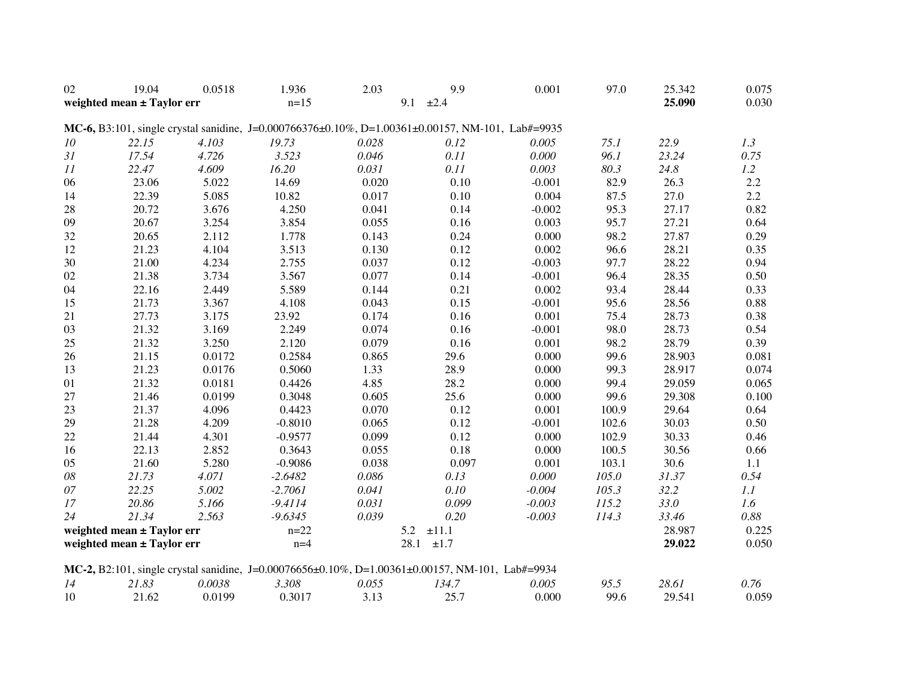| 02                         | 19.04 | 0.0518 | 1.936     | 2.03              | 9.9                                                                                              | 0.001    | 97.0   | 25.342 | 0.075     |
|----------------------------|-------|--------|-----------|-------------------|--------------------------------------------------------------------------------------------------|----------|--------|--------|-----------|
| weighted mean ± Taylor err |       | $n=15$ |           | 9.1<br>±2.4       |                                                                                                  |          | 25.090 | 0.030  |           |
|                            |       |        |           |                   |                                                                                                  |          |        |        |           |
|                            |       |        |           |                   | MC-6, B3:101, single crystal sanidine, J=0.000766376±0.10%, D=1.00361±0.00157, NM-101, Lab#=9935 |          |        |        |           |
| 10                         | 22.15 | 4.103  | 19.73     | 0.028             | 0.12                                                                                             | 0.005    | 75.1   | 22.9   | 1.3       |
| 31                         | 17.54 | 4.726  | 3.523     | 0.046             | 0.11                                                                                             | 0.000    | 96.1   | 23.24  | 0.75      |
| 11                         | 22.47 | 4.609  | 16.20     | 0.031             | 0.11                                                                                             | 0.003    | 80.3   | 24.8   | 1.2       |
| 06                         | 23.06 | 5.022  | 14.69     | 0.020             | 0.10                                                                                             | $-0.001$ | 82.9   | 26.3   | 2.2       |
| 14                         | 22.39 | 5.085  | 10.82     | 0.017             | 0.10                                                                                             | 0.004    | 87.5   | 27.0   | 2.2       |
| 28                         | 20.72 | 3.676  | 4.250     | 0.041             | 0.14                                                                                             | $-0.002$ | 95.3   | 27.17  | 0.82      |
| 09                         | 20.67 | 3.254  | 3.854     | 0.055             | 0.16                                                                                             | 0.003    | 95.7   | 27.21  | 0.64      |
| 32                         | 20.65 | 2.112  | 1.778     | 0.143             | 0.24                                                                                             | 0.000    | 98.2   | 27.87  | 0.29      |
| 12                         | 21.23 | 4.104  | 3.513     | 0.130             | 0.12                                                                                             | 0.002    | 96.6   | 28.21  | 0.35      |
| 30                         | 21.00 | 4.234  | 2.755     | 0.037             | 0.12                                                                                             | $-0.003$ | 97.7   | 28.22  | 0.94      |
| 02                         | 21.38 | 3.734  | 3.567     | 0.077             | 0.14                                                                                             | $-0.001$ | 96.4   | 28.35  | 0.50      |
| 04                         | 22.16 | 2.449  | 5.589     | 0.144             | 0.21                                                                                             | 0.002    | 93.4   | 28.44  | 0.33      |
| 15                         | 21.73 | 3.367  | 4.108     | 0.043             | 0.15                                                                                             | $-0.001$ | 95.6   | 28.56  | 0.88      |
| 21                         | 27.73 | 3.175  | 23.92     | 0.174             | 0.16                                                                                             | 0.001    | 75.4   | 28.73  | 0.38      |
| 03                         | 21.32 | 3.169  | 2.249     | 0.074             | 0.16                                                                                             | $-0.001$ | 98.0   | 28.73  | 0.54      |
| 25                         | 21.32 | 3.250  | 2.120     | 0.079             | 0.16                                                                                             | 0.001    | 98.2   | 28.79  | 0.39      |
| 26                         | 21.15 | 0.0172 | 0.2584    | 0.865             | 29.6                                                                                             | 0.000    | 99.6   | 28.903 | 0.081     |
| 13                         | 21.23 | 0.0176 | 0.5060    | 1.33              | 28.9                                                                                             | 0.000    | 99.3   | 28.917 | 0.074     |
| 01                         | 21.32 | 0.0181 | 0.4426    | 4.85              | 28.2                                                                                             | 0.000    | 99.4   | 29.059 | 0.065     |
| $27\,$                     | 21.46 | 0.0199 | 0.3048    | 0.605             | 25.6                                                                                             | 0.000    | 99.6   | 29.308 | 0.100     |
| 23                         | 21.37 | 4.096  | 0.4423    | 0.070             | 0.12                                                                                             | 0.001    | 100.9  | 29.64  | 0.64      |
| 29                         | 21.28 | 4.209  | $-0.8010$ | 0.065             | 0.12                                                                                             | $-0.001$ | 102.6  | 30.03  | 0.50      |
| 22                         | 21.44 | 4.301  | $-0.9577$ | 0.099             | 0.12                                                                                             | 0.000    | 102.9  | 30.33  | 0.46      |
| 16                         | 22.13 | 2.852  | 0.3643    | 0.055             | 0.18                                                                                             | 0.000    | 100.5  | 30.56  | 0.66      |
| 05                         | 21.60 | 5.280  | $-0.9086$ | 0.038             | 0.097                                                                                            | 0.001    | 103.1  | 30.6   | 1.1       |
| 08                         | 21.73 | 4.071  | $-2.6482$ | 0.086             | 0.13                                                                                             | 0.000    | 105.0  | 31.37  | 0.54      |
| 07                         | 22.25 | 5.002  | $-2.7061$ | 0.041             | 0.10                                                                                             | $-0.004$ | 105.3  | 32.2   | $\it 1.1$ |
| 17                         | 20.86 | 5.166  | $-9.4114$ | 0.031             | 0.099                                                                                            | $-0.003$ | 115.2  | 33.0   | 1.6       |
| 24                         | 21.34 | 2.563  | $-9.6345$ | 0.039             | 0.20                                                                                             | $-0.003$ | 114.3  | 33.46  | 0.88      |
| weighted mean ± Taylor err |       | $n=22$ |           | 5.2<br>$\pm 11.1$ |                                                                                                  |          | 28.987 | 0.225  |           |
| weighted mean ± Taylor err |       | $n=4$  |           | 28.1<br>±1.7      |                                                                                                  |          | 29.022 | 0.050  |           |
|                            |       |        |           |                   |                                                                                                  |          |        |        |           |
|                            |       |        |           |                   | MC-2, B2:101, single crystal sanidine, J=0.00076656±0.10%, D=1.00361±0.00157, NM-101, Lab#=9934  |          |        |        |           |
| 14                         | 21.83 | 0.0038 | 3.308     | 0.055             | 134.7                                                                                            | 0.005    | 95.5   | 28.61  | 0.76      |
| 10                         | 21.62 | 0.0199 | 0.3017    | 3.13              | 25.7                                                                                             | 0.000    | 99.6   | 29.541 | 0.059     |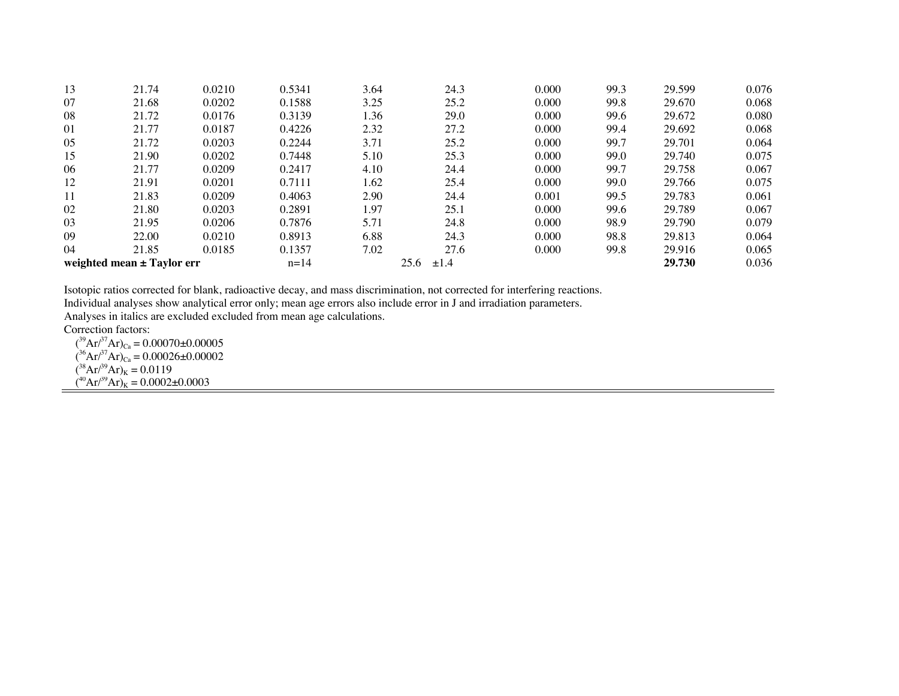| 13                         | 21.74 | 0.0210 | 0.5341 | 3.64 | 24.3              | 0.000 | 99.3 | 29.599 | 0.076 |
|----------------------------|-------|--------|--------|------|-------------------|-------|------|--------|-------|
| 07                         | 21.68 | 0.0202 | 0.1588 | 3.25 | 25.2              | 0.000 | 99.8 | 29.670 | 0.068 |
| 08                         | 21.72 | 0.0176 | 0.3139 | 1.36 | 29.0              | 0.000 | 99.6 | 29.672 | 0.080 |
| 01                         | 21.77 | 0.0187 | 0.4226 | 2.32 | 27.2              | 0.000 | 99.4 | 29.692 | 0.068 |
| 05                         | 21.72 | 0.0203 | 0.2244 | 3.71 | 25.2              | 0.000 | 99.7 | 29.701 | 0.064 |
| 15                         | 21.90 | 0.0202 | 0.7448 | 5.10 | 25.3              | 0.000 | 99.0 | 29.740 | 0.075 |
| 06                         | 21.77 | 0.0209 | 0.2417 | 4.10 | 24.4              | 0.000 | 99.7 | 29.758 | 0.067 |
| 12                         | 21.91 | 0.0201 | 0.7111 | 1.62 | 25.4              | 0.000 | 99.0 | 29.766 | 0.075 |
| 11                         | 21.83 | 0.0209 | 0.4063 | 2.90 | 24.4              | 0.001 | 99.5 | 29.783 | 0.061 |
| 02                         | 21.80 | 0.0203 | 0.2891 | 1.97 | 25.1              | 0.000 | 99.6 | 29.789 | 0.067 |
| 03                         | 21.95 | 0.0206 | 0.7876 | 5.71 | 24.8              | 0.000 | 98.9 | 29.790 | 0.079 |
| 09                         | 22.00 | 0.0210 | 0.8913 | 6.88 | 24.3              | 0.000 | 98.8 | 29.813 | 0.064 |
| 04                         | 21.85 | 0.0185 | 0.1357 | 7.02 | 27.6              | 0.000 | 99.8 | 29.916 | 0.065 |
| weighted mean ± Taylor err |       |        | $n=14$ |      | 25.6<br>$\pm 1.4$ |       |      | 29.730 | 0.036 |

Isotopic ratios corrected for blank, radioactive decay, and mass discrimination, not corrected for interfering reactions.

Individual analyses show analytical error only; mean age errors also include error in J and irradiation parameters.

Analyses in italics are excluded excluded from mean age calculations.

Correction factors:

 $({}^{39}\text{Ar}/{}^{37}\text{Ar})_{\text{Ca}} = 0.00070 \pm 0.00005$  $({}^{36}\text{Ar}/{}^{37}\text{Ar})_{\text{Ca}} = 0.00026 \pm 0.00002$  $({}^{38}\text{Ar} / {}^{39}\text{Ar})_K = 0.0119$  $(^{40}Ar/^{39}Ar)_K = 0.0002 \pm 0.0003$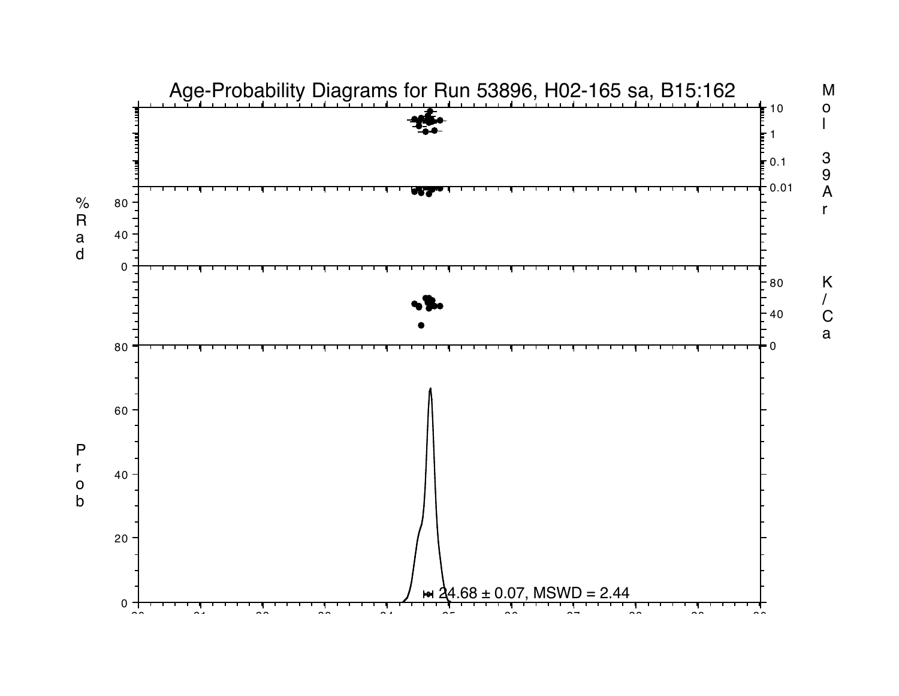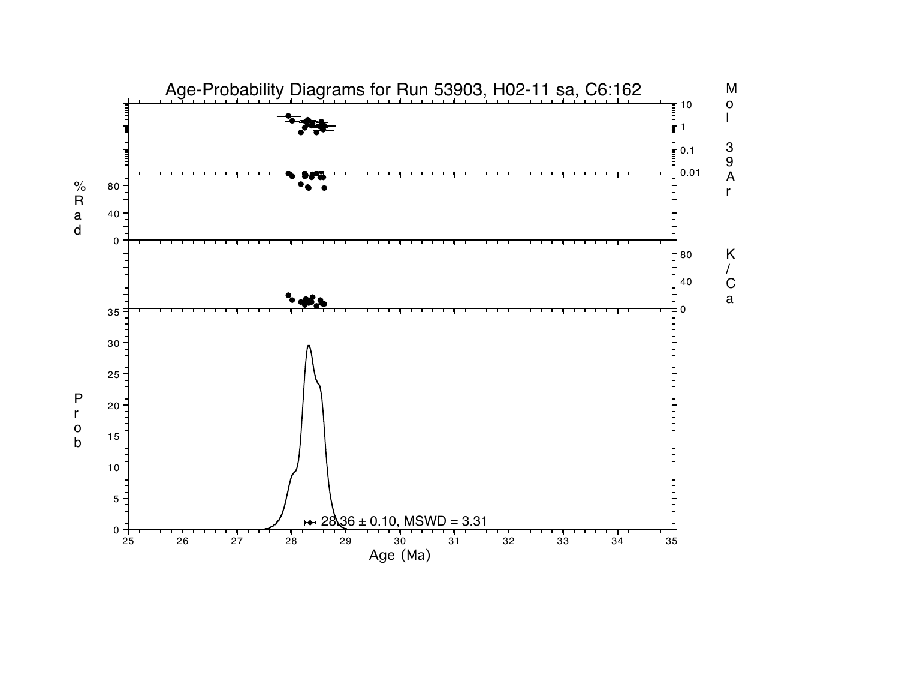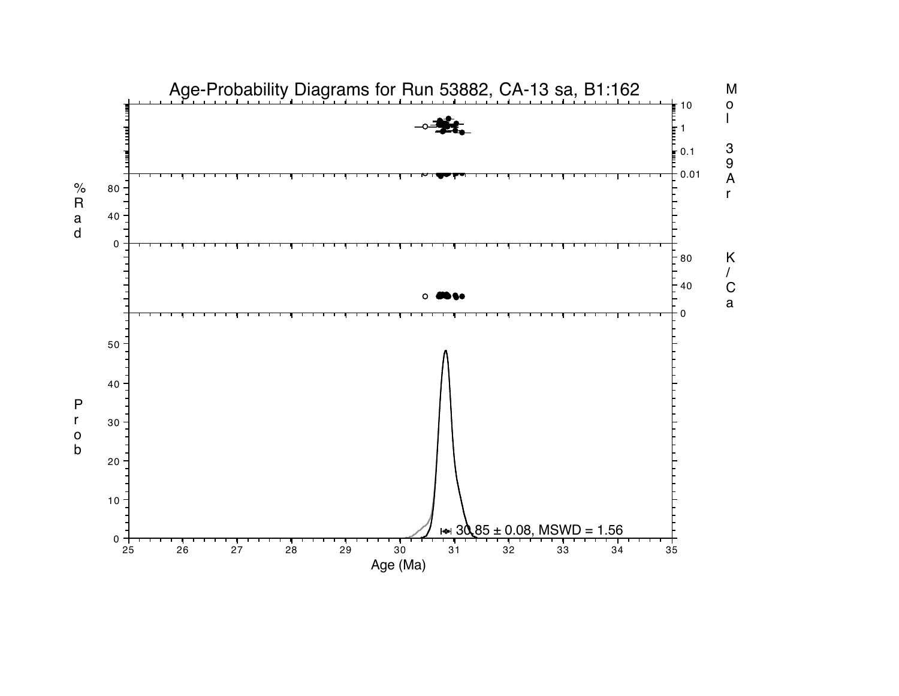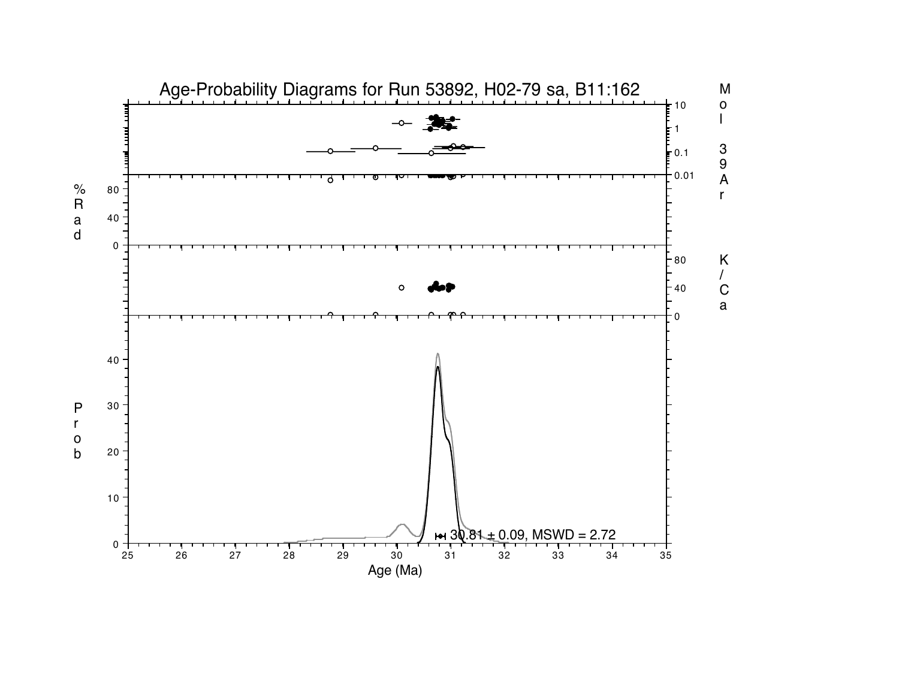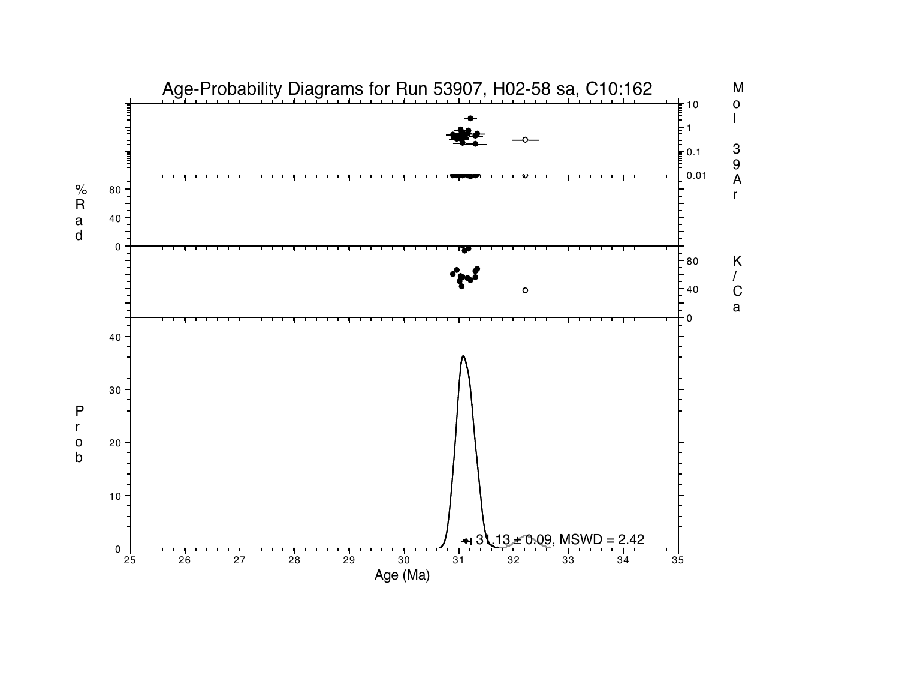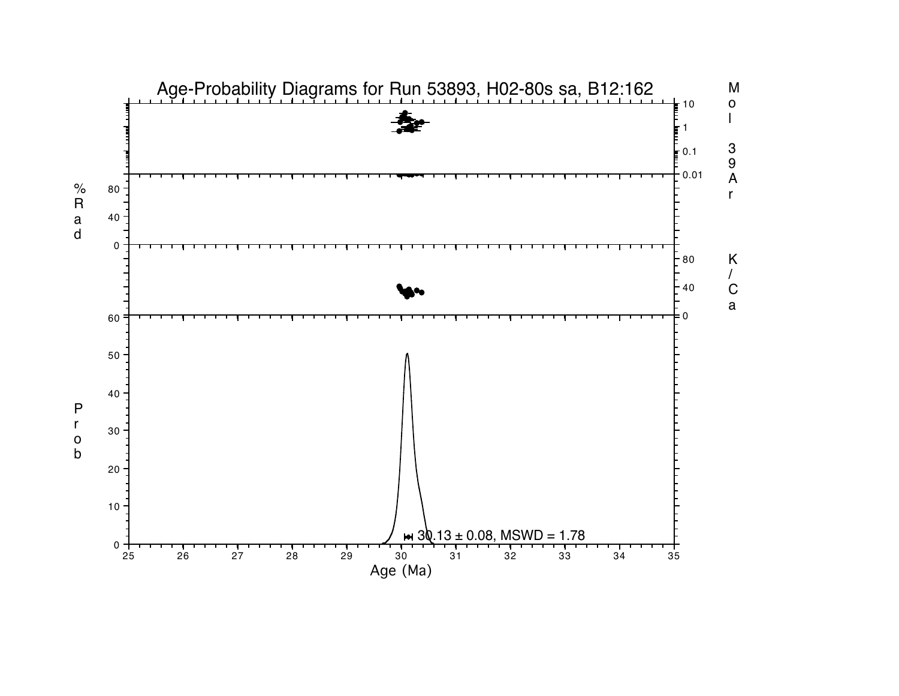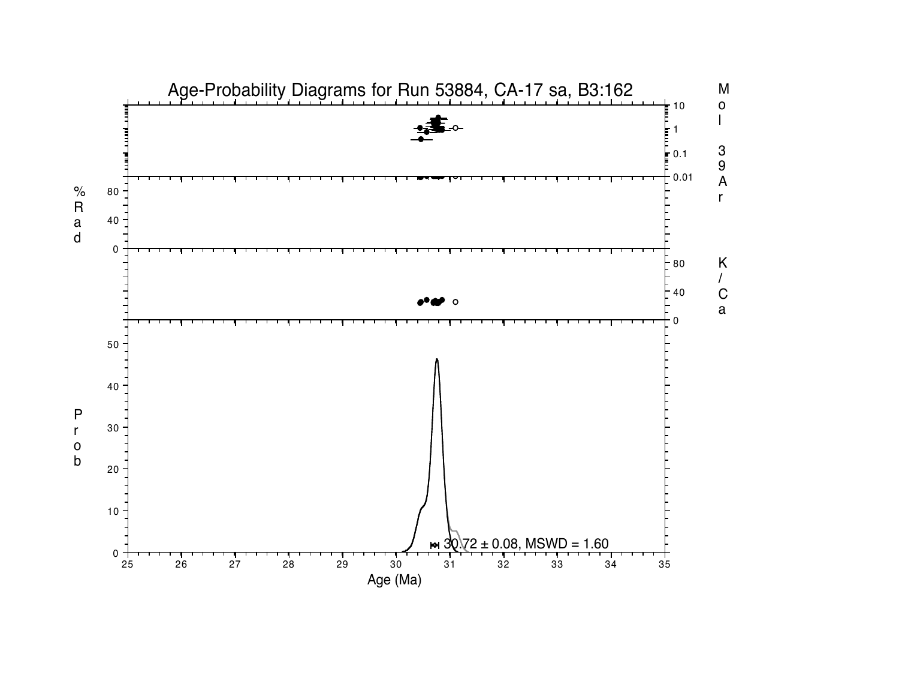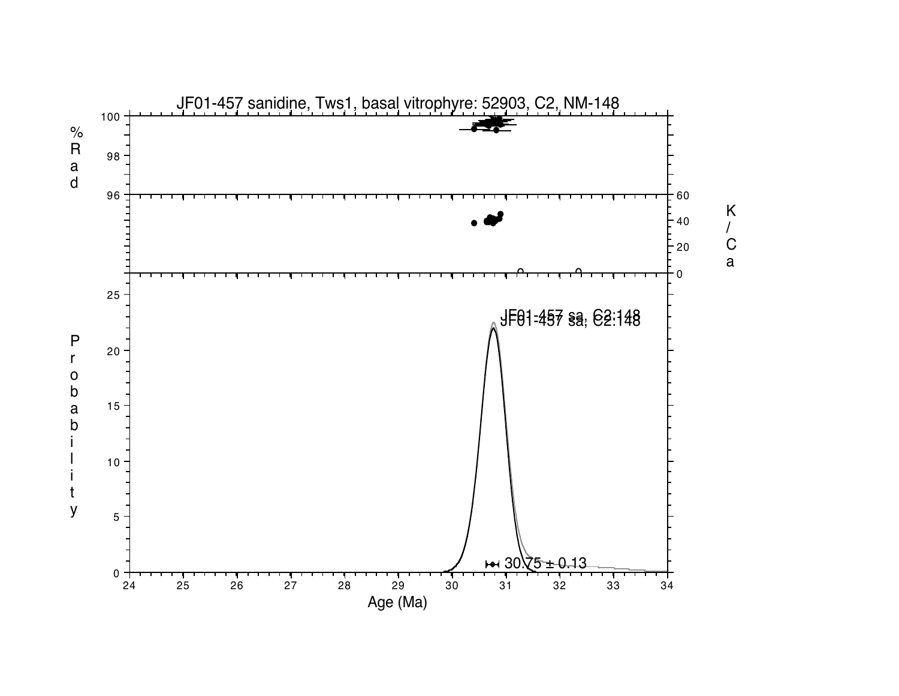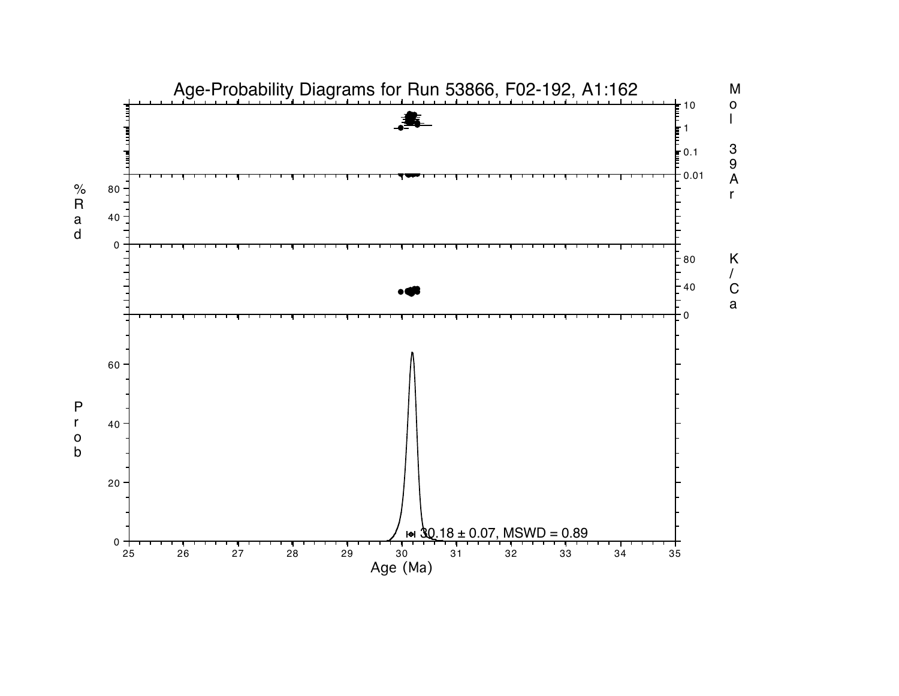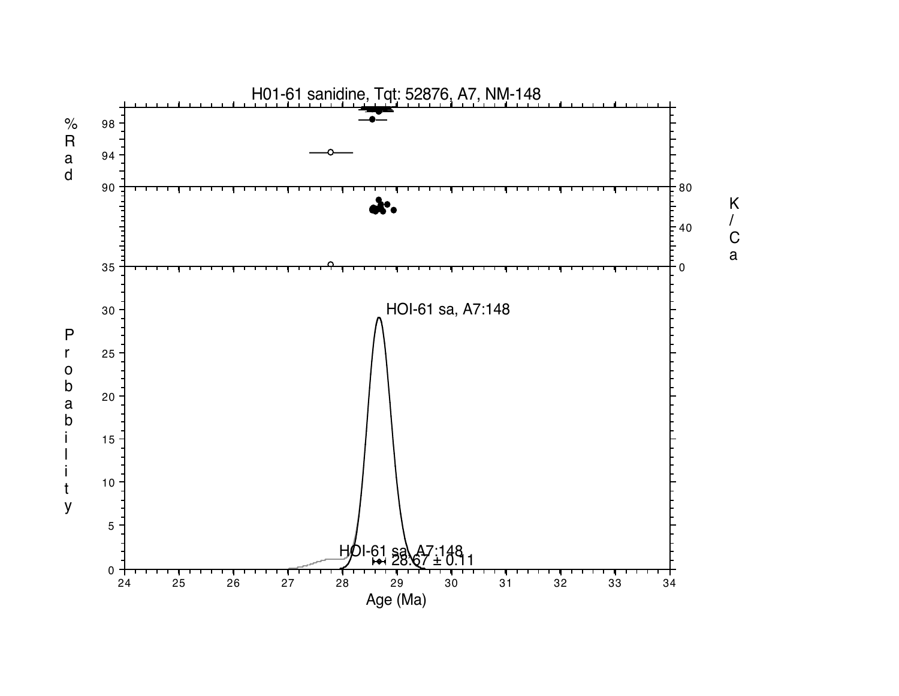